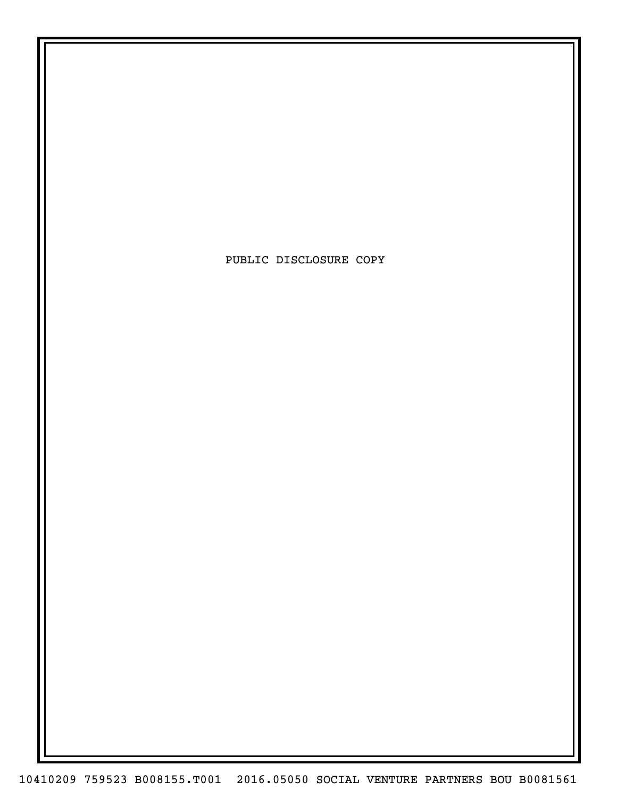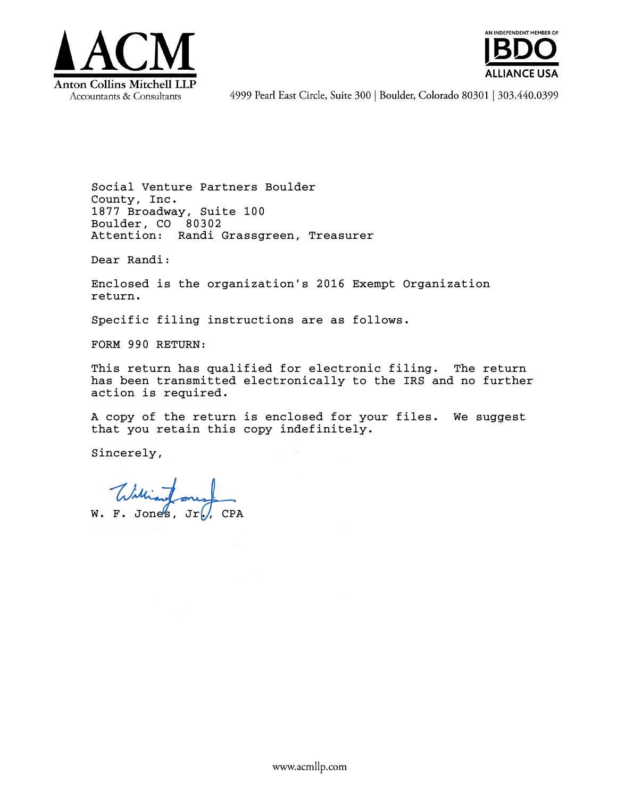



4999 Pearl East Circle, Suite 300 | Boulder, Colorado 80301 | 303.440.0399

Social Venture Partners Boulder County, Inc. 1877 Broadway, Suite 100 Boulder, CO 80302 Attention: Randi Grassgreen, Treasurer

Dear Randi:

Enclosed is the organization's 2016 Exempt Organization return.

Specific filing instructions are as follows.

FORM 990 RETURN:

This return has qualified for electronic filing. The return has been transmitted electronically to the IRS and no further action is required.

A copy of the return is enclosed for your files. We suggest that you retain this copy indefinitely.

Sincerely,

 $W. F. Jones, Jr.$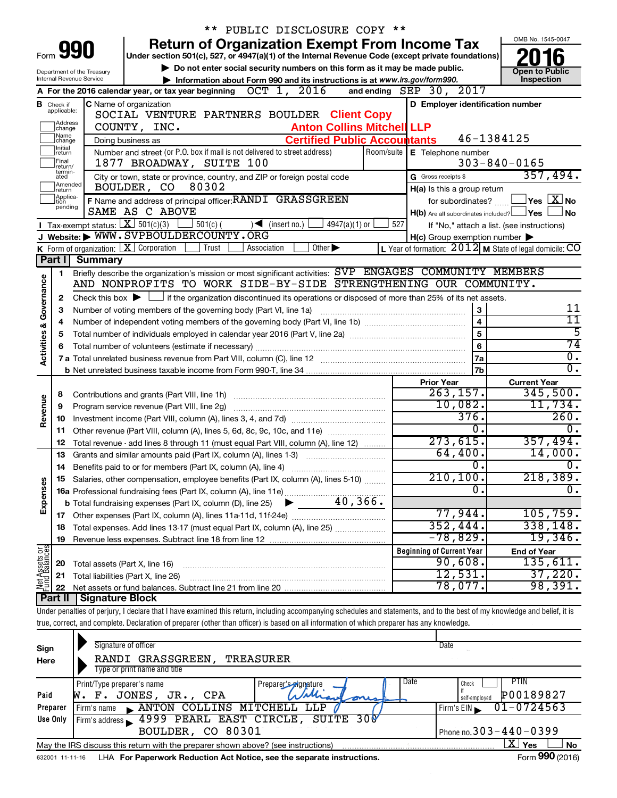|                                |                                  |                                                           | * *                                                                                                                                                                        | PUBLIC DISCLOSURE COPY **                 |            |                                                     |                                                           |
|--------------------------------|----------------------------------|-----------------------------------------------------------|----------------------------------------------------------------------------------------------------------------------------------------------------------------------------|-------------------------------------------|------------|-----------------------------------------------------|-----------------------------------------------------------|
|                                |                                  |                                                           | <b>Return of Organization Exempt From Income Tax</b>                                                                                                                       |                                           |            |                                                     | OMB No. 1545-0047                                         |
| Form                           |                                  | 990                                                       | Under section 501(c), 527, or 4947(a)(1) of the Internal Revenue Code (except private foundations)                                                                         |                                           |            |                                                     |                                                           |
|                                |                                  | Department of the Treasury                                | Do not enter social security numbers on this form as it may be made public.                                                                                                |                                           |            |                                                     | <b>Open to Public</b>                                     |
|                                |                                  | Internal Revenue Service                                  | Information about Form 990 and its instructions is at www.irs.gov/form990.                                                                                                 |                                           |            |                                                     | Inspection                                                |
|                                |                                  |                                                           | OCT 1, 2016<br>A For the 2016 calendar year, or tax year beginning                                                                                                         |                                           |            | and ending $SEP$ 30, $2017$                         |                                                           |
|                                | <b>B</b> Check if<br>applicable: |                                                           | C Name of organization                                                                                                                                                     |                                           |            | D Employer identification number                    |                                                           |
|                                | Address                          |                                                           | SOCIAL VENTURE PARTNERS BOULDER Client Copy                                                                                                                                |                                           |            |                                                     |                                                           |
|                                | change<br> Name                  |                                                           | COUNTY, INC.                                                                                                                                                               | <b>Anton Collins Mitchell LLP</b>         |            |                                                     |                                                           |
|                                | change<br>Initial                |                                                           | Doing business as                                                                                                                                                          | <b>Certified Public Accountants</b>       |            |                                                     | 46-1384125                                                |
|                                | return<br>Final                  |                                                           | Number and street (or P.O. box if mail is not delivered to street address)                                                                                                 |                                           | Room/suite | E Telephone number                                  |                                                           |
|                                | return/<br>termin-               |                                                           | 1877 BROADWAY, SUITE 100                                                                                                                                                   |                                           |            |                                                     | $303 - 840 - 0165$                                        |
|                                | ated<br>Amended                  |                                                           | City or town, state or province, country, and ZIP or foreign postal code                                                                                                   |                                           |            | G Gross receipts \$                                 | 357,494.                                                  |
|                                | Ireturn<br>Applica-              |                                                           | BOULDER, CO<br>80302                                                                                                                                                       |                                           |            | H(a) Is this a group return                         |                                                           |
|                                | tion<br>pending                  |                                                           | F Name and address of principal officer: RANDI GRASSGREEN                                                                                                                  |                                           |            | for subordinates?                                   | $\sqrt{}$ Yes $\sqrt{ \ \overline{\text{X}}}$ No          |
|                                |                                  |                                                           | SAME AS C ABOVE                                                                                                                                                            |                                           |            | $H(b)$ Are all subordinates included? $\Box$ Yes    | No                                                        |
|                                |                                  | <b>I</b> Tax-exempt status: $X \overline{S}$ 501(c)(3)    | $\frac{1}{2}$ 501(c) (<br>$\sqrt{\frac{1}{1}}$ (insert no.)<br>J Website: WWW.SVPBOULDERCOUNTY.ORG                                                                         | 4947(a)(1) or                             | 527        |                                                     | If "No," attach a list. (see instructions)                |
|                                |                                  |                                                           | Trust                                                                                                                                                                      | Other $\blacktriangleright$               |            | $H(c)$ Group exemption number $\blacktriangleright$ |                                                           |
|                                | Part I                           | K Form of organization: $X$ Corporation<br><b>Summary</b> | Association                                                                                                                                                                |                                           |            |                                                     | L Year of formation: $2012$ M State of legal domicile: CO |
|                                |                                  |                                                           | Briefly describe the organization's mission or most significant activities: SVP ENGAGES COMMUNITY MEMBERS                                                                  |                                           |            |                                                     |                                                           |
|                                | 1.                               |                                                           | AND NONPROFITS TO WORK SIDE-BY-SIDE STRENGTHENING OUR COMMUNITY.                                                                                                           |                                           |            |                                                     |                                                           |
| Governance                     | 2                                |                                                           | Check this box $\blacktriangleright$ $\Box$ if the organization discontinued its operations or disposed of more than 25% of its net assets.                                |                                           |            |                                                     |                                                           |
|                                | З                                |                                                           | Number of voting members of the governing body (Part VI, line 1a)                                                                                                          |                                           |            | 3                                                   | 11                                                        |
|                                | 4                                |                                                           |                                                                                                                                                                            |                                           |            | $\overline{4}$                                      | 11                                                        |
|                                | 5                                | $\overline{5}$                                            |                                                                                                                                                                            |                                           |            |                                                     |                                                           |
|                                | 6                                | $\overline{6}$                                            |                                                                                                                                                                            |                                           |            | 5<br>74                                             |                                                           |
| <b>Activities &amp;</b>        |                                  |                                                           |                                                                                                                                                                            |                                           |            | 7a                                                  | $\overline{0}$ .                                          |
|                                |                                  |                                                           |                                                                                                                                                                            |                                           |            | 7 <sub>b</sub>                                      | $\overline{0}$ .                                          |
|                                |                                  |                                                           |                                                                                                                                                                            |                                           |            | <b>Prior Year</b>                                   | <b>Current Year</b>                                       |
|                                | 8                                |                                                           |                                                                                                                                                                            |                                           |            | 263, 157.                                           | 345,500.                                                  |
|                                | 9                                |                                                           | Program service revenue (Part VIII, line 2g)                                                                                                                               |                                           |            | 10,082.                                             | 11,734.                                                   |
| Revenue                        | 10                               |                                                           |                                                                                                                                                                            |                                           |            | 376.                                                | 260.                                                      |
|                                | 11                               |                                                           | Other revenue (Part VIII, column (A), lines 5, 6d, 8c, 9c, 10c, and 11e)                                                                                                   |                                           |            | 0.                                                  | $\overline{0}$ .                                          |
|                                | 12                               |                                                           | Total revenue - add lines 8 through 11 (must equal Part VIII, column (A), line 12)                                                                                         |                                           |            | 273,615.                                            | 357,494.                                                  |
|                                | 13                               |                                                           | Grants and similar amounts paid (Part IX, column (A), lines 1-3)                                                                                                           | <u> 1986 - Jan Start Barbar, martin a</u> |            | 64,400.                                             | 14,000.                                                   |
|                                | 14                               |                                                           |                                                                                                                                                                            |                                           |            | 0.                                                  | Ο.                                                        |
|                                |                                  |                                                           | 15 Salaries, other compensation, employee benefits (Part IX, column (A), lines 5-10)                                                                                       |                                           |            | 210, 100.                                           | 218,389.                                                  |
| Expenses                       |                                  |                                                           |                                                                                                                                                                            |                                           |            | $\overline{0}$ .                                    | $\overline{0}$ .                                          |
|                                |                                  |                                                           |                                                                                                                                                                            |                                           |            |                                                     |                                                           |
|                                |                                  |                                                           |                                                                                                                                                                            |                                           |            | 77,944.                                             | 105, 759.                                                 |
|                                | 18                               |                                                           | Total expenses. Add lines 13-17 (must equal Part IX, column (A), line 25)                                                                                                  |                                           |            | 352,444.                                            | 338,148.                                                  |
|                                | 19                               |                                                           |                                                                                                                                                                            |                                           |            | $-78,829$ .                                         | 19,346.                                                   |
|                                |                                  |                                                           |                                                                                                                                                                            |                                           |            | <b>Beginning of Current Year</b>                    | <b>End of Year</b>                                        |
|                                | 20                               | Total assets (Part X, line 16)                            |                                                                                                                                                                            |                                           |            | 90,608.                                             | 135,611.                                                  |
| Net Assets or<br>Fund Balances | 21                               |                                                           | Total liabilities (Part X, line 26)                                                                                                                                        |                                           |            | 12,531.                                             | 37,220.                                                   |
|                                | 22                               |                                                           |                                                                                                                                                                            |                                           |            | 78,077 <b>.</b>                                     | 98,391.                                                   |
|                                | Part II                          | <b>Signature Block</b>                                    |                                                                                                                                                                            |                                           |            |                                                     |                                                           |
|                                |                                  |                                                           | Under penalties of perjury, I declare that I have examined this return, including accompanying schedules and statements, and to the best of my knowledge and belief, it is |                                           |            |                                                     |                                                           |
|                                |                                  |                                                           | true, correct, and complete. Declaration of preparer (other than officer) is based on all information of which preparer has any knowledge.                                 |                                           |            |                                                     |                                                           |
|                                |                                  | Signature of officer                                      |                                                                                                                                                                            |                                           |            | Date                                                |                                                           |
| Sign                           |                                  |                                                           | סססטוס גסמם ואססטסטאפס דרווגמ                                                                                                                                              |                                           |            |                                                     |                                                           |

| Here     | RANDI GRASSGREEN,<br>TREASURER                                                    |                                        |                              |  |  |  |  |
|----------|-----------------------------------------------------------------------------------|----------------------------------------|------------------------------|--|--|--|--|
|          | Type or print name and title                                                      |                                        |                              |  |  |  |  |
|          | Print/Type preparer's name                                                        | Date<br>. Prepare <u>r's a</u> gnature | PTIN<br>Check                |  |  |  |  |
| Paid     | F. JONES, JR., CPA<br>w.                                                          | Mary oust                              | P00189827<br>self-employed   |  |  |  |  |
| Preparer | ANTON COLLING MITCHELL LLP<br>Firm's name                                         |                                        | $01 - 0724563$<br>Firm's EIN |  |  |  |  |
| Use Only | Firm's address 1999 PEARL EAST CIRCLE, SUITE                                      | 30 <b>0</b>                            |                              |  |  |  |  |
|          | Phone no. $303 - 440 - 0399$<br>BOULDER, CO 80301                                 |                                        |                              |  |  |  |  |
|          | May the IRS discuss this return with the preparer shown above? (see instructions) |                                        | x.<br>Yes<br><b>No</b>       |  |  |  |  |
|          |                                                                                   |                                        | $\mathbf{A}$                 |  |  |  |  |

632001 11-11-16 **For Paperwork Reduction Act Notice, see the separate instructions.** LHA Form (2016)

Form **990** (2016)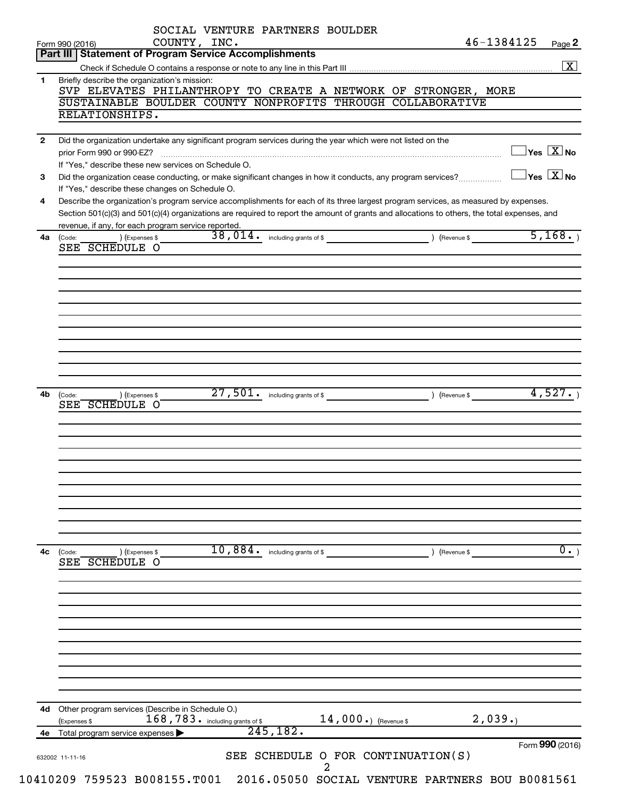|              | SOCIAL VENTURE PARTNERS BOULDER<br>46-1384125<br>COUNTY, INC.<br>Page 2<br>Form 990 (2016)                                                                                                                                                                                                                                                  |
|--------------|---------------------------------------------------------------------------------------------------------------------------------------------------------------------------------------------------------------------------------------------------------------------------------------------------------------------------------------------|
|              | Part III   Statement of Program Service Accomplishments<br>$\boxed{\text{X}}$                                                                                                                                                                                                                                                               |
| 1            | Briefly describe the organization's mission:                                                                                                                                                                                                                                                                                                |
|              | SVP ELEVATES PHILANTHROPY TO CREATE A NETWORK OF STRONGER, MORE<br>SUSTAINABLE BOULDER COUNTY NONPROFITS THROUGH COLLABORATIVE                                                                                                                                                                                                              |
|              | RELATIONSHIPS.                                                                                                                                                                                                                                                                                                                              |
| $\mathbf{2}$ | Did the organization undertake any significant program services during the year which were not listed on the                                                                                                                                                                                                                                |
|              | $\exists$ Yes $\boxed{\text{X}}$ No<br>prior Form 990 or 990-EZ?                                                                                                                                                                                                                                                                            |
| 3            | If "Yes," describe these new services on Schedule O.<br>$\exists$ Yes $\boxed{\text{X}}$ No<br>Did the organization cease conducting, or make significant changes in how it conducts, any program services?                                                                                                                                 |
|              | If "Yes," describe these changes on Schedule O.                                                                                                                                                                                                                                                                                             |
| 4            | Describe the organization's program service accomplishments for each of its three largest program services, as measured by expenses.<br>Section 501(c)(3) and 501(c)(4) organizations are required to report the amount of grants and allocations to others, the total expenses, and<br>revenue, if any, for each program service reported. |
| 4a           | 5,168.<br>) (Expenses \$<br>(Code:                                                                                                                                                                                                                                                                                                          |
|              | SEE SCHEDULE O                                                                                                                                                                                                                                                                                                                              |
|              |                                                                                                                                                                                                                                                                                                                                             |
|              |                                                                                                                                                                                                                                                                                                                                             |
|              |                                                                                                                                                                                                                                                                                                                                             |
|              |                                                                                                                                                                                                                                                                                                                                             |
|              |                                                                                                                                                                                                                                                                                                                                             |
|              |                                                                                                                                                                                                                                                                                                                                             |
|              |                                                                                                                                                                                                                                                                                                                                             |
|              |                                                                                                                                                                                                                                                                                                                                             |
| 4b           | 4,527.<br>27,501.<br>including grants of \$ (Revenue \$) (Revenue \$<br>) (Expenses \$<br>(Code:                                                                                                                                                                                                                                            |
|              | SEE SCHEDULE O                                                                                                                                                                                                                                                                                                                              |
|              |                                                                                                                                                                                                                                                                                                                                             |
|              |                                                                                                                                                                                                                                                                                                                                             |
|              |                                                                                                                                                                                                                                                                                                                                             |
|              |                                                                                                                                                                                                                                                                                                                                             |
|              |                                                                                                                                                                                                                                                                                                                                             |
|              |                                                                                                                                                                                                                                                                                                                                             |
|              |                                                                                                                                                                                                                                                                                                                                             |
|              |                                                                                                                                                                                                                                                                                                                                             |
| 4c           | 10,884.<br>$\overline{0.}$<br>including grants of \$<br>) (Revenue \$<br>(Code:<br>) (Expenses \$<br>SEE SCHEDULE O                                                                                                                                                                                                                         |
|              |                                                                                                                                                                                                                                                                                                                                             |
|              |                                                                                                                                                                                                                                                                                                                                             |
|              |                                                                                                                                                                                                                                                                                                                                             |
|              |                                                                                                                                                                                                                                                                                                                                             |
|              |                                                                                                                                                                                                                                                                                                                                             |
|              |                                                                                                                                                                                                                                                                                                                                             |
|              |                                                                                                                                                                                                                                                                                                                                             |
|              |                                                                                                                                                                                                                                                                                                                                             |
|              |                                                                                                                                                                                                                                                                                                                                             |
|              |                                                                                                                                                                                                                                                                                                                                             |
|              | Other program services (Describe in Schedule O.)                                                                                                                                                                                                                                                                                            |
| 4d           | $168,783$ . including grants of \$<br>2,039.<br>14,000.) (Revenue \$<br>(Expenses \$<br>245,182.                                                                                                                                                                                                                                            |
| 4e           | Total program service expenses<br>Form 990 (2016)<br>SEE SCHEDULE O FOR CONTINUATION(S)                                                                                                                                                                                                                                                     |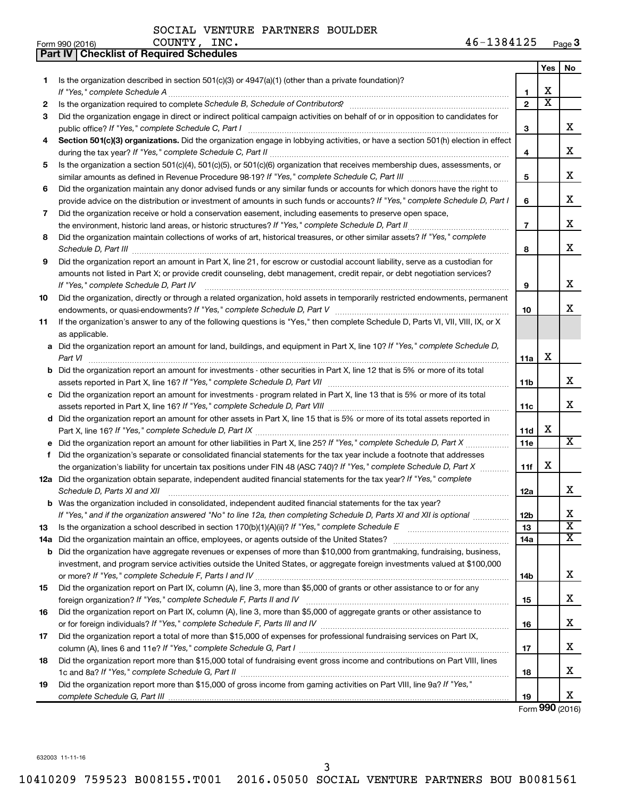|    | Part IV   Checklist of Required Schedules                                                                                                                                                                                                                                                                                                                            |                 |                       |                         |
|----|----------------------------------------------------------------------------------------------------------------------------------------------------------------------------------------------------------------------------------------------------------------------------------------------------------------------------------------------------------------------|-----------------|-----------------------|-------------------------|
|    |                                                                                                                                                                                                                                                                                                                                                                      |                 | Yes                   | No                      |
| 1  | Is the organization described in section $501(c)(3)$ or $4947(a)(1)$ (other than a private foundation)?                                                                                                                                                                                                                                                              |                 |                       |                         |
|    |                                                                                                                                                                                                                                                                                                                                                                      | 1               | х                     |                         |
| 2  | Is the organization required to complete Schedule B, Schedule of Contributors? [11] the organization required to complete Schedule B, Schedule of Contributors?                                                                                                                                                                                                      | $\overline{2}$  | $\overline{\text{x}}$ |                         |
| З  | Did the organization engage in direct or indirect political campaign activities on behalf of or in opposition to candidates for                                                                                                                                                                                                                                      |                 |                       |                         |
|    |                                                                                                                                                                                                                                                                                                                                                                      | 3               |                       | x                       |
| 4  | Section 501(c)(3) organizations. Did the organization engage in lobbying activities, or have a section 501(h) election in effect                                                                                                                                                                                                                                     |                 |                       |                         |
|    |                                                                                                                                                                                                                                                                                                                                                                      | 4               |                       | X                       |
| 5  | Is the organization a section 501(c)(4), 501(c)(5), or 501(c)(6) organization that receives membership dues, assessments, or                                                                                                                                                                                                                                         |                 |                       |                         |
|    |                                                                                                                                                                                                                                                                                                                                                                      | 5               |                       | X                       |
| 6  | Did the organization maintain any donor advised funds or any similar funds or accounts for which donors have the right to                                                                                                                                                                                                                                            |                 |                       |                         |
|    | provide advice on the distribution or investment of amounts in such funds or accounts? If "Yes," complete Schedule D, Part I                                                                                                                                                                                                                                         | 6               |                       | X                       |
| 7  | Did the organization receive or hold a conservation easement, including easements to preserve open space,                                                                                                                                                                                                                                                            |                 |                       |                         |
|    |                                                                                                                                                                                                                                                                                                                                                                      | $\overline{7}$  |                       | x                       |
| 8  | Did the organization maintain collections of works of art, historical treasures, or other similar assets? If "Yes," complete                                                                                                                                                                                                                                         |                 |                       |                         |
|    |                                                                                                                                                                                                                                                                                                                                                                      | 8               |                       | x                       |
| 9  | Schedule D, Part III <b>Marting Communities</b> and the contract of the contract of the contract of the contract of the contract of the contract of the contract of the contract of the contract of the contract of the contract of<br>Did the organization report an amount in Part X, line 21, for escrow or custodial account liability, serve as a custodian for |                 |                       |                         |
|    |                                                                                                                                                                                                                                                                                                                                                                      |                 |                       |                         |
|    | amounts not listed in Part X; or provide credit counseling, debt management, credit repair, or debt negotiation services?                                                                                                                                                                                                                                            | 9               |                       | X                       |
|    | If "Yes," complete Schedule D, Part IV                                                                                                                                                                                                                                                                                                                               |                 |                       |                         |
| 10 | Did the organization, directly or through a related organization, hold assets in temporarily restricted endowments, permanent                                                                                                                                                                                                                                        |                 |                       | x                       |
|    |                                                                                                                                                                                                                                                                                                                                                                      | 10              |                       |                         |
| 11 | If the organization's answer to any of the following questions is "Yes," then complete Schedule D, Parts VI, VII, VIII, IX, or X                                                                                                                                                                                                                                     |                 |                       |                         |
|    | as applicable.                                                                                                                                                                                                                                                                                                                                                       |                 |                       |                         |
|    | a Did the organization report an amount for land, buildings, and equipment in Part X, line 10? If "Yes," complete Schedule D,                                                                                                                                                                                                                                        |                 | х                     |                         |
|    | Part VI                                                                                                                                                                                                                                                                                                                                                              | 11a             |                       |                         |
|    | <b>b</b> Did the organization report an amount for investments - other securities in Part X, line 12 that is 5% or more of its total                                                                                                                                                                                                                                 |                 |                       |                         |
|    |                                                                                                                                                                                                                                                                                                                                                                      | 11 <sub>b</sub> |                       | x                       |
|    | c Did the organization report an amount for investments - program related in Part X, line 13 that is 5% or more of its total                                                                                                                                                                                                                                         |                 |                       |                         |
|    |                                                                                                                                                                                                                                                                                                                                                                      | 11c             |                       | х                       |
|    | d Did the organization report an amount for other assets in Part X, line 15 that is 5% or more of its total assets reported in                                                                                                                                                                                                                                       |                 |                       |                         |
|    |                                                                                                                                                                                                                                                                                                                                                                      | 11d             | х                     |                         |
|    | e Did the organization report an amount for other liabilities in Part X, line 25? If "Yes," complete Schedule D, Part X                                                                                                                                                                                                                                              | 11e             |                       | $\overline{\mathbf{X}}$ |
| f  | Did the organization's separate or consolidated financial statements for the tax year include a footnote that addresses                                                                                                                                                                                                                                              |                 |                       |                         |
|    | the organization's liability for uncertain tax positions under FIN 48 (ASC 740)? If "Yes," complete Schedule D, Part X                                                                                                                                                                                                                                               | 11f             | х                     |                         |
|    | 12a Did the organization obtain separate, independent audited financial statements for the tax year? If "Yes," complete                                                                                                                                                                                                                                              |                 |                       |                         |
|    | Schedule D, Parts XI and XII <b>continuum continuum continuum continuum continuum continuum continuum continuum</b> continuum continuum continuum continuum continuum continuum continuum continuum continuum continuum continuum c                                                                                                                                  | 12a             |                       | x                       |
|    | b Was the organization included in consolidated, independent audited financial statements for the tax year?                                                                                                                                                                                                                                                          |                 |                       |                         |
|    | If "Yes," and if the organization answered "No" to line 12a, then completing Schedule D, Parts XI and XII is optional                                                                                                                                                                                                                                                | 12 <sub>b</sub> |                       | х                       |
| 13 |                                                                                                                                                                                                                                                                                                                                                                      | 13              |                       | $\overline{\textbf{X}}$ |
|    |                                                                                                                                                                                                                                                                                                                                                                      | 14a             |                       | X                       |
|    | <b>b</b> Did the organization have aggregate revenues or expenses of more than \$10,000 from grantmaking, fundraising, business,                                                                                                                                                                                                                                     |                 |                       |                         |
|    | investment, and program service activities outside the United States, or aggregate foreign investments valued at \$100,000                                                                                                                                                                                                                                           |                 |                       |                         |
|    |                                                                                                                                                                                                                                                                                                                                                                      | 14b             |                       | x                       |
| 15 | Did the organization report on Part IX, column (A), line 3, more than \$5,000 of grants or other assistance to or for any                                                                                                                                                                                                                                            |                 |                       |                         |
|    |                                                                                                                                                                                                                                                                                                                                                                      | 15              |                       | х                       |
| 16 | Did the organization report on Part IX, column (A), line 3, more than \$5,000 of aggregate grants or other assistance to                                                                                                                                                                                                                                             |                 |                       |                         |
|    |                                                                                                                                                                                                                                                                                                                                                                      | 16              |                       | х                       |
| 17 | Did the organization report a total of more than \$15,000 of expenses for professional fundraising services on Part IX,                                                                                                                                                                                                                                              |                 |                       |                         |
|    |                                                                                                                                                                                                                                                                                                                                                                      | 17              |                       | х                       |
| 18 | Did the organization report more than \$15,000 total of fundraising event gross income and contributions on Part VIII, lines                                                                                                                                                                                                                                         |                 |                       |                         |
|    |                                                                                                                                                                                                                                                                                                                                                                      | 18              |                       | x                       |
| 19 | Did the organization report more than \$15,000 of gross income from gaming activities on Part VIII, line 9a? If "Yes,"                                                                                                                                                                                                                                               |                 |                       |                         |
|    |                                                                                                                                                                                                                                                                                                                                                                      | 19              |                       | x                       |

Form (2016) **990**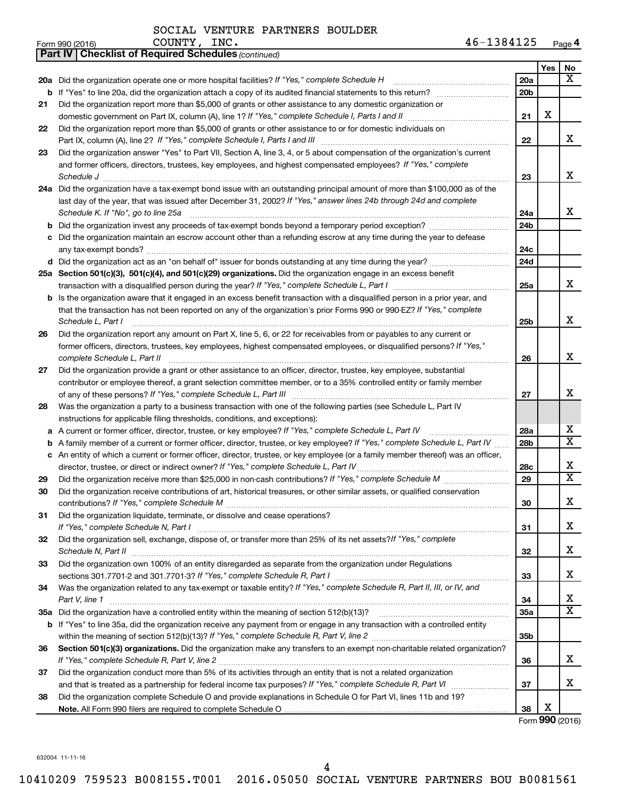| Form 990 (2016) | INC.<br>COUNTY | 1384125<br>46- | Page <b>4</b> |
|-----------------|----------------|----------------|---------------|
|-----------------|----------------|----------------|---------------|

|    | <b>Part IV   Checklist of Required Schedules (continued)</b>                                                                        |                 |     |                         |
|----|-------------------------------------------------------------------------------------------------------------------------------------|-----------------|-----|-------------------------|
|    |                                                                                                                                     |                 | Yes | No                      |
|    | 20a Did the organization operate one or more hospital facilities? If "Yes," complete Schedule H                                     | 20a             |     | x                       |
|    |                                                                                                                                     | 20 <sub>b</sub> |     |                         |
| 21 | Did the organization report more than \$5,000 of grants or other assistance to any domestic organization or                         |                 |     |                         |
|    |                                                                                                                                     | 21              | X   |                         |
| 22 | Did the organization report more than \$5,000 of grants or other assistance to or for domestic individuals on                       |                 |     |                         |
|    |                                                                                                                                     | 22              |     | x                       |
| 23 | Did the organization answer "Yes" to Part VII, Section A, line 3, 4, or 5 about compensation of the organization's current          |                 |     |                         |
|    | and former officers, directors, trustees, key employees, and highest compensated employees? If "Yes," complete                      |                 |     |                         |
|    | Schedule J <b>Execute Schedule J Execute Schedule J</b>                                                                             | 23              |     | х                       |
|    | 24a Did the organization have a tax-exempt bond issue with an outstanding principal amount of more than \$100,000 as of the         |                 |     |                         |
|    | last day of the year, that was issued after December 31, 2002? If "Yes," answer lines 24b through 24d and complete                  |                 |     |                         |
|    | Schedule K. If "No", go to line 25a                                                                                                 | 24a             |     | x                       |
| b  |                                                                                                                                     | 24 <sub>b</sub> |     |                         |
|    | Did the organization maintain an escrow account other than a refunding escrow at any time during the year to defease                |                 |     |                         |
|    |                                                                                                                                     | 24c             |     |                         |
|    | d Did the organization act as an "on behalf of" issuer for bonds outstanding at any time during the year?                           | 24d             |     |                         |
|    | 25a Section 501(c)(3), 501(c)(4), and 501(c)(29) organizations. Did the organization engage in an excess benefit                    |                 |     |                         |
|    |                                                                                                                                     | 25a             |     | x                       |
|    | <b>b</b> Is the organization aware that it engaged in an excess benefit transaction with a disqualified person in a prior year, and |                 |     |                         |
|    | that the transaction has not been reported on any of the organization's prior Forms 990 or 990-EZ? If "Yes," complete               |                 |     |                         |
|    | Schedule L, Part I                                                                                                                  | 25b             |     | х                       |
| 26 | Did the organization report any amount on Part X, line 5, 6, or 22 for receivables from or payables to any current or               |                 |     |                         |
|    | former officers, directors, trustees, key employees, highest compensated employees, or disqualified persons? If "Yes,"              |                 |     |                         |
|    | complete Schedule L, Part II                                                                                                        | 26              |     | х                       |
| 27 | Did the organization provide a grant or other assistance to an officer, director, trustee, key employee, substantial                |                 |     |                         |
|    | contributor or employee thereof, a grant selection committee member, or to a 35% controlled entity or family member                 |                 |     |                         |
|    |                                                                                                                                     | 27              |     | х                       |
| 28 | Was the organization a party to a business transaction with one of the following parties (see Schedule L, Part IV                   |                 |     |                         |
|    | instructions for applicable filing thresholds, conditions, and exceptions):                                                         |                 |     |                         |
| а  | A current or former officer, director, trustee, or key employee? If "Yes," complete Schedule L, Part IV                             | 28a             |     | x                       |
| b  | A family member of a current or former officer, director, trustee, or key employee? If "Yes," complete Schedule L, Part IV          | 28b             |     | $\overline{\textbf{X}}$ |
|    | c An entity of which a current or former officer, director, trustee, or key employee (or a family member thereof) was an officer,   |                 |     |                         |
|    | director, trustee, or direct or indirect owner? If "Yes," complete Schedule L, Part IV                                              | 28c             |     | х                       |
| 29 |                                                                                                                                     | 29              |     | $\overline{\textbf{X}}$ |
| 30 | Did the organization receive contributions of art, historical treasures, or other similar assets, or qualified conservation         |                 |     |                         |
|    |                                                                                                                                     | 30              |     | Χ                       |
| 31 | Did the organization liquidate, terminate, or dissolve and cease operations?                                                        |                 |     |                         |
|    |                                                                                                                                     | 31              |     | x.                      |
| 32 | Did the organization sell, exchange, dispose of, or transfer more than 25% of its net assets? If "Yes," complete                    |                 |     |                         |
|    |                                                                                                                                     | 32              |     | х                       |
| 33 | Did the organization own 100% of an entity disregarded as separate from the organization under Regulations                          |                 |     |                         |
|    |                                                                                                                                     | 33              |     | x                       |
| 34 | Was the organization related to any tax-exempt or taxable entity? If "Yes," complete Schedule R, Part II, III, or IV, and           |                 |     |                         |
|    | Part V, line 1                                                                                                                      | 34              |     | х                       |
|    |                                                                                                                                     | <b>35a</b>      |     | X                       |
|    | b If "Yes" to line 35a, did the organization receive any payment from or engage in any transaction with a controlled entity         |                 |     |                         |
|    |                                                                                                                                     | 35b             |     |                         |
| 36 | Section 501(c)(3) organizations. Did the organization make any transfers to an exempt non-charitable related organization?          |                 |     |                         |
|    |                                                                                                                                     | 36              |     | x                       |
| 37 | Did the organization conduct more than 5% of its activities through an entity that is not a related organization                    |                 |     |                         |
|    |                                                                                                                                     | 37              |     | x                       |
| 38 | Did the organization complete Schedule O and provide explanations in Schedule O for Part VI, lines 11b and 19?                      |                 |     |                         |
|    |                                                                                                                                     | 38              | X   |                         |

Form (2016) **990**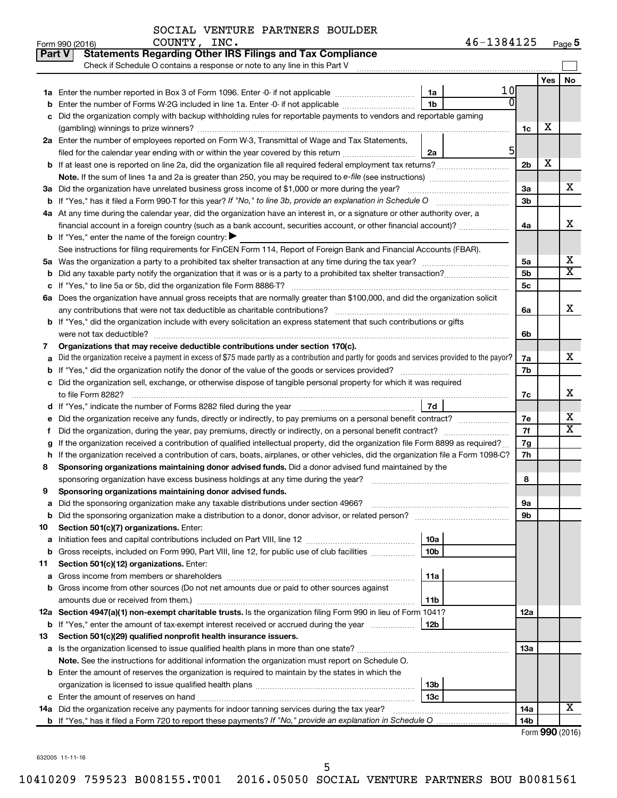COUNTY, INC.

|        | Part V<br><b>Statements Regarding Other IRS Filings and Tax Compliance</b>                                                                                                                                                                       |          |                 |            |                         |
|--------|--------------------------------------------------------------------------------------------------------------------------------------------------------------------------------------------------------------------------------------------------|----------|-----------------|------------|-------------------------|
|        | Check if Schedule O contains a response or note to any line in this Part V                                                                                                                                                                       |          |                 |            |                         |
|        |                                                                                                                                                                                                                                                  |          |                 | <b>Yes</b> | <b>No</b>               |
| 1a     | Enter the number reported in Box 3 of Form 1096. Enter -0- if not applicable<br>1a                                                                                                                                                               | 10       |                 |            |                         |
| b      | 1 <sub>b</sub><br>Enter the number of Forms W-2G included in line 1a. Enter -0- if not applicable                                                                                                                                                |          |                 |            |                         |
| с      | Did the organization comply with backup withholding rules for reportable payments to vendors and reportable gaming                                                                                                                               |          |                 |            |                         |
|        |                                                                                                                                                                                                                                                  |          | 1c              | х          |                         |
|        | 2a Enter the number of employees reported on Form W-3, Transmittal of Wage and Tax Statements,                                                                                                                                                   | $5 \mid$ |                 |            |                         |
|        | filed for the calendar year ending with or within the year covered by this return<br>2a                                                                                                                                                          |          |                 | X          |                         |
|        |                                                                                                                                                                                                                                                  |          | 2 <sub>b</sub>  |            |                         |
|        |                                                                                                                                                                                                                                                  |          | 3a              |            | x                       |
|        | 3a Did the organization have unrelated business gross income of \$1,000 or more during the year?<br>If "Yes," has it filed a Form 990 T for this year? If "No," to line 3b, provide an explanation in Schedule O manumed                         |          | 3 <sub>b</sub>  |            |                         |
|        | 4a At any time during the calendar year, did the organization have an interest in, or a signature or other authority over, a                                                                                                                     |          |                 |            |                         |
|        | financial account in a foreign country (such as a bank account, securities account, or other financial account)?                                                                                                                                 |          | 4a              |            | x                       |
|        | <b>b</b> If "Yes," enter the name of the foreign country: $\blacktriangleright$                                                                                                                                                                  |          |                 |            |                         |
|        | See instructions for filing requirements for FinCEN Form 114, Report of Foreign Bank and Financial Accounts (FBAR).                                                                                                                              |          |                 |            |                         |
|        |                                                                                                                                                                                                                                                  |          | 5a              |            | x                       |
| b      |                                                                                                                                                                                                                                                  |          | 5b              |            | $\overline{\mathtt{x}}$ |
| с      |                                                                                                                                                                                                                                                  |          | 5c              |            |                         |
|        | 6a Does the organization have annual gross receipts that are normally greater than \$100,000, and did the organization solicit                                                                                                                   |          |                 |            |                         |
|        |                                                                                                                                                                                                                                                  |          | 6a              |            | x                       |
|        | <b>b</b> If "Yes," did the organization include with every solicitation an express statement that such contributions or gifts                                                                                                                    |          |                 |            |                         |
|        |                                                                                                                                                                                                                                                  |          | 6b              |            |                         |
| 7      | Organizations that may receive deductible contributions under section 170(c).                                                                                                                                                                    |          |                 |            |                         |
|        | Did the organization receive a payment in excess of \$75 made partly as a contribution and partly for goods and services provided to the payor?                                                                                                  |          | 7a              |            | x                       |
| b      |                                                                                                                                                                                                                                                  |          |                 |            |                         |
| с      | Did the organization sell, exchange, or otherwise dispose of tangible personal property for which it was required                                                                                                                                |          |                 |            |                         |
|        |                                                                                                                                                                                                                                                  |          | 7c              |            | х                       |
|        | 7d<br>d If "Yes," indicate the number of Forms 8282 filed during the year manufacture intervent contains the Net Step                                                                                                                            |          |                 |            | x                       |
| е      | Did the organization receive any funds, directly or indirectly, to pay premiums on a personal benefit contract?                                                                                                                                  |          | 7e<br>7f        |            | $\overline{\mathtt{x}}$ |
|        | Did the organization, during the year, pay premiums, directly or indirectly, on a personal benefit contract?<br>If the organization received a contribution of qualified intellectual property, did the organization file Form 8899 as required? |          | 7g              |            |                         |
| g<br>h | If the organization received a contribution of cars, boats, airplanes, or other vehicles, did the organization file a Form 1098-C?                                                                                                               |          | 7h              |            |                         |
| 8      | Sponsoring organizations maintaining donor advised funds. Did a donor advised fund maintained by the                                                                                                                                             |          |                 |            |                         |
|        |                                                                                                                                                                                                                                                  |          | 8               |            |                         |
| 9      | Sponsoring organizations maintaining donor advised funds.                                                                                                                                                                                        |          |                 |            |                         |
| а      |                                                                                                                                                                                                                                                  |          | 9a              |            |                         |
| b      | Did the sponsoring organization make a distribution to a donor, donor advisor, or related person?                                                                                                                                                |          | 9b              |            |                         |
| 10     | Section 501(c)(7) organizations. Enter:                                                                                                                                                                                                          |          |                 |            |                         |
| а      | 10a                                                                                                                                                                                                                                              |          |                 |            |                         |
| b      | 10 <sub>b</sub><br>Gross receipts, included on Form 990, Part VIII, line 12, for public use of club facilities                                                                                                                                   |          |                 |            |                         |
| 11     | Section 501(c)(12) organizations. Enter:                                                                                                                                                                                                         |          |                 |            |                         |
| а      | 11a                                                                                                                                                                                                                                              |          |                 |            |                         |
| b      | Gross income from other sources (Do not net amounts due or paid to other sources against                                                                                                                                                         |          |                 |            |                         |
|        | 11 <sub>b</sub>                                                                                                                                                                                                                                  |          |                 |            |                         |
|        | 12a Section 4947(a)(1) non-exempt charitable trusts. Is the organization filing Form 990 in lieu of Form 1041?                                                                                                                                   |          | 12a             |            |                         |
|        | <b>b</b> If "Yes," enter the amount of tax-exempt interest received or accrued during the year<br>12b                                                                                                                                            |          |                 |            |                         |
| 13     | Section 501(c)(29) qualified nonprofit health insurance issuers.                                                                                                                                                                                 |          |                 |            |                         |
| а      | Is the organization licensed to issue qualified health plans in more than one state?                                                                                                                                                             |          | 1За             |            |                         |
|        | Note. See the instructions for additional information the organization must report on Schedule O.                                                                                                                                                |          |                 |            |                         |
| b      | Enter the amount of reserves the organization is required to maintain by the states in which the                                                                                                                                                 |          |                 |            |                         |
|        | 13 <sub>b</sub><br>13 <sub>c</sub>                                                                                                                                                                                                               |          |                 |            |                         |
|        | 14a Did the organization receive any payments for indoor tanning services during the tax year?                                                                                                                                                   |          | 14a             |            | $\overline{\mathbf{X}}$ |
|        |                                                                                                                                                                                                                                                  |          | 14 <sub>b</sub> |            |                         |
|        |                                                                                                                                                                                                                                                  |          |                 |            |                         |

Form (2016) **990**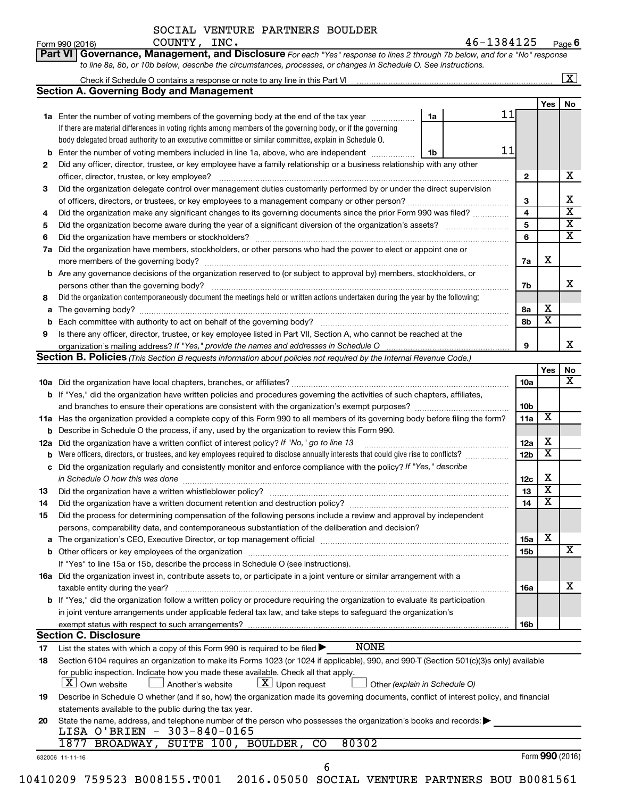| SOCIAL VENTURE PARTNERS BOULDER |  |  |  |  |
|---------------------------------|--|--|--|--|
|---------------------------------|--|--|--|--|

 $\frac{1}{200}$   $\frac{1}{200}$   $\frac{1}{200}$   $\frac{1}{200}$   $\frac{1}{200}$   $\frac{1}{200}$   $\frac{1}{200}$   $\frac{1}{200}$   $\frac{1}{200}$   $\frac{1}{200}$   $\frac{1}{200}$   $\frac{1}{200}$   $\frac{1}{200}$   $\frac{1}{200}$   $\frac{1}{200}$   $\frac{1}{200}$   $\frac{1}{200}$   $\frac{1}{200}$   $\frac{1$ **6**  $\texttt{COUNTY}, \texttt{INC.} \quad 46-1384125$ 

|    |                                                                                                                                                                                                                                        |    |    |                 |                         | $\boxed{\textbf{X}}$    |
|----|----------------------------------------------------------------------------------------------------------------------------------------------------------------------------------------------------------------------------------------|----|----|-----------------|-------------------------|-------------------------|
|    | <b>Section A. Governing Body and Management</b>                                                                                                                                                                                        |    |    |                 |                         |                         |
|    |                                                                                                                                                                                                                                        |    | 11 |                 | Yes                     | No                      |
|    | 1a Enter the number of voting members of the governing body at the end of the tax year <i>manumum</i>                                                                                                                                  | 1a |    |                 |                         |                         |
|    | If there are material differences in voting rights among members of the governing body, or if the governing                                                                                                                            |    |    |                 |                         |                         |
|    | body delegated broad authority to an executive committee or similar committee, explain in Schedule O.                                                                                                                                  |    |    |                 |                         |                         |
| b  | Enter the number of voting members included in line 1a, above, who are independent                                                                                                                                                     | 1b | 11 |                 |                         |                         |
| 2  | Did any officer, director, trustee, or key employee have a family relationship or a business relationship with any other<br>officer, director, trustee, or key employee?                                                               |    |    | $\mathbf{2}$    |                         | x                       |
| 3  | Did the organization delegate control over management duties customarily performed by or under the direct supervision                                                                                                                  |    |    |                 |                         |                         |
|    |                                                                                                                                                                                                                                        |    |    | 3               |                         | Χ                       |
| 4  | Did the organization make any significant changes to its governing documents since the prior Form 990 was filed?                                                                                                                       |    |    | 4               |                         | $\overline{\mathbf{x}}$ |
| 5  |                                                                                                                                                                                                                                        |    |    | 5               |                         | $\overline{\mathbf{X}}$ |
| 6  |                                                                                                                                                                                                                                        |    |    | 6               |                         | $\overline{\textbf{X}}$ |
| 7a | Did the organization have members, stockholders, or other persons who had the power to elect or appoint one or                                                                                                                         |    |    |                 |                         |                         |
|    |                                                                                                                                                                                                                                        |    |    | 7a              | х                       |                         |
| b  | Are any governance decisions of the organization reserved to (or subject to approval by) members, stockholders, or                                                                                                                     |    |    |                 |                         |                         |
|    |                                                                                                                                                                                                                                        |    |    | 7b              |                         | x                       |
| 8  | Did the organization contemporaneously document the meetings held or written actions undertaken during the year by the following:                                                                                                      |    |    |                 |                         |                         |
| а  |                                                                                                                                                                                                                                        |    |    | 8а              | х                       |                         |
|    | Each committee with authority to act on behalf of the governing body? [11] [12] [22] [23] [23] [23] [23] [24] [                                                                                                                        |    |    | 8b              | $\overline{\mathbf{X}}$ |                         |
| 9  | Is there any officer, director, trustee, or key employee listed in Part VII, Section A, who cannot be reached at the                                                                                                                   |    |    |                 |                         |                         |
|    |                                                                                                                                                                                                                                        |    |    | 9               |                         | х                       |
|    | Section B. Policies (This Section B requests information about policies not required by the Internal Revenue Code.)                                                                                                                    |    |    |                 |                         |                         |
|    |                                                                                                                                                                                                                                        |    |    |                 | Yes                     | No                      |
|    |                                                                                                                                                                                                                                        |    |    | 10a             |                         | x                       |
|    | <b>b</b> If "Yes," did the organization have written policies and procedures governing the activities of such chapters, affiliates,                                                                                                    |    |    |                 |                         |                         |
|    |                                                                                                                                                                                                                                        |    |    | 10 <sub>b</sub> |                         |                         |
|    | 11a Has the organization provided a complete copy of this Form 990 to all members of its governing body before filing the form?                                                                                                        |    |    | 11a             | X                       |                         |
|    | <b>b</b> Describe in Schedule O the process, if any, used by the organization to review this Form 990.                                                                                                                                 |    |    |                 |                         |                         |
|    | 12a Did the organization have a written conflict of interest policy? If "No," go to line 13                                                                                                                                            |    |    | 12a             | х                       |                         |
|    | Were officers, directors, or trustees, and key employees required to disclose annually interests that could give rise to conflicts?                                                                                                    |    |    | 12 <sub>b</sub> | $\overline{\textbf{x}}$ |                         |
|    | c Did the organization regularly and consistently monitor and enforce compliance with the policy? If "Yes," describe<br>in Schedule O how this was done [11] manufacture manufacture manufacture manufacture manufacture manufacture m |    |    | 12c             | х                       |                         |
| 13 |                                                                                                                                                                                                                                        |    |    | 13              | $\overline{\mathbf{X}}$ |                         |
| 14 | Did the organization have a written document retention and destruction policy? [111] manufaction policy?                                                                                                                               |    |    | 14              | $\overline{\texttt{x}}$ |                         |
| 15 | Did the process for determining compensation of the following persons include a review and approval by independent                                                                                                                     |    |    |                 |                         |                         |
|    | persons, comparability data, and contemporaneous substantiation of the deliberation and decision?                                                                                                                                      |    |    |                 |                         |                         |
|    |                                                                                                                                                                                                                                        |    |    | 15a             | X                       |                         |
| а  |                                                                                                                                                                                                                                        |    |    | 15b             |                         | X                       |
|    | If "Yes" to line 15a or 15b, describe the process in Schedule O (see instructions).                                                                                                                                                    |    |    |                 |                         |                         |
|    | 16a Did the organization invest in, contribute assets to, or participate in a joint venture or similar arrangement with a                                                                                                              |    |    |                 |                         |                         |
|    |                                                                                                                                                                                                                                        |    |    |                 |                         | х                       |
|    | taxable entity during the year?<br>b If "Yes," did the organization follow a written policy or procedure requiring the organization to evaluate its participation                                                                      |    |    | 16a             |                         |                         |
|    |                                                                                                                                                                                                                                        |    |    |                 |                         |                         |
|    | in joint venture arrangements under applicable federal tax law, and take steps to safeguard the organization's                                                                                                                         |    |    |                 |                         |                         |
|    | exempt status with respect to such arrangements?                                                                                                                                                                                       |    |    | 16b             |                         |                         |
|    | <b>Section C. Disclosure</b><br><b>NONE</b>                                                                                                                                                                                            |    |    |                 |                         |                         |
| 17 | List the states with which a copy of this Form 990 is required to be filed $\blacktriangleright$                                                                                                                                       |    |    |                 |                         |                         |
| 18 | Section 6104 requires an organization to make its Forms 1023 (or 1024 if applicable), 990, and 990-T (Section 501(c)(3)s only) available                                                                                               |    |    |                 |                         |                         |
|    | for public inspection. Indicate how you made these available. Check all that apply.                                                                                                                                                    |    |    |                 |                         |                         |
|    | $\lfloor x \rfloor$ Upon request<br><b>X</b> Own website<br>$\perp$ Another's website<br>Other (explain in Schedule O)                                                                                                                 |    |    |                 |                         |                         |
| 19 | Describe in Schedule O whether (and if so, how) the organization made its governing documents, conflict of interest policy, and financial                                                                                              |    |    |                 |                         |                         |
|    | statements available to the public during the tax year.                                                                                                                                                                                |    |    |                 |                         |                         |
| 20 | State the name, address, and telephone number of the person who possesses the organization's books and records:                                                                                                                        |    |    |                 |                         |                         |
|    | LISA O'BRIEN - 303-840-0165                                                                                                                                                                                                            |    |    |                 |                         |                         |
|    |                                                                                                                                                                                                                                        |    |    |                 |                         |                         |
|    | BROADWAY, SUITE 100, BOULDER,<br>80302<br>$\overline{co}$<br>1877                                                                                                                                                                      |    |    |                 | Form 990 (2016)         |                         |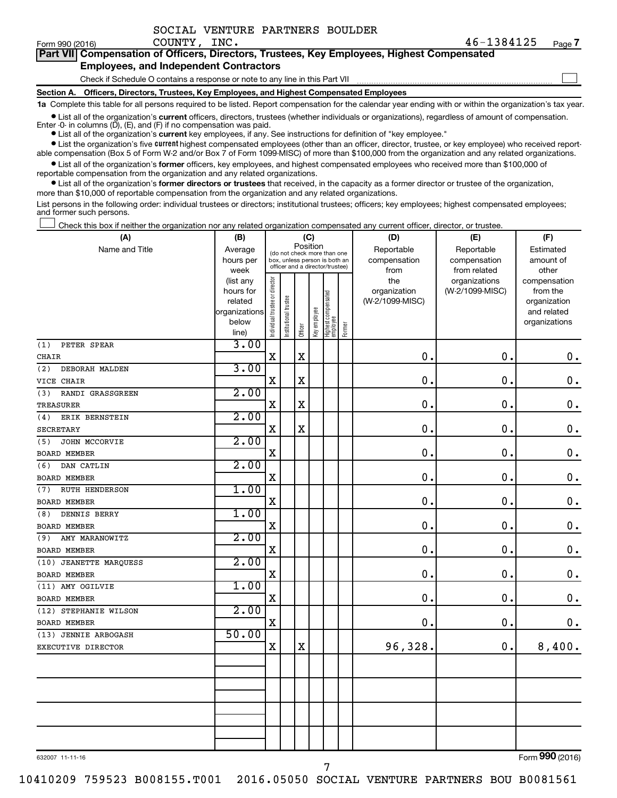|  | SOCIAL VENTURE PARTNERS BOULDER |  |
|--|---------------------------------|--|
|  |                                 |  |

| <b>Part VIII Compensation of Officers, Directors, Trustees, Key Employees, Highest Compensated</b> |  |
|----------------------------------------------------------------------------------------------------|--|
| <b>Employees, and Independent Contractors</b>                                                      |  |
| Check if Schedule O contains a response or note to any line in this Part VII                       |  |

**Section A. Officers, Directors, Trustees, Key Employees, and Highest Compensated Employees**

**1a**  Complete this table for all persons required to be listed. Report compensation for the calendar year ending with or within the organization's tax year.

**•** List all of the organization's current officers, directors, trustees (whether individuals or organizations), regardless of amount of compensation. Enter -0- in columns  $(D)$ ,  $(E)$ , and  $(F)$  if no compensation was paid.

**•** List all of the organization's **current** key employees, if any. See instructions for definition of "key employee."

**•** List the organization's five current highest compensated employees (other than an officer, director, trustee, or key employee) who received reportable compensation (Box 5 of Form W-2 and/or Box 7 of Form 1099-MISC) of more than \$100,000 from the organization and any related organizations.

**•** List all of the organization's former officers, key employees, and highest compensated employees who received more than \$100,000 of reportable compensation from the organization and any related organizations.

**•** List all of the organization's former directors or trustees that received, in the capacity as a former director or trustee of the organization, more than \$10,000 of reportable compensation from the organization and any related organizations.

List persons in the following order: individual trustees or directors; institutional trustees; officers; key employees; highest compensated employees; and former such persons.

Check this box if neither the organization nor any related organization compensated any current officer, director, or trustee.  $\Box$ 

| (A)                     | (B)               |                                |                                                                  | (C)         |              |                                 |        | (D)             | (E)                           | (F)                   |
|-------------------------|-------------------|--------------------------------|------------------------------------------------------------------|-------------|--------------|---------------------------------|--------|-----------------|-------------------------------|-----------------------|
| Name and Title          | Average           |                                | (do not check more than one                                      | Position    |              |                                 |        | Reportable      | Reportable                    | Estimated             |
|                         | hours per         |                                | box, unless person is both an<br>officer and a director/trustee) |             |              |                                 |        | compensation    | compensation                  | amount of             |
|                         | week<br>(list any |                                |                                                                  |             |              |                                 |        | from<br>the     | from related<br>organizations | other<br>compensation |
|                         | hours for         |                                |                                                                  |             |              |                                 |        | organization    | (W-2/1099-MISC)               | from the              |
|                         | related           |                                |                                                                  |             |              |                                 |        | (W-2/1099-MISC) |                               | organization          |
|                         | organizations     |                                |                                                                  |             |              |                                 |        |                 |                               | and related           |
|                         | below             | Individual trustee or director | Institutional trustee                                            |             | Key employee | Highest compensated<br>employee |        |                 |                               | organizations         |
|                         | line)             |                                |                                                                  | Officer     |              |                                 | Former |                 |                               |                       |
| (1)<br>PETER SPEAR      | 3.00              |                                |                                                                  |             |              |                                 |        |                 |                               |                       |
| CHAIR                   |                   | $\mathbf X$                    |                                                                  | $\mathbf X$ |              |                                 |        | $\mathbf 0$ .   | $\mathbf 0$ .                 | $\mathbf 0$ .         |
| (2)<br>DEBORAH MALDEN   | 3.00              |                                |                                                                  |             |              |                                 |        |                 |                               |                       |
| VICE CHAIR              |                   | $\mathbf X$                    |                                                                  | X           |              |                                 |        | $\mathbf 0$ .   | $\mathbf 0$ .                 | $\mathbf 0$ .         |
| RANDI GRASSGREEN<br>(3) | 2.00              |                                |                                                                  |             |              |                                 |        |                 |                               |                       |
| TREASURER               |                   | $\mathbf X$                    |                                                                  | $\mathbf X$ |              |                                 |        | $\mathbf 0$ .   | $\mathbf 0$ .                 | $\mathbf 0$ .         |
| ERIK BERNSTEIN<br>(4)   | 2.00              |                                |                                                                  |             |              |                                 |        |                 |                               |                       |
| SECRETARY               |                   | $\mathbf X$                    |                                                                  | X           |              |                                 |        | $\mathbf 0$ .   | $\mathbf 0$ .                 | $\mathbf 0$ .         |
| JOHN MCCORVIE<br>(5)    | 2.00              |                                |                                                                  |             |              |                                 |        |                 |                               |                       |
| <b>BOARD MEMBER</b>     |                   | $\mathbf X$                    |                                                                  |             |              |                                 |        | $\mathbf 0$ .   | $\mathbf 0$ .                 | $\mathbf 0$ .         |
| DAN CATLIN<br>(6)       | 2.00              |                                |                                                                  |             |              |                                 |        |                 |                               |                       |
| <b>BOARD MEMBER</b>     |                   | $\mathbf X$                    |                                                                  |             |              |                                 |        | $\mathbf 0$ .   | $\mathbf 0$ .                 | $\mathbf 0$ .         |
| RUTH HENDERSON<br>(7)   | 1.00              |                                |                                                                  |             |              |                                 |        |                 |                               |                       |
| <b>BOARD MEMBER</b>     |                   | $\mathbf X$                    |                                                                  |             |              |                                 |        | 0.              | $\mathbf 0$ .                 | $\mathbf 0$ .         |
| DENNIS BERRY<br>(8)     | 1.00              |                                |                                                                  |             |              |                                 |        |                 |                               |                       |
| <b>BOARD MEMBER</b>     |                   | $\mathbf x$                    |                                                                  |             |              |                                 |        | $\mathbf 0$ .   | $\mathbf 0$ .                 | $\mathbf 0$ .         |
| AMY MARANOWITZ<br>(9)   | 2.00              |                                |                                                                  |             |              |                                 |        |                 |                               |                       |
| <b>BOARD MEMBER</b>     |                   | $\mathbf x$                    |                                                                  |             |              |                                 |        | 0.              | $\mathbf 0$ .                 | $\mathbf 0$ .         |
| (10) JEANETTE MARQUESS  | 2.00              |                                |                                                                  |             |              |                                 |        |                 |                               |                       |
| <b>BOARD MEMBER</b>     |                   | $\mathbf x$                    |                                                                  |             |              |                                 |        | $\mathbf 0$ .   | $\mathbf 0$ .                 | $\mathbf 0$ .         |
| (11) AMY OGILVIE        | 1.00              |                                |                                                                  |             |              |                                 |        |                 |                               |                       |
| <b>BOARD MEMBER</b>     |                   | $\mathbf x$                    |                                                                  |             |              |                                 |        | 0.              | $\mathbf 0$ .                 | $\mathbf 0$ .         |
| (12) STEPHANIE WILSON   | 2.00              |                                |                                                                  |             |              |                                 |        |                 |                               |                       |
| <b>BOARD MEMBER</b>     |                   | $\rm X$                        |                                                                  |             |              |                                 |        | $\mathbf 0$ .   | $\mathbf 0$ .                 | $\mathbf 0$ .         |
| (13) JENNIE ARBOGASH    | 50.00             |                                |                                                                  |             |              |                                 |        |                 |                               |                       |
| EXECUTIVE DIRECTOR      |                   | $\mathbf X$                    |                                                                  | $\mathbf X$ |              |                                 |        | 96,328.         | $\mathbf 0$ .                 | 8,400.                |
|                         |                   |                                |                                                                  |             |              |                                 |        |                 |                               |                       |
|                         |                   |                                |                                                                  |             |              |                                 |        |                 |                               |                       |
|                         |                   |                                |                                                                  |             |              |                                 |        |                 |                               |                       |
|                         |                   |                                |                                                                  |             |              |                                 |        |                 |                               |                       |
|                         |                   |                                |                                                                  |             |              |                                 |        |                 |                               |                       |
|                         |                   |                                |                                                                  |             |              |                                 |        |                 |                               |                       |
|                         |                   |                                |                                                                  |             |              |                                 |        |                 |                               |                       |
|                         |                   |                                |                                                                  |             |              |                                 |        |                 |                               |                       |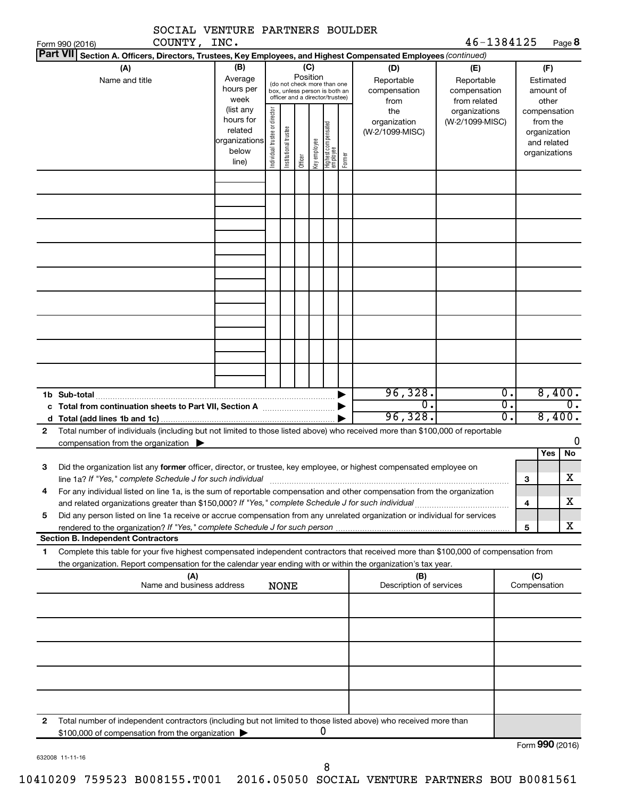|                                    | SOCIAL VENTURE PARTNERS BOULDER                                                                                                                                                                                                                        |                                             |                                |                                                                                                 |                 |                                             |                                                                  |                                                |                                      |                   |                                              |                              |
|------------------------------------|--------------------------------------------------------------------------------------------------------------------------------------------------------------------------------------------------------------------------------------------------------|---------------------------------------------|--------------------------------|-------------------------------------------------------------------------------------------------|-----------------|---------------------------------------------|------------------------------------------------------------------|------------------------------------------------|--------------------------------------|-------------------|----------------------------------------------|------------------------------|
| Form 990 (2016)<br><b>Part VII</b> | COUNTY, INC.                                                                                                                                                                                                                                           |                                             |                                |                                                                                                 |                 |                                             |                                                                  |                                                |                                      | 46-1384125        |                                              | Page 8                       |
|                                    | Section A. Officers, Directors, Trustees, Key Employees, and Highest Compensated Employees (continued)<br>(A)<br>Name and title                                                                                                                        | (B)<br>Average                              |                                |                                                                                                 | (C)<br>Position |                                             |                                                                  |                                                | (D)<br>Reportable                    | (E)<br>Reportable | (F)<br>Estimated                             |                              |
|                                    |                                                                                                                                                                                                                                                        | hours per<br>week<br>(list any<br>hours for |                                | (do not check more than one<br>box, unless person is both an<br>officer and a director/trustee) |                 | compensation<br>from<br>the<br>organization | compensation<br>from related<br>organizations<br>(W-2/1099-MISC) | amount of<br>other<br>compensation<br>from the |                                      |                   |                                              |                              |
|                                    |                                                                                                                                                                                                                                                        | related<br>organizations<br>below<br>line)  | Individual trustee or director | Institutional trustee                                                                           | Officer         | Key employee                                | Highest compensated<br>employee                                  | Former                                         | (W-2/1099-MISC)                      |                   | organization<br>and related<br>organizations |                              |
|                                    |                                                                                                                                                                                                                                                        |                                             |                                |                                                                                                 |                 |                                             |                                                                  |                                                |                                      |                   |                                              |                              |
|                                    |                                                                                                                                                                                                                                                        |                                             |                                |                                                                                                 |                 |                                             |                                                                  |                                                |                                      |                   |                                              |                              |
|                                    |                                                                                                                                                                                                                                                        |                                             |                                |                                                                                                 |                 |                                             |                                                                  |                                                |                                      |                   |                                              |                              |
|                                    |                                                                                                                                                                                                                                                        |                                             |                                |                                                                                                 |                 |                                             |                                                                  |                                                |                                      |                   |                                              |                              |
|                                    |                                                                                                                                                                                                                                                        |                                             |                                |                                                                                                 |                 |                                             |                                                                  |                                                |                                      |                   |                                              |                              |
| 1b Sub-total                       | c Total from continuation sheets to Part VII, Section A <b>manual</b> contains the Total Section A                                                                                                                                                     |                                             |                                |                                                                                                 |                 |                                             |                                                                  |                                                | 96,328.<br>$\overline{0}$<br>96,328. | Ο.<br>Ο.<br>0.    |                                              | 8,400.<br>0.<br>8,400.       |
| $\mathbf{2}$                       | Total number of individuals (including but not limited to those listed above) who received more than \$100,000 of reportable                                                                                                                           |                                             |                                |                                                                                                 |                 |                                             |                                                                  |                                                |                                      |                   |                                              | 0                            |
| З                                  | compensation from the organization $\blacktriangleright$<br>Did the organization list any former officer, director, or trustee, key employee, or highest compensated employee on                                                                       |                                             |                                |                                                                                                 |                 |                                             |                                                                  |                                                |                                      |                   | Yes                                          | No                           |
| 4                                  | line 1a? If "Yes," complete Schedule J for such individual<br>For any individual listed on line 1a, is the sum of reportable compensation and other compensation from the organization                                                                 |                                             |                                |                                                                                                 |                 |                                             |                                                                  |                                                |                                      |                   | з<br>4                                       | $\overline{\textbf{X}}$<br>х |
| 5                                  | Did any person listed on line 1a receive or accrue compensation from any unrelated organization or individual for services<br>rendered to the organization? If "Yes," complete Schedule J for such person.                                             |                                             |                                |                                                                                                 |                 |                                             |                                                                  |                                                |                                      |                   | 5                                            | х                            |
|                                    | <b>Section B. Independent Contractors</b>                                                                                                                                                                                                              |                                             |                                |                                                                                                 |                 |                                             |                                                                  |                                                |                                      |                   |                                              |                              |
| 1                                  | Complete this table for your five highest compensated independent contractors that received more than \$100,000 of compensation from<br>the organization. Report compensation for the calendar year ending with or within the organization's tax year. |                                             |                                |                                                                                                 |                 |                                             |                                                                  |                                                |                                      |                   |                                              |                              |
|                                    | (A)<br>Name and business address                                                                                                                                                                                                                       |                                             |                                | <b>NONE</b>                                                                                     |                 |                                             |                                                                  |                                                | (B)<br>Description of services       |                   | (C)<br>Compensation                          |                              |
|                                    |                                                                                                                                                                                                                                                        |                                             |                                |                                                                                                 |                 |                                             |                                                                  |                                                |                                      |                   |                                              |                              |
|                                    |                                                                                                                                                                                                                                                        |                                             |                                |                                                                                                 |                 |                                             |                                                                  |                                                |                                      |                   |                                              |                              |
|                                    |                                                                                                                                                                                                                                                        |                                             |                                |                                                                                                 |                 |                                             |                                                                  |                                                |                                      |                   |                                              |                              |
|                                    |                                                                                                                                                                                                                                                        |                                             |                                |                                                                                                 |                 |                                             |                                                                  |                                                |                                      |                   |                                              |                              |
| 2                                  | Total number of independent contractors (including but not limited to those listed above) who received more than<br>\$100,000 of compensation from the organization >                                                                                  |                                             |                                |                                                                                                 |                 | 0                                           |                                                                  |                                                |                                      |                   | $T_{\text{sum}}$ 000 (2016)                  |                              |

632008 11-11-16

8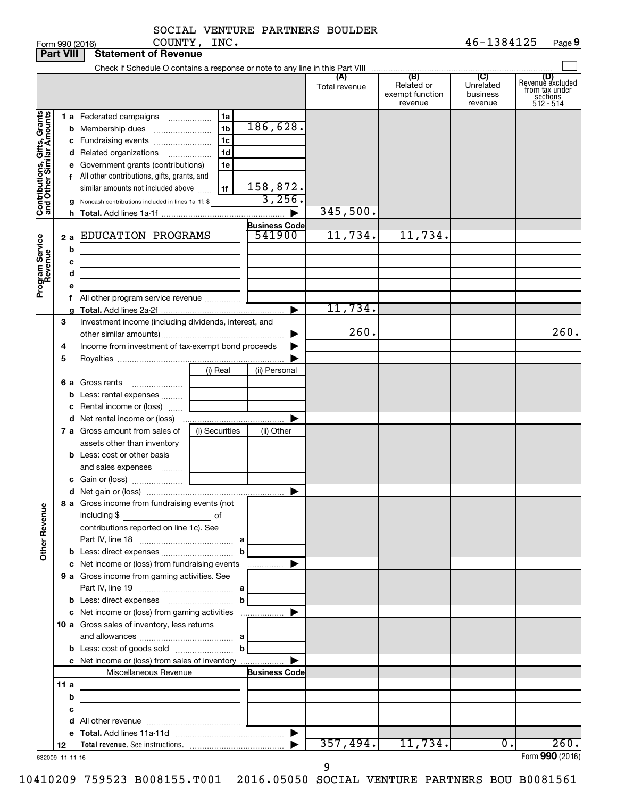|  | SOCIAL VENTURE PARTNERS BOULDER |  |
|--|---------------------------------|--|
|  |                                 |  |

|                                                                                         | <b>Part VIII</b>      | <b>Statement of Revenue</b>                                                                                                                                                                                                                                                                                                                                                                                                                                                                                                     |                                              |                                                                  |                                |                                                 |                                         |                                                                      |
|-----------------------------------------------------------------------------------------|-----------------------|---------------------------------------------------------------------------------------------------------------------------------------------------------------------------------------------------------------------------------------------------------------------------------------------------------------------------------------------------------------------------------------------------------------------------------------------------------------------------------------------------------------------------------|----------------------------------------------|------------------------------------------------------------------|--------------------------------|-------------------------------------------------|-----------------------------------------|----------------------------------------------------------------------|
|                                                                                         |                       |                                                                                                                                                                                                                                                                                                                                                                                                                                                                                                                                 |                                              |                                                                  |                                |                                                 |                                         |                                                                      |
|                                                                                         |                       |                                                                                                                                                                                                                                                                                                                                                                                                                                                                                                                                 |                                              |                                                                  | (A)<br>Total revenue           | (B)<br>Related or<br>exempt function<br>revenue | (C)<br>Unrelated<br>business<br>revenue | (D)<br>Revenue excluded<br>from tax under<br>sections<br>$512 - 514$ |
| Contributions, Gifts, Grants<br>and Other Similar Amounts<br>Program Service<br>Revenue | 2a<br>b<br>c<br>d     | 1 a Federated campaigns<br><b>b</b> Membership dues<br>c Fundraising events<br>d Related organizations<br>$\overline{\phantom{a}}$<br>e Government grants (contributions)<br>f All other contributions, gifts, grants, and<br>similar amounts not included above<br>g Noncash contributions included in lines 1a-1f: \$<br>EDUCATION PROGRAMS<br>the control of the control of the control of the control of the control of<br>the control of the control of the control of the control of<br>All other program service revenue | 1a<br>1 <sub>b</sub><br>1c<br>1d<br>1e<br>1f | 186,628.<br>158,872.<br>3,256.<br><b>Business Code</b><br>541900 | 345,500.<br>11,734.<br>11,734. | 11,734.                                         |                                         |                                                                      |
|                                                                                         | 3<br>4<br>5           | Investment income (including dividends, interest, and<br>Income from investment of tax-exempt bond proceeds                                                                                                                                                                                                                                                                                                                                                                                                                     |                                              |                                                                  | 260.                           |                                                 |                                         | 260.                                                                 |
|                                                                                         |                       | 6 a Gross rents<br><b>b</b> Less: rental expenses<br>c Rental income or (loss)                                                                                                                                                                                                                                                                                                                                                                                                                                                  | (i) Real                                     | (ii) Personal                                                    |                                |                                                 |                                         |                                                                      |
|                                                                                         |                       | 7 a Gross amount from sales of<br>assets other than inventory<br><b>b</b> Less: cost or other basis<br>and sales expenses                                                                                                                                                                                                                                                                                                                                                                                                       | (i) Securities                               | (ii) Other                                                       |                                |                                                 |                                         |                                                                      |
| <b>Other Revenue</b>                                                                    |                       | 8 a Gross income from fundraising events (not<br>including \$<br><u> 1990 - Johann Barbara, martin a</u><br>contributions reported on line 1c). See                                                                                                                                                                                                                                                                                                                                                                             | of                                           |                                                                  |                                |                                                 |                                         |                                                                      |
|                                                                                         |                       | c Net income or (loss) from fundraising events<br>9 a Gross income from gaming activities. See                                                                                                                                                                                                                                                                                                                                                                                                                                  | b                                            |                                                                  |                                |                                                 |                                         |                                                                      |
|                                                                                         |                       | <b>b</b> Less: direct expenses <b>manually b</b><br>10 a Gross sales of inventory, less returns                                                                                                                                                                                                                                                                                                                                                                                                                                 |                                              |                                                                  |                                |                                                 |                                         |                                                                      |
|                                                                                         | 11a                   | c Net income or (loss) from sales of inventory<br>Miscellaneous Revenue<br>the control of the control of the control of the control of the control of                                                                                                                                                                                                                                                                                                                                                                           |                                              | <b>Business Code</b>                                             |                                |                                                 |                                         |                                                                      |
|                                                                                         | b<br>с                | <u> 1989 - Johann Barbara, martin amerikan basar dan berasal dalam basar dalam basar dalam basar dalam basar dala</u><br><u> 1989 - Johann Barbara, martxa alemaniar a</u>                                                                                                                                                                                                                                                                                                                                                      |                                              |                                                                  |                                |                                                 |                                         |                                                                      |
|                                                                                         | 12<br>632009 11-11-16 |                                                                                                                                                                                                                                                                                                                                                                                                                                                                                                                                 |                                              |                                                                  | 357,494.                       | 11,734.                                         | $\overline{0}$ .                        | 260.<br>Form 990 (2016)                                              |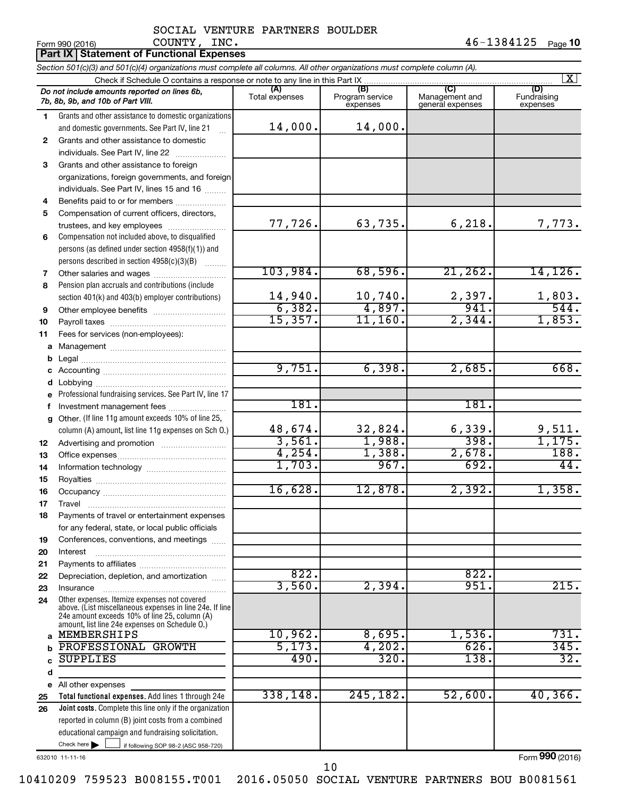#### $_{\rm Form}$  990 (2016)  $_{\rm Page}$  **10**  $_{\rm Page}$   $_{\rm 10}$ SOCIAL VENTURE PARTNERS BOULDER COUNTY, INC.

|          |                | Part IX   Statement of Functional Expenses                                                                                 |                |                                    |                                           |                                |
|----------|----------------|----------------------------------------------------------------------------------------------------------------------------|----------------|------------------------------------|-------------------------------------------|--------------------------------|
|          |                | Section 501(c)(3) and 501(c)(4) organizations must complete all columns. All other organizations must complete column (A). |                |                                    |                                           |                                |
|          |                | Check if Schedule O contains a response or note to any line in this Part IX.                                               |                |                                    |                                           | X                              |
|          |                | Do not include amounts reported on lines 6b,<br>7b, 8b, 9b, and 10b of Part VIII.                                          | Total expenses | (B)<br>Program service<br>expenses | (C)<br>Management and<br>general expenses | (D)<br>Fundraising<br>expenses |
| 1.       |                | Grants and other assistance to domestic organizations                                                                      |                |                                    |                                           |                                |
|          |                | and domestic governments. See Part IV, line 21                                                                             | 14,000.        | 14,000.                            |                                           |                                |
| 2        |                | Grants and other assistance to domestic                                                                                    |                |                                    |                                           |                                |
|          |                | individuals. See Part IV, line 22                                                                                          |                |                                    |                                           |                                |
| 3        |                | Grants and other assistance to foreign                                                                                     |                |                                    |                                           |                                |
|          |                | organizations, foreign governments, and foreign                                                                            |                |                                    |                                           |                                |
|          |                | individuals. See Part IV, lines 15 and 16                                                                                  |                |                                    |                                           |                                |
| 4        |                | Benefits paid to or for members                                                                                            |                |                                    |                                           |                                |
| 5        |                | Compensation of current officers, directors,                                                                               |                |                                    |                                           |                                |
|          |                | trustees, and key employees                                                                                                | 77,726.        | 63,735.                            | 6,218.                                    | 7,773.                         |
| 6        |                | Compensation not included above, to disqualified                                                                           |                |                                    |                                           |                                |
|          |                | persons (as defined under section 4958(f)(1)) and                                                                          |                |                                    |                                           |                                |
|          |                | persons described in section 4958(c)(3)(B)                                                                                 | 103,984.       | 68,596.                            | 21, 262.                                  | 14, 126.                       |
| 7<br>8   |                | Pension plan accruals and contributions (include                                                                           |                |                                    |                                           |                                |
|          |                | section 401(k) and 403(b) employer contributions)                                                                          | 14,940.        | 10,740.                            | 2,397.                                    | 1,803.                         |
| 9        |                |                                                                                                                            | 6,382.         | 4,897.                             | 941.                                      | 544.                           |
| 10       |                |                                                                                                                            | 15,357.        | 11,160.                            | 2,344.                                    | 1,853.                         |
| 11       |                | Fees for services (non-employees):                                                                                         |                |                                    |                                           |                                |
| а        |                |                                                                                                                            |                |                                    |                                           |                                |
| b        |                |                                                                                                                            |                |                                    |                                           |                                |
| с        |                |                                                                                                                            | 9,751.         | 6,398.                             | 2,685.                                    | 668.                           |
| d        | Lobbying       |                                                                                                                            |                |                                    |                                           |                                |
|          |                | Professional fundraising services. See Part IV, line 17                                                                    |                |                                    |                                           |                                |
| f        |                | Investment management fees                                                                                                 | 181.           |                                    | 181.                                      |                                |
| g        |                | Other. (If line 11g amount exceeds 10% of line 25,                                                                         |                |                                    |                                           |                                |
|          |                | column (A) amount, list line 11g expenses on Sch O.)                                                                       | 48,674.        | 32,824.                            | 6,339.                                    | 9,511.                         |
| 12       |                |                                                                                                                            | 3,561.         | 1,988.                             | 398.                                      | 1,175.                         |
| 13       |                |                                                                                                                            | 4,254.         | 1,388.                             | 2,678.                                    | 188.                           |
| 14       |                |                                                                                                                            | 1,703.         | 967.                               | 692.                                      | 44.                            |
| 15       |                |                                                                                                                            |                |                                    |                                           |                                |
| 16       |                |                                                                                                                            | 16,628.        | 12,878.                            | 2,392.                                    | 1,358.                         |
| 17       | <b>I</b> ravel |                                                                                                                            |                |                                    |                                           |                                |
| 18       |                | Payments of travel or entertainment expenses                                                                               |                |                                    |                                           |                                |
|          |                | for any federal, state, or local public officials                                                                          |                |                                    |                                           |                                |
| 19       |                | Conferences, conventions, and meetings                                                                                     |                |                                    |                                           |                                |
| 20<br>21 | Interest       |                                                                                                                            |                |                                    |                                           |                                |
| 22       |                | Depreciation, depletion, and amortization                                                                                  | 822.           |                                    | 822.                                      |                                |
| 23       | Insurance      |                                                                                                                            | 3,560.         | 2,394.                             | 951.                                      | 215.                           |
| 24       |                | Other expenses. Itemize expenses not covered                                                                               |                |                                    |                                           |                                |
|          |                | above. (List miscellaneous expenses in line 24e. If line                                                                   |                |                                    |                                           |                                |
|          |                | 24e amount exceeds 10% of line 25, column (A)<br>amount, list line 24e expenses on Schedule O.)                            |                |                                    |                                           |                                |
| a        |                | MEMBERSHIPS                                                                                                                | 10,962.        | 8,695.                             | 1,536.                                    | $\overline{731}$ .             |
|          |                | PROFESSIONAL GROWTH                                                                                                        | 5,173.         | 4,202.                             | 626.                                      | 345.                           |
|          |                | <b>SUPPLIES</b>                                                                                                            | 490.           | 320.                               | 138.                                      | 32.                            |
| d        |                |                                                                                                                            |                |                                    |                                           |                                |
| е        |                | All other expenses                                                                                                         |                |                                    |                                           |                                |
| 25       |                | Total functional expenses. Add lines 1 through 24e                                                                         | 338,148.       | 245, 182.                          | 52,600.                                   | 40, 366.                       |
| 26       |                | Joint costs. Complete this line only if the organization                                                                   |                |                                    |                                           |                                |
|          |                | reported in column (B) joint costs from a combined                                                                         |                |                                    |                                           |                                |
|          |                | educational campaign and fundraising solicitation.                                                                         |                |                                    |                                           |                                |
|          |                | Check here<br>if following SOP 98-2 (ASC 958-720)                                                                          |                |                                    |                                           |                                |

632010 11-11-16

Form (2016) **990**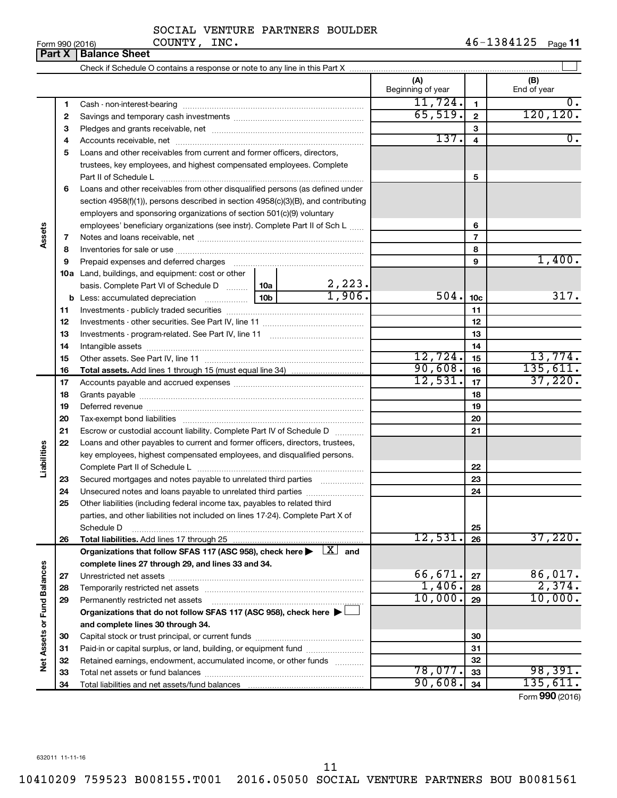| Form 990 (2016) |  |
|-----------------|--|
|-----------------|--|

## SOCIAL VENTURE PARTNERS BOULDER COUNTY, INC.

|                             | וטו טגע ווווט<br>Part X | <b>Balance Sheet</b>                                                                                                                                                                                                          |                 |                       |                          |                 | r ayo ri           |
|-----------------------------|-------------------------|-------------------------------------------------------------------------------------------------------------------------------------------------------------------------------------------------------------------------------|-----------------|-----------------------|--------------------------|-----------------|--------------------|
|                             |                         |                                                                                                                                                                                                                               |                 |                       |                          |                 |                    |
|                             |                         |                                                                                                                                                                                                                               |                 |                       | (A)<br>Beginning of year |                 | (B)<br>End of year |
|                             | 1                       |                                                                                                                                                                                                                               |                 |                       | 11,724.                  | $\mathbf{1}$    | 0.                 |
|                             | 2                       |                                                                                                                                                                                                                               |                 |                       | 65,519.                  | $\mathbf 2$     | 120, 120.          |
|                             | З                       |                                                                                                                                                                                                                               |                 |                       |                          | 3               |                    |
|                             | 4                       |                                                                                                                                                                                                                               |                 |                       | 137.                     | 4               | $\overline{0}$ .   |
|                             | 5                       | Loans and other receivables from current and former officers, directors,                                                                                                                                                      |                 |                       |                          |                 |                    |
|                             |                         | trustees, key employees, and highest compensated employees. Complete                                                                                                                                                          |                 |                       |                          |                 |                    |
|                             |                         | Part II of Schedule L                                                                                                                                                                                                         |                 |                       |                          | 5               |                    |
|                             | 6                       | Loans and other receivables from other disqualified persons (as defined under                                                                                                                                                 |                 |                       |                          |                 |                    |
|                             |                         | section $4958(f)(1)$ , persons described in section $4958(c)(3)(B)$ , and contributing                                                                                                                                        |                 |                       |                          |                 |                    |
|                             |                         | employers and sponsoring organizations of section 501(c)(9) voluntary                                                                                                                                                         |                 |                       |                          |                 |                    |
|                             |                         | employees' beneficiary organizations (see instr). Complete Part II of Sch L                                                                                                                                                   |                 |                       |                          | 6               |                    |
| Assets                      | 7                       |                                                                                                                                                                                                                               |                 |                       |                          | $\overline{7}$  |                    |
|                             | 8                       |                                                                                                                                                                                                                               |                 |                       |                          | 8               |                    |
|                             | 9                       | Prepaid expenses and deferred charges [11] [11] Prepaid expenses and deferred charges [11] [11] Martin Martin (11] (11] Arthur Martin (11] Arthur Martin (11] Arthur Martin (11] Arthur Martin (11] Arthur Martin (11] Arthur |                 |                       |                          | 9               | 1,400.             |
|                             |                         | 10a Land, buildings, and equipment: cost or other                                                                                                                                                                             |                 |                       |                          |                 |                    |
|                             |                         | basis. Complete Part VI of Schedule D  10a                                                                                                                                                                                    |                 | $\frac{2,223}{1,906}$ |                          |                 |                    |
|                             |                         |                                                                                                                                                                                                                               | 10 <sub>b</sub> |                       | 504.                     | 10 <sub>c</sub> | 317.               |
|                             | 11                      |                                                                                                                                                                                                                               |                 |                       |                          | 11              |                    |
|                             | 12                      |                                                                                                                                                                                                                               |                 |                       |                          | 12              |                    |
|                             | 13                      |                                                                                                                                                                                                                               |                 |                       |                          | 13              |                    |
|                             | 14                      |                                                                                                                                                                                                                               |                 |                       |                          | 14              |                    |
|                             | 15                      |                                                                                                                                                                                                                               |                 |                       | 12,724.                  | 15              | 13,774.            |
|                             | 16                      |                                                                                                                                                                                                                               |                 |                       | 90,608.                  | 16              | 135,611.           |
|                             | 17                      |                                                                                                                                                                                                                               |                 |                       | 12,531.                  | 17              | 37,220.            |
|                             | 18                      |                                                                                                                                                                                                                               |                 |                       |                          | 18              |                    |
|                             | 19                      |                                                                                                                                                                                                                               |                 |                       |                          | 19              |                    |
|                             | 20                      |                                                                                                                                                                                                                               |                 |                       |                          | 20              |                    |
|                             | 21                      | Escrow or custodial account liability. Complete Part IV of Schedule D                                                                                                                                                         |                 | 1.1.1.1.1.1.1.1.1.1   |                          | 21              |                    |
|                             | 22                      | Loans and other payables to current and former officers, directors, trustees,                                                                                                                                                 |                 |                       |                          |                 |                    |
|                             |                         | key employees, highest compensated employees, and disqualified persons.                                                                                                                                                       |                 |                       |                          |                 |                    |
| Liabilities                 |                         |                                                                                                                                                                                                                               |                 |                       |                          | 22              |                    |
|                             | 23                      | Secured mortgages and notes payable to unrelated third parties                                                                                                                                                                |                 |                       |                          | 23              |                    |
|                             | 24                      | Unsecured notes and loans payable to unrelated third parties                                                                                                                                                                  |                 |                       |                          | 24              |                    |
|                             | 25                      | Other liabilities (including federal income tax, payables to related third                                                                                                                                                    |                 |                       |                          |                 |                    |
|                             |                         | parties, and other liabilities not included on lines 17-24). Complete Part X of                                                                                                                                               |                 |                       |                          |                 |                    |
|                             |                         | Schedule D                                                                                                                                                                                                                    |                 |                       |                          | 25              | 37,220.            |
|                             | 26                      |                                                                                                                                                                                                                               |                 |                       | 12,531.                  | 26              |                    |
|                             |                         | Organizations that follow SFAS 117 (ASC 958), check here $\blacktriangleright \begin{array}{c} \perp X \end{array}$ and                                                                                                       |                 |                       |                          |                 |                    |
|                             |                         | complete lines 27 through 29, and lines 33 and 34.                                                                                                                                                                            |                 |                       |                          |                 |                    |
|                             | 27                      |                                                                                                                                                                                                                               |                 |                       | 66,671.<br>1,406.        | 27              | 86,017.<br>2,374.  |
|                             | 28                      |                                                                                                                                                                                                                               |                 |                       | 10,000.                  | 28              | 10,000.            |
| Net Assets or Fund Balances | 29                      | Permanently restricted net assets                                                                                                                                                                                             |                 |                       |                          | 29              |                    |
|                             |                         | Organizations that do not follow SFAS 117 (ASC 958), check here $\blacktriangleright$                                                                                                                                         |                 |                       |                          |                 |                    |
|                             |                         | and complete lines 30 through 34.                                                                                                                                                                                             |                 |                       |                          |                 |                    |
|                             | 30                      |                                                                                                                                                                                                                               |                 |                       |                          | 30              |                    |
|                             | 31                      | Paid-in or capital surplus, or land, building, or equipment fund                                                                                                                                                              |                 |                       |                          | 31              |                    |
|                             | 32                      | Retained earnings, endowment, accumulated income, or other funds                                                                                                                                                              |                 |                       | 78,077.                  | 32              | 98,391.            |
|                             | 33                      |                                                                                                                                                                                                                               |                 |                       | 90,608.                  | 33<br>34        | 135,611.           |
|                             | 34                      |                                                                                                                                                                                                                               |                 |                       |                          |                 |                    |

Form (2016) **990**

632011 11-11-16

11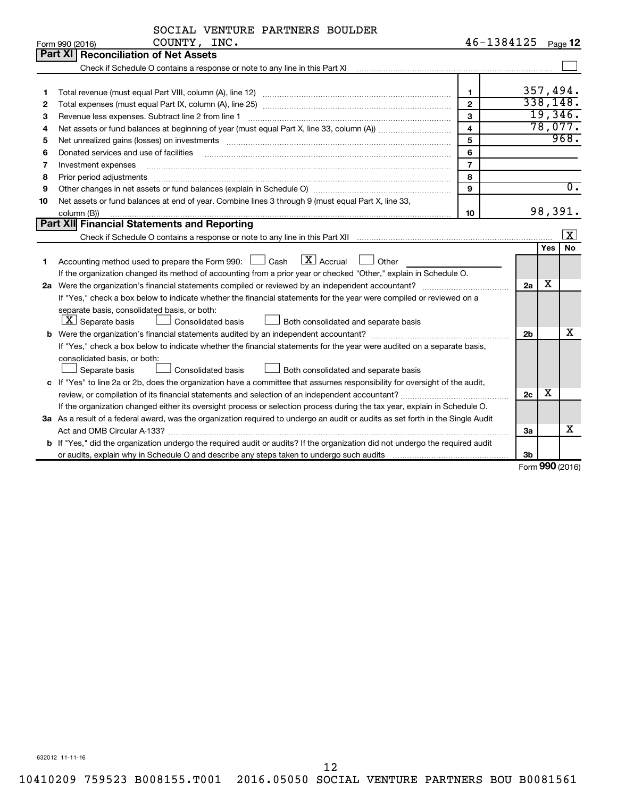|    | COUNTY, INC.<br>Form 990 (2016)                                                                                                                                                                                                | 46-1384125              |                |     | Page 12          |
|----|--------------------------------------------------------------------------------------------------------------------------------------------------------------------------------------------------------------------------------|-------------------------|----------------|-----|------------------|
|    | Part XI Reconciliation of Net Assets                                                                                                                                                                                           |                         |                |     |                  |
|    |                                                                                                                                                                                                                                |                         |                |     |                  |
|    |                                                                                                                                                                                                                                |                         |                |     |                  |
| 1  |                                                                                                                                                                                                                                | $\mathbf{1}$            |                |     | 357,494.         |
| 2  |                                                                                                                                                                                                                                | $\overline{2}$          |                |     | 338,148.         |
| з  | Revenue less expenses. Subtract line 2 from line 1                                                                                                                                                                             | 3                       |                |     | 19,346.          |
| 4  |                                                                                                                                                                                                                                | $\overline{\mathbf{4}}$ |                |     | 78,077.          |
| 5  | Net unrealized gains (losses) on investments [11] matter than the control of the state of the state of the state of the state of the state of the state of the state of the state of the state of the state of the state of th | 5                       |                |     | 968.             |
| 6  | Donated services and use of facilities                                                                                                                                                                                         | 6                       |                |     |                  |
| 7  | Investment expenses                                                                                                                                                                                                            | $\overline{7}$          |                |     |                  |
| 8  |                                                                                                                                                                                                                                | 8                       |                |     |                  |
| 9  |                                                                                                                                                                                                                                | 9                       |                |     | $\overline{0}$ . |
| 10 | Net assets or fund balances at end of year. Combine lines 3 through 9 (must equal Part X, line 33,                                                                                                                             |                         |                |     |                  |
|    | column (B))                                                                                                                                                                                                                    | 10                      |                |     | 98,391.          |
|    | <b>Part XII</b> Financial Statements and Reporting                                                                                                                                                                             |                         |                |     |                  |
|    |                                                                                                                                                                                                                                |                         |                |     | $\vert x \vert$  |
|    |                                                                                                                                                                                                                                |                         |                | Yes | No               |
| 1  | $\boxed{\text{X}}$ Accrual<br>Accounting method used to prepare the Form 990: [130] Cash<br>$\Box$ Other                                                                                                                       |                         |                |     |                  |
|    | If the organization changed its method of accounting from a prior year or checked "Other," explain in Schedule O.                                                                                                              |                         |                |     |                  |
|    |                                                                                                                                                                                                                                |                         | 2a             | X   |                  |
|    | If "Yes," check a box below to indicate whether the financial statements for the year were compiled or reviewed on a                                                                                                           |                         |                |     |                  |
|    | separate basis, consolidated basis, or both:                                                                                                                                                                                   |                         |                |     |                  |
|    | $X$ Separate basis<br>Consolidated basis<br>Both consolidated and separate basis                                                                                                                                               |                         |                |     |                  |
|    |                                                                                                                                                                                                                                |                         | 2 <sub>b</sub> |     | х                |
|    | If "Yes," check a box below to indicate whether the financial statements for the year were audited on a separate basis,                                                                                                        |                         |                |     |                  |
|    | consolidated basis, or both:                                                                                                                                                                                                   |                         |                |     |                  |
|    | Consolidated basis<br>Both consolidated and separate basis<br>Separate basis                                                                                                                                                   |                         |                |     |                  |
|    | c If "Yes" to line 2a or 2b, does the organization have a committee that assumes responsibility for oversight of the audit,                                                                                                    |                         |                |     |                  |
|    | review, or compilation of its financial statements and selection of an independent accountant?                                                                                                                                 |                         | 2c             | x   |                  |
|    | If the organization changed either its oversight process or selection process during the tax year, explain in Schedule O.                                                                                                      |                         |                |     |                  |
|    | 3a As a result of a federal award, was the organization required to undergo an audit or audits as set forth in the Single Audit                                                                                                |                         |                |     |                  |
|    |                                                                                                                                                                                                                                |                         | За             |     | x                |
|    | <b>b</b> If "Yes," did the organization undergo the required audit or audits? If the organization did not undergo the required audit                                                                                           |                         |                |     |                  |
|    |                                                                                                                                                                                                                                |                         | 3 <sub>b</sub> |     |                  |

Form (2016) **990**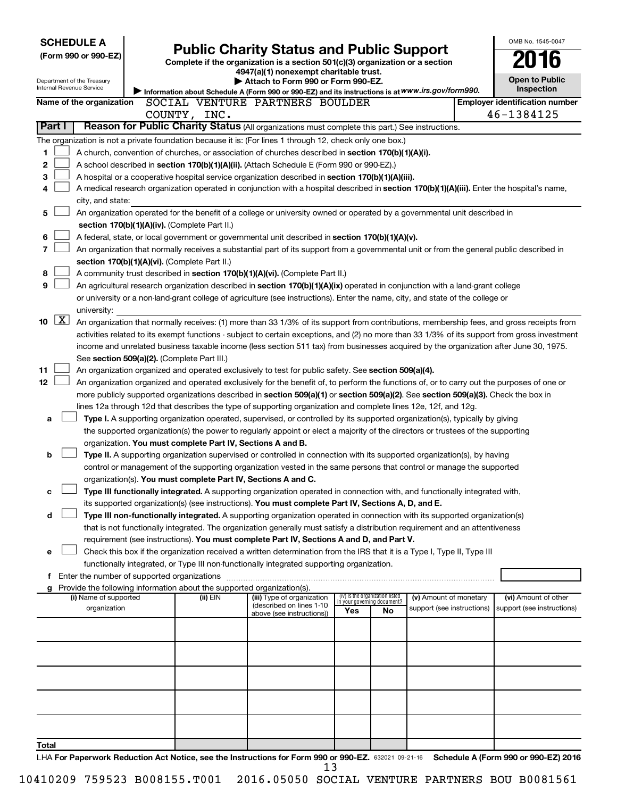| <b>SCHEDULE A</b>                                                                                                       |                                               |                                                            |                                                                                                                                                                                                                     |                             |                                 |                            |  | OMB No. 1545-0047                     |
|-------------------------------------------------------------------------------------------------------------------------|-----------------------------------------------|------------------------------------------------------------|---------------------------------------------------------------------------------------------------------------------------------------------------------------------------------------------------------------------|-----------------------------|---------------------------------|----------------------------|--|---------------------------------------|
| <b>Public Charity Status and Public Support</b><br>(Form 990 or 990-EZ)                                                 |                                               |                                                            |                                                                                                                                                                                                                     |                             |                                 |                            |  |                                       |
| Complete if the organization is a section 501(c)(3) organization or a section<br>4947(a)(1) nonexempt charitable trust. |                                               |                                                            |                                                                                                                                                                                                                     |                             |                                 |                            |  |                                       |
| Department of the Treasury                                                                                              | Attach to Form 990 or Form 990-EZ.            |                                                            |                                                                                                                                                                                                                     |                             |                                 |                            |  | <b>Open to Public</b>                 |
| Internal Revenue Service                                                                                                |                                               |                                                            | Information about Schedule A (Form 990 or 990-EZ) and its instructions is at WWW.irs.gov/form990.                                                                                                                   |                             |                                 |                            |  | Inspection                            |
| Name of the organization                                                                                                |                                               |                                                            | SOCIAL VENTURE PARTNERS BOULDER                                                                                                                                                                                     |                             |                                 |                            |  | <b>Employer identification number</b> |
|                                                                                                                         |                                               | COUNTY, INC.                                               |                                                                                                                                                                                                                     |                             |                                 |                            |  | 46-1384125                            |
| Part I                                                                                                                  |                                               |                                                            | Reason for Public Charity Status (All organizations must complete this part.) See instructions.                                                                                                                     |                             |                                 |                            |  |                                       |
| The organization is not a private foundation because it is: (For lines 1 through 12, check only one box.)               |                                               |                                                            |                                                                                                                                                                                                                     |                             |                                 |                            |  |                                       |
| 1                                                                                                                       |                                               |                                                            | A church, convention of churches, or association of churches described in section 170(b)(1)(A)(i).                                                                                                                  |                             |                                 |                            |  |                                       |
| 2                                                                                                                       |                                               |                                                            | A school described in section 170(b)(1)(A)(ii). (Attach Schedule E (Form 990 or 990-EZ).)                                                                                                                           |                             |                                 |                            |  |                                       |
| 3                                                                                                                       |                                               |                                                            | A hospital or a cooperative hospital service organization described in section 170(b)(1)(A)(iii).                                                                                                                   |                             |                                 |                            |  |                                       |
| 4                                                                                                                       |                                               |                                                            | A medical research organization operated in conjunction with a hospital described in section 170(b)(1)(A)(iii). Enter the hospital's name,                                                                          |                             |                                 |                            |  |                                       |
| city, and state:                                                                                                        |                                               |                                                            |                                                                                                                                                                                                                     |                             |                                 |                            |  |                                       |
| 5                                                                                                                       |                                               |                                                            | An organization operated for the benefit of a college or university owned or operated by a governmental unit described in                                                                                           |                             |                                 |                            |  |                                       |
|                                                                                                                         | section 170(b)(1)(A)(iv). (Complete Part II.) |                                                            |                                                                                                                                                                                                                     |                             |                                 |                            |  |                                       |
| 6                                                                                                                       |                                               |                                                            | A federal, state, or local government or governmental unit described in section 170(b)(1)(A)(v).                                                                                                                    |                             |                                 |                            |  |                                       |
| $\overline{7}$                                                                                                          |                                               |                                                            | An organization that normally receives a substantial part of its support from a governmental unit or from the general public described in                                                                           |                             |                                 |                            |  |                                       |
|                                                                                                                         | section 170(b)(1)(A)(vi). (Complete Part II.) |                                                            |                                                                                                                                                                                                                     |                             |                                 |                            |  |                                       |
| 8<br>9                                                                                                                  |                                               |                                                            | A community trust described in section 170(b)(1)(A)(vi). (Complete Part II.)                                                                                                                                        |                             |                                 |                            |  |                                       |
|                                                                                                                         |                                               |                                                            | An agricultural research organization described in section 170(b)(1)(A)(ix) operated in conjunction with a land-grant college                                                                                       |                             |                                 |                            |  |                                       |
| university:                                                                                                             |                                               |                                                            | or university or a non-land-grant college of agriculture (see instructions). Enter the name, city, and state of the college or                                                                                      |                             |                                 |                            |  |                                       |
| $\boxed{\mathbf{X}}$<br>10                                                                                              |                                               |                                                            | An organization that normally receives: (1) more than 33 1/3% of its support from contributions, membership fees, and gross receipts from                                                                           |                             |                                 |                            |  |                                       |
|                                                                                                                         |                                               |                                                            | activities related to its exempt functions - subject to certain exceptions, and (2) no more than 33 1/3% of its support from gross investment                                                                       |                             |                                 |                            |  |                                       |
|                                                                                                                         |                                               |                                                            | income and unrelated business taxable income (less section 511 tax) from businesses acquired by the organization after June 30, 1975.                                                                               |                             |                                 |                            |  |                                       |
|                                                                                                                         | See section 509(a)(2). (Complete Part III.)   |                                                            |                                                                                                                                                                                                                     |                             |                                 |                            |  |                                       |
| 11                                                                                                                      |                                               |                                                            | An organization organized and operated exclusively to test for public safety. See section 509(a)(4).                                                                                                                |                             |                                 |                            |  |                                       |
| 12                                                                                                                      |                                               |                                                            | An organization organized and operated exclusively for the benefit of, to perform the functions of, or to carry out the purposes of one or                                                                          |                             |                                 |                            |  |                                       |
|                                                                                                                         |                                               |                                                            | more publicly supported organizations described in section 509(a)(1) or section 509(a)(2). See section 509(a)(3). Check the box in                                                                                  |                             |                                 |                            |  |                                       |
|                                                                                                                         |                                               |                                                            | lines 12a through 12d that describes the type of supporting organization and complete lines 12e, 12f, and 12g.                                                                                                      |                             |                                 |                            |  |                                       |
| а                                                                                                                       |                                               |                                                            | Type I. A supporting organization operated, supervised, or controlled by its supported organization(s), typically by giving                                                                                         |                             |                                 |                            |  |                                       |
|                                                                                                                         |                                               |                                                            | the supported organization(s) the power to regularly appoint or elect a majority of the directors or trustees of the supporting                                                                                     |                             |                                 |                            |  |                                       |
|                                                                                                                         |                                               | organization. You must complete Part IV, Sections A and B. |                                                                                                                                                                                                                     |                             |                                 |                            |  |                                       |
| b                                                                                                                       |                                               |                                                            | Type II. A supporting organization supervised or controlled in connection with its supported organization(s), by having                                                                                             |                             |                                 |                            |  |                                       |
|                                                                                                                         |                                               |                                                            | control or management of the supporting organization vested in the same persons that control or manage the supported                                                                                                |                             |                                 |                            |  |                                       |
|                                                                                                                         |                                               |                                                            | organization(s). You must complete Part IV, Sections A and C.                                                                                                                                                       |                             |                                 |                            |  |                                       |
| с                                                                                                                       |                                               |                                                            | Type III functionally integrated. A supporting organization operated in connection with, and functionally integrated with,                                                                                          |                             |                                 |                            |  |                                       |
|                                                                                                                         |                                               |                                                            | its supported organization(s) (see instructions). You must complete Part IV, Sections A, D, and E.                                                                                                                  |                             |                                 |                            |  |                                       |
| d                                                                                                                       |                                               |                                                            | Type III non-functionally integrated. A supporting organization operated in connection with its supported organization(s)                                                                                           |                             |                                 |                            |  |                                       |
|                                                                                                                         |                                               |                                                            | that is not functionally integrated. The organization generally must satisfy a distribution requirement and an attentiveness                                                                                        |                             |                                 |                            |  |                                       |
|                                                                                                                         |                                               |                                                            | requirement (see instructions). You must complete Part IV, Sections A and D, and Part V.<br>Check this box if the organization received a written determination from the IRS that it is a Type I, Type II, Type III |                             |                                 |                            |  |                                       |
| е                                                                                                                       |                                               |                                                            | functionally integrated, or Type III non-functionally integrated supporting organization.                                                                                                                           |                             |                                 |                            |  |                                       |
| f Enter the number of supported organizations                                                                           |                                               |                                                            |                                                                                                                                                                                                                     |                             |                                 |                            |  |                                       |
| Provide the following information about the supported organization(s).<br>g                                             |                                               |                                                            |                                                                                                                                                                                                                     |                             |                                 |                            |  |                                       |
| (i) Name of supported                                                                                                   |                                               | (ii) EIN                                                   | (iii) Type of organization                                                                                                                                                                                          | in your governing document? | (iv) Is the organization listed | (v) Amount of monetary     |  | (vi) Amount of other                  |
| organization                                                                                                            |                                               |                                                            | (described on lines 1-10<br>above (see instructions))                                                                                                                                                               | Yes                         | No                              | support (see instructions) |  | support (see instructions)            |
|                                                                                                                         |                                               |                                                            |                                                                                                                                                                                                                     |                             |                                 |                            |  |                                       |
|                                                                                                                         |                                               |                                                            |                                                                                                                                                                                                                     |                             |                                 |                            |  |                                       |
|                                                                                                                         |                                               |                                                            |                                                                                                                                                                                                                     |                             |                                 |                            |  |                                       |
|                                                                                                                         |                                               |                                                            |                                                                                                                                                                                                                     |                             |                                 |                            |  |                                       |
|                                                                                                                         |                                               |                                                            |                                                                                                                                                                                                                     |                             |                                 |                            |  |                                       |
|                                                                                                                         |                                               |                                                            |                                                                                                                                                                                                                     |                             |                                 |                            |  |                                       |
|                                                                                                                         |                                               |                                                            |                                                                                                                                                                                                                     |                             |                                 |                            |  |                                       |
|                                                                                                                         |                                               |                                                            |                                                                                                                                                                                                                     |                             |                                 |                            |  |                                       |
|                                                                                                                         |                                               |                                                            |                                                                                                                                                                                                                     |                             |                                 |                            |  |                                       |
|                                                                                                                         |                                               |                                                            |                                                                                                                                                                                                                     |                             |                                 |                            |  |                                       |
| Total                                                                                                                   |                                               |                                                            |                                                                                                                                                                                                                     |                             |                                 |                            |  |                                       |
|                                                                                                                         |                                               |                                                            | LHA For Paperwork Reduction Act Notice, see the Instructions for Form 990 or 990-EZ. 632021 09-21-16 Schedule A (Form 990 or 990-EZ) 2016                                                                           |                             |                                 |                            |  |                                       |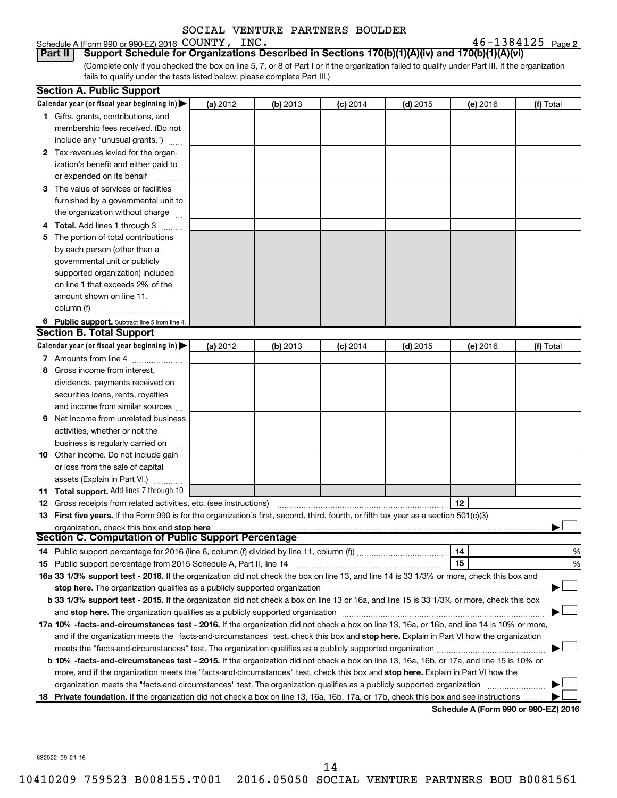| Schedule A (Form 990 or 990-EZ) 2016 $\rm \,COUNTY$ , $\rm \,\_INC$ . | $46 - 1384125$ Page 2 |
|-----------------------------------------------------------------------|-----------------------|
|-----------------------------------------------------------------------|-----------------------|

(Complete only if you checked the box on line 5, 7, or 8 of Part I or if the organization failed to qualify under Part III. If the organization fails to qualify under the tests listed below, please complete Part III.) <u>Part II | Schedule A (Form 990 or 990 EZ) 2016</u> COUNTY , INC .<br>Part II | Support Schedule for Organizations Described in Sections 170(b)(1)(A)(iv) and 170(b)(1)(A)(vi) | Sup

|   | <b>Section A. Public Support</b>                                                                                                                                                                                               |          |          |            |            |          |                                      |
|---|--------------------------------------------------------------------------------------------------------------------------------------------------------------------------------------------------------------------------------|----------|----------|------------|------------|----------|--------------------------------------|
|   | Calendar year (or fiscal year beginning in)                                                                                                                                                                                    | (a) 2012 | (b) 2013 | $(c)$ 2014 | $(d)$ 2015 | (e) 2016 | (f) Total                            |
|   | 1 Gifts, grants, contributions, and                                                                                                                                                                                            |          |          |            |            |          |                                      |
|   | membership fees received. (Do not                                                                                                                                                                                              |          |          |            |            |          |                                      |
|   | include any "unusual grants.")                                                                                                                                                                                                 |          |          |            |            |          |                                      |
|   | 2 Tax revenues levied for the organ-                                                                                                                                                                                           |          |          |            |            |          |                                      |
|   | ization's benefit and either paid to                                                                                                                                                                                           |          |          |            |            |          |                                      |
|   | or expended on its behalf                                                                                                                                                                                                      |          |          |            |            |          |                                      |
|   | 3 The value of services or facilities                                                                                                                                                                                          |          |          |            |            |          |                                      |
|   | furnished by a governmental unit to                                                                                                                                                                                            |          |          |            |            |          |                                      |
|   | the organization without charge                                                                                                                                                                                                |          |          |            |            |          |                                      |
|   | 4 Total. Add lines 1 through 3                                                                                                                                                                                                 |          |          |            |            |          |                                      |
|   | 5 The portion of total contributions                                                                                                                                                                                           |          |          |            |            |          |                                      |
|   | by each person (other than a                                                                                                                                                                                                   |          |          |            |            |          |                                      |
|   | governmental unit or publicly                                                                                                                                                                                                  |          |          |            |            |          |                                      |
|   | supported organization) included                                                                                                                                                                                               |          |          |            |            |          |                                      |
|   | on line 1 that exceeds 2% of the                                                                                                                                                                                               |          |          |            |            |          |                                      |
|   | amount shown on line 11,                                                                                                                                                                                                       |          |          |            |            |          |                                      |
|   | column (f)                                                                                                                                                                                                                     |          |          |            |            |          |                                      |
|   | 6 Public support. Subtract line 5 from line 4.                                                                                                                                                                                 |          |          |            |            |          |                                      |
|   | <b>Section B. Total Support</b>                                                                                                                                                                                                |          |          |            |            |          |                                      |
|   | Calendar year (or fiscal year beginning in)                                                                                                                                                                                    | (a) 2012 | (b) 2013 | $(c)$ 2014 | $(d)$ 2015 | (e) 2016 | (f) Total                            |
|   | 7 Amounts from line 4                                                                                                                                                                                                          |          |          |            |            |          |                                      |
|   | 8 Gross income from interest,                                                                                                                                                                                                  |          |          |            |            |          |                                      |
|   | dividends, payments received on                                                                                                                                                                                                |          |          |            |            |          |                                      |
|   | securities loans, rents, royalties                                                                                                                                                                                             |          |          |            |            |          |                                      |
|   | and income from similar sources                                                                                                                                                                                                |          |          |            |            |          |                                      |
| 9 | Net income from unrelated business                                                                                                                                                                                             |          |          |            |            |          |                                      |
|   | activities, whether or not the                                                                                                                                                                                                 |          |          |            |            |          |                                      |
|   | business is regularly carried on                                                                                                                                                                                               |          |          |            |            |          |                                      |
|   | 10 Other income. Do not include gain                                                                                                                                                                                           |          |          |            |            |          |                                      |
|   | or loss from the sale of capital                                                                                                                                                                                               |          |          |            |            |          |                                      |
|   | assets (Explain in Part VI.)                                                                                                                                                                                                   |          |          |            |            |          |                                      |
|   | 11 Total support. Add lines 7 through 10                                                                                                                                                                                       |          |          |            |            |          |                                      |
|   | <b>12</b> Gross receipts from related activities, etc. (see instructions)                                                                                                                                                      |          |          |            |            | 12       |                                      |
|   | 13 First five years. If the Form 990 is for the organization's first, second, third, fourth, or fifth tax year as a section 501(c)(3)                                                                                          |          |          |            |            |          |                                      |
|   | organization, check this box and stop here                                                                                                                                                                                     |          |          |            |            |          |                                      |
|   | <b>Section C. Computation of Public Support Percentage</b>                                                                                                                                                                     |          |          |            |            |          |                                      |
|   |                                                                                                                                                                                                                                |          |          |            |            | 14       | %                                    |
|   |                                                                                                                                                                                                                                |          |          |            |            | 15       | %                                    |
|   | 16a 33 1/3% support test - 2016. If the organization did not check the box on line 13, and line 14 is 33 1/3% or more, check this box and                                                                                      |          |          |            |            |          |                                      |
|   | stop here. The organization qualifies as a publicly supported organization                                                                                                                                                     |          |          |            |            |          |                                      |
|   | b 33 1/3% support test - 2015. If the organization did not check a box on line 13 or 16a, and line 15 is 33 1/3% or more, check this box                                                                                       |          |          |            |            |          |                                      |
|   | and stop here. The organization qualifies as a publicly supported organization matching material content and stop here. The organization qualifies as a publicly supported organization material and an analyze of the stop ha |          |          |            |            |          |                                      |
|   | 17a 10% -facts-and-circumstances test - 2016. If the organization did not check a box on line 13, 16a, or 16b, and line 14 is 10% or more,                                                                                     |          |          |            |            |          |                                      |
|   | and if the organization meets the "facts-and-circumstances" test, check this box and stop here. Explain in Part VI how the organization                                                                                        |          |          |            |            |          |                                      |
|   |                                                                                                                                                                                                                                |          |          |            |            |          |                                      |
|   | b 10% -facts-and-circumstances test - 2015. If the organization did not check a box on line 13, 16a, 16b, or 17a, and line 15 is 10% or                                                                                        |          |          |            |            |          |                                      |
|   | more, and if the organization meets the "facts-and-circumstances" test, check this box and stop here. Explain in Part VI how the                                                                                               |          |          |            |            |          |                                      |
|   | organization meets the "facts-and-circumstances" test. The organization qualifies as a publicly supported organization                                                                                                         |          |          |            |            |          |                                      |
|   | 18 Private foundation. If the organization did not check a box on line 13, 16a, 16b, 17a, or 17b, check this box and see instructions                                                                                          |          |          |            |            |          |                                      |
|   |                                                                                                                                                                                                                                |          |          |            |            |          | Schodule A (Form 000 or 000 F7) 2016 |

**Schedule A (Form 990 or 990-EZ) 2016**

632022 09-21-16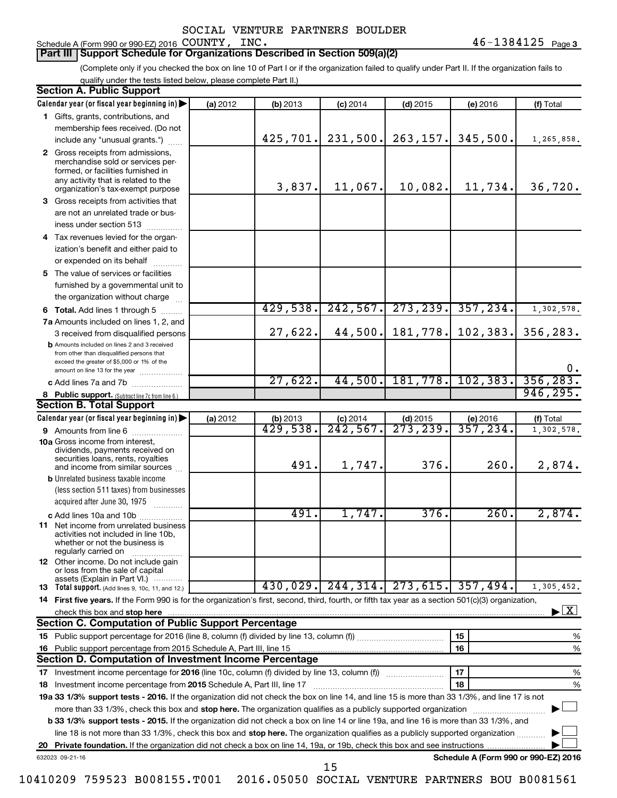## Schedule A (Form 990 or 990-EZ) 2016 COUNTY, INC.

#### **Part III Support Schedule for Organizations Described in Section 509(a)(2)**

(Complete only if you checked the box on line 10 of Part I or if the organization failed to qualify under Part II. If the organization fails to qualify under the tests listed below, please complete Part II.)

|    | <b>Section A. Public Support</b>                                                                                                                                                         |          |                                   |                                    |                                      |                                      |                                    |
|----|------------------------------------------------------------------------------------------------------------------------------------------------------------------------------------------|----------|-----------------------------------|------------------------------------|--------------------------------------|--------------------------------------|------------------------------------|
|    | Calendar year (or fiscal year beginning in)                                                                                                                                              | (a) 2012 | (b) 2013                          | $(c)$ 2014                         | $(d)$ 2015                           | (e) 2016                             | (f) Total                          |
|    | 1 Gifts, grants, contributions, and                                                                                                                                                      |          |                                   |                                    |                                      |                                      |                                    |
|    | membership fees received. (Do not                                                                                                                                                        |          |                                   |                                    |                                      |                                      |                                    |
|    | include any "unusual grants.")                                                                                                                                                           |          | 425, 701.                         | 231,500.                           | 263, 157.                            | 345,500.                             | 1,265,858.                         |
|    | 2 Gross receipts from admissions,<br>merchandise sold or services per-<br>formed, or facilities furnished in<br>any activity that is related to the<br>organization's tax-exempt purpose |          | 3,837.                            | 11,067.                            | 10,082.                              | 11,734.                              | 36,720.                            |
|    | 3 Gross receipts from activities that                                                                                                                                                    |          |                                   |                                    |                                      |                                      |                                    |
|    | are not an unrelated trade or bus-                                                                                                                                                       |          |                                   |                                    |                                      |                                      |                                    |
|    | iness under section 513                                                                                                                                                                  |          |                                   |                                    |                                      |                                      |                                    |
|    | 4 Tax revenues levied for the organ-                                                                                                                                                     |          |                                   |                                    |                                      |                                      |                                    |
|    | ization's benefit and either paid to                                                                                                                                                     |          |                                   |                                    |                                      |                                      |                                    |
|    | or expended on its behalf                                                                                                                                                                |          |                                   |                                    |                                      |                                      |                                    |
|    | 5 The value of services or facilities                                                                                                                                                    |          |                                   |                                    |                                      |                                      |                                    |
|    | furnished by a governmental unit to                                                                                                                                                      |          |                                   |                                    |                                      |                                      |                                    |
|    | the organization without charge                                                                                                                                                          |          |                                   |                                    |                                      |                                      |                                    |
|    | 6 Total. Add lines 1 through 5                                                                                                                                                           |          | 429,538.                          | 242,567.                           | 273, 239.                            | 357, 234.                            | 1,302,578.                         |
|    | 7a Amounts included on lines 1, 2, and                                                                                                                                                   |          |                                   |                                    |                                      |                                      |                                    |
|    | 3 received from disqualified persons                                                                                                                                                     |          | 27,622.                           | 44,500.                            | 181,778.                             | 102, 383.                            | 356,283.                           |
|    | <b>b</b> Amounts included on lines 2 and 3 received<br>from other than disqualified persons that<br>exceed the greater of \$5,000 or 1% of the                                           |          |                                   |                                    |                                      |                                      |                                    |
|    | amount on line 13 for the year                                                                                                                                                           |          | 27,622.                           | 44,500.                            |                                      | 181,778. 102,383.                    | $0$ .<br>356, 283.                 |
|    | c Add lines 7a and 7b                                                                                                                                                                    |          |                                   |                                    |                                      |                                      | 946, 295.                          |
|    | 8 Public support. (Subtract line 7c from line 6.)<br><b>Section B. Total Support</b>                                                                                                     |          |                                   |                                    |                                      |                                      |                                    |
|    | Calendar year (or fiscal year beginning in)                                                                                                                                              |          |                                   |                                    |                                      |                                      |                                    |
|    | 9 Amounts from line 6                                                                                                                                                                    | (a) 2012 | (b) 2013<br>$\overline{429,538.}$ | $(c)$ 2014<br>$\overline{242,567}$ | $(d)$ 2015<br>$\overline{273,239}$ . | (e) 2016<br>357,234.                 | (f) Total<br>1,302,578.            |
|    | <b>10a</b> Gross income from interest,<br>dividends, payments received on<br>securities loans, rents, royalties                                                                          |          | 491.                              | 1,747.                             | 376.                                 | 260.                                 | 2,874.                             |
|    | and income from similar sources<br><b>b</b> Unrelated business taxable income                                                                                                            |          |                                   |                                    |                                      |                                      |                                    |
|    | (less section 511 taxes) from businesses<br>acquired after June 30, 1975<br>$\overline{\phantom{a}}$                                                                                     |          |                                   |                                    |                                      |                                      |                                    |
|    | c Add lines 10a and 10b                                                                                                                                                                  |          | 491.                              | 1,747.                             | 376.                                 | 260.                                 | 2,874.                             |
|    | <b>11</b> Net income from unrelated business<br>activities not included in line 10b,<br>whether or not the business is<br>regularly carried on                                           |          |                                   |                                    |                                      |                                      |                                    |
|    | 12 Other income. Do not include gain<br>or loss from the sale of capital<br>assets (Explain in Part VI.)                                                                                 |          |                                   |                                    |                                      |                                      |                                    |
|    | <b>13</b> Total support. (Add lines 9, 10c, 11, and 12.)                                                                                                                                 |          |                                   | $430,029$ , 244, 314, 273, 615,    |                                      | 357,494.                             | $\overline{1,305,452}$ .           |
|    | 14 First five years. If the Form 990 is for the organization's first, second, third, fourth, or fifth tax year as a section 501(c)(3) organization,                                      |          |                                   |                                    |                                      |                                      |                                    |
|    | check this box and stop here                                                                                                                                                             |          |                                   |                                    |                                      |                                      | $\blacktriangleright$ $\mathbf{X}$ |
|    | <b>Section C. Computation of Public Support Percentage</b>                                                                                                                               |          |                                   |                                    |                                      |                                      |                                    |
|    |                                                                                                                                                                                          |          |                                   |                                    |                                      | 15                                   | %                                  |
|    |                                                                                                                                                                                          |          |                                   |                                    |                                      | 16                                   | %                                  |
|    | Section D. Computation of Investment Income Percentage                                                                                                                                   |          |                                   |                                    |                                      |                                      |                                    |
|    | 17 Investment income percentage for 2016 (line 10c, column (f) divided by line 13, column (f))                                                                                           |          |                                   |                                    |                                      | 17                                   | %                                  |
|    | 18 Investment income percentage from 2015 Schedule A, Part III, line 17                                                                                                                  |          |                                   |                                    |                                      | 18                                   | %                                  |
|    | 19a 33 1/3% support tests - 2016. If the organization did not check the box on line 14, and line 15 is more than 33 1/3%, and line 17 is not                                             |          |                                   |                                    |                                      |                                      |                                    |
|    | more than 33 1/3%, check this box and stop here. The organization qualifies as a publicly supported organization                                                                         |          |                                   |                                    |                                      |                                      |                                    |
|    | <b>b 33 1/3% support tests - 2015.</b> If the organization did not check a box on line 14 or line 19a, and line 16 is more than 33 1/3%, and                                             |          |                                   |                                    |                                      |                                      |                                    |
|    | line 18 is not more than 33 1/3%, check this box and stop here. The organization qualifies as a publicly supported organization                                                          |          |                                   |                                    |                                      |                                      |                                    |
| 20 |                                                                                                                                                                                          |          |                                   |                                    |                                      |                                      |                                    |
|    | 632023 09-21-16                                                                                                                                                                          |          |                                   |                                    |                                      | Schedule A (Form 990 or 990-EZ) 2016 |                                    |
|    |                                                                                                                                                                                          |          |                                   | 15                                 |                                      |                                      |                                    |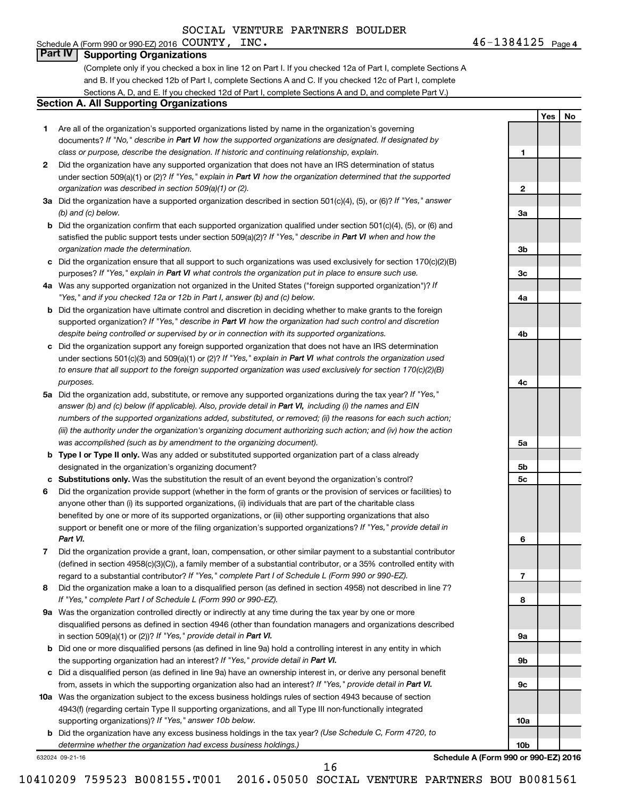#### Schedule A (Form 990 or 990-EZ) 2016 Page COUNTY, INC. 46-1384125 **Part IV Supporting Organizations**

(Complete only if you checked a box in line 12 on Part I. If you checked 12a of Part I, complete Sections A and B. If you checked 12b of Part I, complete Sections A and C. If you checked 12c of Part I, complete Sections A, D, and E. If you checked 12d of Part I, complete Sections A and D, and complete Part V.)

#### **Section A. All Supporting Organizations**

- **1** Are all of the organization's supported organizations listed by name in the organization's governing documents? If "No," describe in Part VI how the supported organizations are designated. If designated by *class or purpose, describe the designation. If historic and continuing relationship, explain.*
- **2** Did the organization have any supported organization that does not have an IRS determination of status under section 509(a)(1) or (2)? If "Yes," explain in Part VI how the organization determined that the supported *organization was described in section 509(a)(1) or (2).*
- **3a** Did the organization have a supported organization described in section 501(c)(4), (5), or (6)? If "Yes," answer *(b) and (c) below.*
- **b** Did the organization confirm that each supported organization qualified under section 501(c)(4), (5), or (6) and satisfied the public support tests under section 509(a)(2)? If "Yes," describe in Part VI when and how the *organization made the determination.*
- **c** Did the organization ensure that all support to such organizations was used exclusively for section 170(c)(2)(B) purposes? If "Yes," explain in Part VI what controls the organization put in place to ensure such use.
- **4 a** *If* Was any supported organization not organized in the United States ("foreign supported organization")? *"Yes," and if you checked 12a or 12b in Part I, answer (b) and (c) below.*
- **b** Did the organization have ultimate control and discretion in deciding whether to make grants to the foreign supported organization? If "Yes," describe in Part VI how the organization had such control and discretion *despite being controlled or supervised by or in connection with its supported organizations.*
- **c** Did the organization support any foreign supported organization that does not have an IRS determination under sections 501(c)(3) and 509(a)(1) or (2)? If "Yes," explain in Part VI what controls the organization used *to ensure that all support to the foreign supported organization was used exclusively for section 170(c)(2)(B) purposes.*
- **5a** Did the organization add, substitute, or remove any supported organizations during the tax year? If "Yes," answer (b) and (c) below (if applicable). Also, provide detail in Part VI, including (i) the names and EIN *numbers of the supported organizations added, substituted, or removed; (ii) the reasons for each such action; (iii) the authority under the organization's organizing document authorizing such action; and (iv) how the action was accomplished (such as by amendment to the organizing document).*
- **b** Type I or Type II only. Was any added or substituted supported organization part of a class already designated in the organization's organizing document?
- **c Substitutions only.**  Was the substitution the result of an event beyond the organization's control?
- **6** Did the organization provide support (whether in the form of grants or the provision of services or facilities) to support or benefit one or more of the filing organization's supported organizations? If "Yes," provide detail in anyone other than (i) its supported organizations, (ii) individuals that are part of the charitable class benefited by one or more of its supported organizations, or (iii) other supporting organizations that also *Part VI.*
- **7** Did the organization provide a grant, loan, compensation, or other similar payment to a substantial contributor regard to a substantial contributor? If "Yes," complete Part I of Schedule L (Form 990 or 990-EZ). (defined in section 4958(c)(3)(C)), a family member of a substantial contributor, or a 35% controlled entity with
- **8** Did the organization make a loan to a disqualified person (as defined in section 4958) not described in line 7? *If "Yes," complete Part I of Schedule L (Form 990 or 990-EZ).*
- **9 a** Was the organization controlled directly or indirectly at any time during the tax year by one or more in section 509(a)(1) or (2))? If "Yes," provide detail in Part VI. disqualified persons as defined in section 4946 (other than foundation managers and organizations described
- **b** Did one or more disqualified persons (as defined in line 9a) hold a controlling interest in any entity in which the supporting organization had an interest? If "Yes," provide detail in Part VI.
- **c** Did a disqualified person (as defined in line 9a) have an ownership interest in, or derive any personal benefit from, assets in which the supporting organization also had an interest? If "Yes," provide detail in Part VI.
- **10 a** Was the organization subject to the excess business holdings rules of section 4943 because of section supporting organizations)? If "Yes," answer 10b below. 4943(f) (regarding certain Type II supporting organizations, and all Type III non-functionally integrated
	- **b** Did the organization have any excess business holdings in the tax year? (Use Schedule C, Form 4720, to *determine whether the organization had excess business holdings.)*

632024 09-21-16

**Schedule A (Form 990 or 990-EZ) 2016**

46-1384125 Page 4

**1**

**2**

**3a**

**3b**

**3c**

**4a**

**4b**

**4c**

**5a**

**5b 5c**

**6**

**7**

**8**

**9a**

**9b**

**9c**

**10a**

**10b**

**Yes No**

16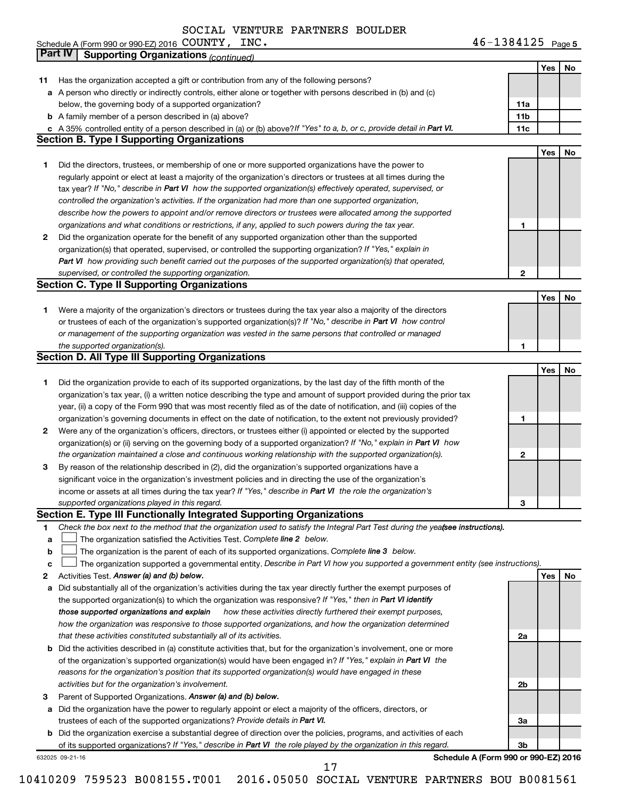Schedule A (Form 990 or 990-EZ) 2016 Page COUNTY, INC. 46-1384125

46-1384125 Page 5

|    | Part IV<br><b>Supporting Organizations (continued)</b>                                                                          |                 |            |    |
|----|---------------------------------------------------------------------------------------------------------------------------------|-----------------|------------|----|
|    |                                                                                                                                 |                 | Yes        | No |
| 11 | Has the organization accepted a gift or contribution from any of the following persons?                                         |                 |            |    |
|    | a A person who directly or indirectly controls, either alone or together with persons described in (b) and (c)                  |                 |            |    |
|    | below, the governing body of a supported organization?                                                                          | 11a             |            |    |
|    | <b>b</b> A family member of a person described in (a) above?                                                                    | 11 <sub>b</sub> |            |    |
|    | c A 35% controlled entity of a person described in (a) or (b) above? If "Yes" to a, b, or c, provide detail in Part VI.         | 11c             |            |    |
|    | <b>Section B. Type I Supporting Organizations</b>                                                                               |                 |            |    |
|    |                                                                                                                                 |                 | <b>Yes</b> | No |
| 1. | Did the directors, trustees, or membership of one or more supported organizations have the power to                             |                 |            |    |
|    | regularly appoint or elect at least a majority of the organization's directors or trustees at all times during the              |                 |            |    |
|    |                                                                                                                                 |                 |            |    |
|    | tax year? If "No," describe in Part VI how the supported organization(s) effectively operated, supervised, or                   |                 |            |    |
|    | controlled the organization's activities. If the organization had more than one supported organization,                         |                 |            |    |
|    | describe how the powers to appoint and/or remove directors or trustees were allocated among the supported                       |                 |            |    |
|    | organizations and what conditions or restrictions, if any, applied to such powers during the tax year.                          | 1               |            |    |
| 2  | Did the organization operate for the benefit of any supported organization other than the supported                             |                 |            |    |
|    | organization(s) that operated, supervised, or controlled the supporting organization? If "Yes," explain in                      |                 |            |    |
|    | Part VI how providing such benefit carried out the purposes of the supported organization(s) that operated,                     |                 |            |    |
|    | supervised, or controlled the supporting organization.                                                                          | 2               |            |    |
|    | <b>Section C. Type II Supporting Organizations</b>                                                                              |                 |            |    |
|    |                                                                                                                                 |                 | Yes        | No |
| 1. | Were a majority of the organization's directors or trustees during the tax year also a majority of the directors                |                 |            |    |
|    | or trustees of each of the organization's supported organization(s)? If "No," describe in Part VI how control                   |                 |            |    |
|    | or management of the supporting organization was vested in the same persons that controlled or managed                          |                 |            |    |
|    | the supported organization(s).                                                                                                  | 1               |            |    |
|    | <b>Section D. All Type III Supporting Organizations</b>                                                                         |                 |            |    |
|    |                                                                                                                                 |                 | Yes        | No |
| 1  | Did the organization provide to each of its supported organizations, by the last day of the fifth month of the                  |                 |            |    |
|    | organization's tax year, (i) a written notice describing the type and amount of support provided during the prior tax           |                 |            |    |
|    | year, (ii) a copy of the Form 990 that was most recently filed as of the date of notification, and (iii) copies of the          |                 |            |    |
|    | organization's governing documents in effect on the date of notification, to the extent not previously provided?                | 1               |            |    |
| 2  | Were any of the organization's officers, directors, or trustees either (i) appointed or elected by the supported                |                 |            |    |
|    | organization(s) or (ii) serving on the governing body of a supported organization? If "No," explain in Part VI how              |                 |            |    |
|    | the organization maintained a close and continuous working relationship with the supported organization(s).                     | 2               |            |    |
| 3  | By reason of the relationship described in (2), did the organization's supported organizations have a                           |                 |            |    |
|    | significant voice in the organization's investment policies and in directing the use of the organization's                      |                 |            |    |
|    | income or assets at all times during the tax year? If "Yes," describe in Part VI the role the organization's                    |                 |            |    |
|    | supported organizations played in this regard.                                                                                  | з               |            |    |
|    | Section E. Type III Functionally Integrated Supporting Organizations                                                            |                 |            |    |
| 1  | Check the box next to the method that the organization used to satisfy the Integral Part Test during the yeafsee instructions). |                 |            |    |
| a  | The organization satisfied the Activities Test. Complete line 2 below.                                                          |                 |            |    |
| b  | The organization is the parent of each of its supported organizations. Complete line 3 below.                                   |                 |            |    |
| с  | The organization supported a governmental entity. Describe in Part VI how you supported a government entity (see instructions). |                 |            |    |
| 2  | Activities Test. Answer (a) and (b) below.                                                                                      |                 | Yes        | No |
| а  | Did substantially all of the organization's activities during the tax year directly further the exempt purposes of              |                 |            |    |
|    | the supported organization(s) to which the organization was responsive? If "Yes," then in Part VI identify                      |                 |            |    |
|    | those supported organizations and explain<br>how these activities directly furthered their exempt purposes,                     |                 |            |    |
|    | how the organization was responsive to those supported organizations, and how the organization determined                       |                 |            |    |
|    | that these activities constituted substantially all of its activities.                                                          | 2a              |            |    |
|    | <b>b</b> Did the activities described in (a) constitute activities that, but for the organization's involvement, one or more    |                 |            |    |
|    | of the organization's supported organization(s) would have been engaged in? If "Yes," explain in Part VI the                    |                 |            |    |
|    | reasons for the organization's position that its supported organization(s) would have engaged in these                          |                 |            |    |
|    | activities but for the organization's involvement.                                                                              | 2b              |            |    |
| з  | Parent of Supported Organizations. Answer (a) and (b) below.                                                                    |                 |            |    |
|    | Did the organization have the power to regularly appoint or elect a majority of the officers, directors, or                     |                 |            |    |
| а  |                                                                                                                                 |                 |            |    |
|    | trustees of each of the supported organizations? Provide details in Part VI.                                                    | За              |            |    |
|    | <b>b</b> Did the organization exercise a substantial degree of direction over the policies, programs, and activities of each    | 3b              |            |    |
|    | of its supported organizations? If "Yes," describe in Part VI the role played by the organization in this regard.               |                 |            |    |
|    | Schedule A (Form 990 or 990-EZ) 2016<br>632025 09-21-16<br>17                                                                   |                 |            |    |
|    |                                                                                                                                 |                 |            |    |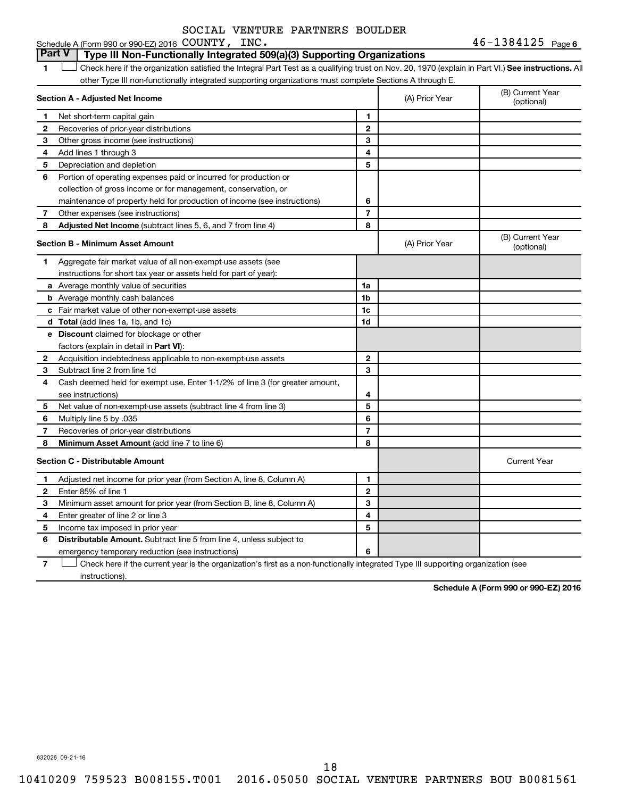### 1 **Letter See instructions.** All Check here if the organization satisfied the Integral Part Test as a qualifying trust on Nov. 20, 1970 (explain in Part VI.) See instructions. All **Section A - Adjusted Net Income** Schedule A (Form 990 or 990-EZ) 2016 COUNTY, INC. other Type III non-functionally integrated supporting organizations must complete Sections A through E. (B) Current Year (A) Prior Year **Part V Type III Non-Functionally Integrated 509(a)(3) Supporting Organizations**

| 1            | Net short-term capital gain                                                  | 1              |                |                                |
|--------------|------------------------------------------------------------------------------|----------------|----------------|--------------------------------|
| 2            | Recoveries of prior-year distributions                                       | $\mathbf{2}$   |                |                                |
| З            | Other gross income (see instructions)                                        | 3              |                |                                |
| 4            | Add lines 1 through 3                                                        | 4              |                |                                |
| 5            | Depreciation and depletion                                                   | 5              |                |                                |
| 6            | Portion of operating expenses paid or incurred for production or             |                |                |                                |
|              | collection of gross income or for management, conservation, or               |                |                |                                |
|              | maintenance of property held for production of income (see instructions)     | 6              |                |                                |
| 7            | Other expenses (see instructions)                                            | $\overline{7}$ |                |                                |
| 8            | Adjusted Net Income (subtract lines 5, 6, and 7 from line 4)                 | 8              |                |                                |
|              | Section B - Minimum Asset Amount                                             |                | (A) Prior Year | (B) Current Year<br>(optional) |
| 1            | Aggregate fair market value of all non-exempt-use assets (see                |                |                |                                |
|              | instructions for short tax year or assets held for part of year):            |                |                |                                |
|              | a Average monthly value of securities                                        | 1a             |                |                                |
|              | <b>b</b> Average monthly cash balances                                       | 1b             |                |                                |
|              | c Fair market value of other non-exempt-use assets                           | 1c             |                |                                |
|              | d Total (add lines 1a, 1b, and 1c)                                           | 1 <sub>d</sub> |                |                                |
|              | e Discount claimed for blockage or other                                     |                |                |                                |
|              | factors (explain in detail in Part VI):                                      |                |                |                                |
| $\mathbf{2}$ | Acquisition indebtedness applicable to non-exempt-use assets                 | $\mathbf{2}$   |                |                                |
| 3            | Subtract line 2 from line 1d                                                 | 3              |                |                                |
| 4            | Cash deemed held for exempt use. Enter 1-1/2% of line 3 (for greater amount, |                |                |                                |
|              | see instructions)                                                            | 4              |                |                                |
| 5            | Net value of non-exempt-use assets (subtract line 4 from line 3)             | 5              |                |                                |
| 6            | Multiply line 5 by .035                                                      | 6              |                |                                |
| 7            | Recoveries of prior-year distributions                                       | $\overline{7}$ |                |                                |
| 8            | Minimum Asset Amount (add line 7 to line 6)                                  | 8              |                |                                |
|              | <b>Section C - Distributable Amount</b>                                      |                |                | <b>Current Year</b>            |
| 1            | Adjusted net income for prior year (from Section A, line 8, Column A)        | 1              |                |                                |
| $\mathbf{2}$ | Enter 85% of line 1                                                          | $\mathbf{2}$   |                |                                |
| З            | Minimum asset amount for prior year (from Section B, line 8, Column A)       | 3              |                |                                |
| 4            | Enter greater of line 2 or line 3                                            | 4              |                |                                |
| 5            | Income tax imposed in prior year                                             | 5              |                |                                |
| 6            | Distributable Amount. Subtract line 5 from line 4, unless subject to         |                |                |                                |
|              | emergency temporary reduction (see instructions)                             | 6              |                |                                |
|              |                                                                              |                |                |                                |

**7** Check here if the current year is the organization's first as a non-functionally integrated Type III supporting organization (see † instructions).

**Schedule A (Form 990 or 990-EZ) 2016**

632026 09-21-16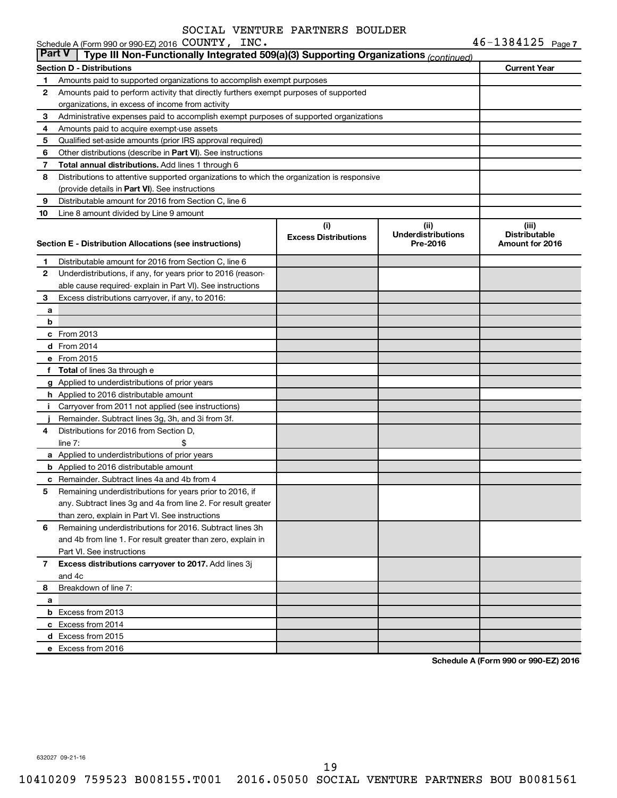|               | Schedule A (Form 990 or 990-EZ) 2016 COUNTY, INC.                                          |                             |                                       | $46 - 1384125$ Page 7                   |
|---------------|--------------------------------------------------------------------------------------------|-----------------------------|---------------------------------------|-----------------------------------------|
| <b>Part V</b> | Type III Non-Functionally Integrated 509(a)(3) Supporting Organizations (continued)        |                             |                                       |                                         |
|               | <b>Section D - Distributions</b>                                                           | <b>Current Year</b>         |                                       |                                         |
| 1             | Amounts paid to supported organizations to accomplish exempt purposes                      |                             |                                       |                                         |
| 2             | Amounts paid to perform activity that directly furthers exempt purposes of supported       |                             |                                       |                                         |
|               | organizations, in excess of income from activity                                           |                             |                                       |                                         |
| 3             | Administrative expenses paid to accomplish exempt purposes of supported organizations      |                             |                                       |                                         |
| 4             | Amounts paid to acquire exempt-use assets                                                  |                             |                                       |                                         |
| 5             | Qualified set-aside amounts (prior IRS approval required)                                  |                             |                                       |                                         |
| 6             | Other distributions (describe in Part VI). See instructions                                |                             |                                       |                                         |
| 7             | Total annual distributions. Add lines 1 through 6                                          |                             |                                       |                                         |
| 8             | Distributions to attentive supported organizations to which the organization is responsive |                             |                                       |                                         |
|               | (provide details in Part VI). See instructions                                             |                             |                                       |                                         |
| 9             | Distributable amount for 2016 from Section C, line 6                                       |                             |                                       |                                         |
| 10            | Line 8 amount divided by Line 9 amount                                                     |                             |                                       |                                         |
|               |                                                                                            | (i)                         | (ii)                                  | (iii)                                   |
|               | Section E - Distribution Allocations (see instructions)                                    | <b>Excess Distributions</b> | <b>Underdistributions</b><br>Pre-2016 | <b>Distributable</b><br>Amount for 2016 |
|               |                                                                                            |                             |                                       |                                         |
| 1             | Distributable amount for 2016 from Section C, line 6                                       |                             |                                       |                                         |
| 2             | Underdistributions, if any, for years prior to 2016 (reason-                               |                             |                                       |                                         |
|               | able cause required- explain in Part VI). See instructions                                 |                             |                                       |                                         |
| 3             | Excess distributions carryover, if any, to 2016:                                           |                             |                                       |                                         |
| а             |                                                                                            |                             |                                       |                                         |
| b             |                                                                                            |                             |                                       |                                         |
|               | c From 2013                                                                                |                             |                                       |                                         |
|               | <b>d</b> From 2014                                                                         |                             |                                       |                                         |
|               | e From 2015                                                                                |                             |                                       |                                         |
|               | f Total of lines 3a through e                                                              |                             |                                       |                                         |
|               | g Applied to underdistributions of prior years                                             |                             |                                       |                                         |
|               | <b>h</b> Applied to 2016 distributable amount                                              |                             |                                       |                                         |
| Ť.            | Carryover from 2011 not applied (see instructions)                                         |                             |                                       |                                         |
|               | Remainder. Subtract lines 3g, 3h, and 3i from 3f.                                          |                             |                                       |                                         |
| 4             | Distributions for 2016 from Section D,                                                     |                             |                                       |                                         |
|               | line $7:$                                                                                  |                             |                                       |                                         |
|               | a Applied to underdistributions of prior years                                             |                             |                                       |                                         |
|               | <b>b</b> Applied to 2016 distributable amount                                              |                             |                                       |                                         |
|               | c Remainder. Subtract lines 4a and 4b from 4                                               |                             |                                       |                                         |
|               | 5 Remaining underdistributions for years prior to 2016, if                                 |                             |                                       |                                         |
|               | any. Subtract lines 3g and 4a from line 2. For result greater                              |                             |                                       |                                         |
|               | than zero, explain in Part VI. See instructions                                            |                             |                                       |                                         |
| 6             | Remaining underdistributions for 2016. Subtract lines 3h                                   |                             |                                       |                                         |
|               | and 4b from line 1. For result greater than zero, explain in                               |                             |                                       |                                         |
|               | Part VI. See instructions                                                                  |                             |                                       |                                         |
| 7             | Excess distributions carryover to 2017. Add lines 3j                                       |                             |                                       |                                         |
|               | and 4c                                                                                     |                             |                                       |                                         |
| 8             | Breakdown of line 7:                                                                       |                             |                                       |                                         |
| а             |                                                                                            |                             |                                       |                                         |
|               | <b>b</b> Excess from 2013                                                                  |                             |                                       |                                         |
|               | c Excess from 2014                                                                         |                             |                                       |                                         |
|               | d Excess from 2015                                                                         |                             |                                       |                                         |
|               | e Excess from 2016                                                                         |                             |                                       |                                         |

**Schedule A (Form 990 or 990-EZ) 2016**

632027 09-21-16

19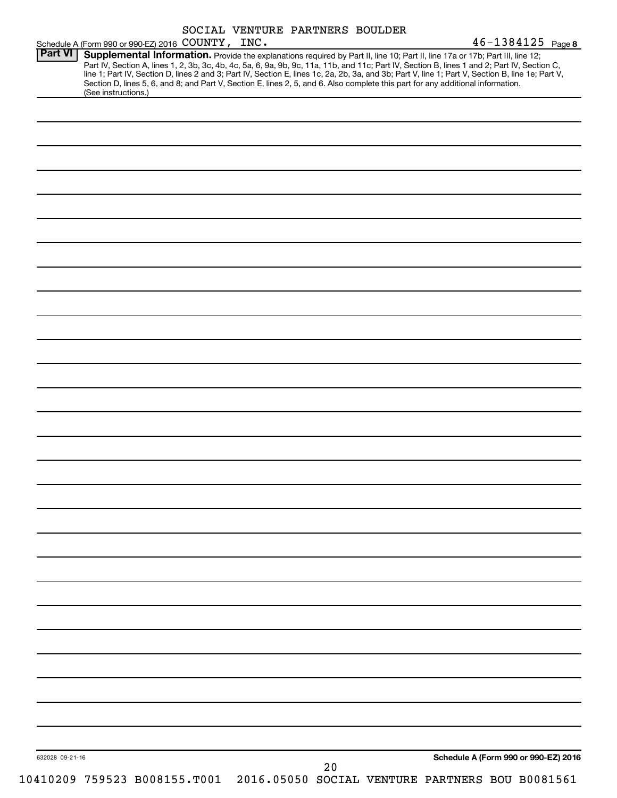|                 | Schedule A (Form 990 or 990-EZ) 2016 COUNTY, INC. |  |    | $46 - 1384125$ Page 8                                                                                                                                                                                                                                                                                                                                                                                                                                                                                                                                                |  |
|-----------------|---------------------------------------------------|--|----|----------------------------------------------------------------------------------------------------------------------------------------------------------------------------------------------------------------------------------------------------------------------------------------------------------------------------------------------------------------------------------------------------------------------------------------------------------------------------------------------------------------------------------------------------------------------|--|
| <b>Part VI</b>  | (See instructions.)                               |  |    | Supplemental Information. Provide the explanations required by Part II, line 10; Part II, line 17a or 17b; Part III, line 12;<br>Part IV, Section A, lines 1, 2, 3b, 3c, 4b, 4c, 5a, 6, 9a, 9b, 9c, 11a, 11b, and 11c; Part IV, Section B, lines 1 and 2; Part IV, Section C,<br>line 1; Part IV, Section D, lines 2 and 3; Part IV, Section E, lines 1c, 2a, 2b, 3a, and 3b; Part V, line 1; Part V, Section B, line 1e; Part V,<br>Section D, lines 5, 6, and 8; and Part V, Section E, lines 2, 5, and 6. Also complete this part for any additional information. |  |
|                 |                                                   |  |    |                                                                                                                                                                                                                                                                                                                                                                                                                                                                                                                                                                      |  |
|                 |                                                   |  |    |                                                                                                                                                                                                                                                                                                                                                                                                                                                                                                                                                                      |  |
|                 |                                                   |  |    |                                                                                                                                                                                                                                                                                                                                                                                                                                                                                                                                                                      |  |
|                 |                                                   |  |    |                                                                                                                                                                                                                                                                                                                                                                                                                                                                                                                                                                      |  |
|                 |                                                   |  |    |                                                                                                                                                                                                                                                                                                                                                                                                                                                                                                                                                                      |  |
|                 |                                                   |  |    |                                                                                                                                                                                                                                                                                                                                                                                                                                                                                                                                                                      |  |
|                 |                                                   |  |    |                                                                                                                                                                                                                                                                                                                                                                                                                                                                                                                                                                      |  |
|                 |                                                   |  |    |                                                                                                                                                                                                                                                                                                                                                                                                                                                                                                                                                                      |  |
|                 |                                                   |  |    |                                                                                                                                                                                                                                                                                                                                                                                                                                                                                                                                                                      |  |
|                 |                                                   |  |    |                                                                                                                                                                                                                                                                                                                                                                                                                                                                                                                                                                      |  |
|                 |                                                   |  |    |                                                                                                                                                                                                                                                                                                                                                                                                                                                                                                                                                                      |  |
|                 |                                                   |  |    |                                                                                                                                                                                                                                                                                                                                                                                                                                                                                                                                                                      |  |
|                 |                                                   |  |    |                                                                                                                                                                                                                                                                                                                                                                                                                                                                                                                                                                      |  |
|                 |                                                   |  |    |                                                                                                                                                                                                                                                                                                                                                                                                                                                                                                                                                                      |  |
|                 |                                                   |  |    |                                                                                                                                                                                                                                                                                                                                                                                                                                                                                                                                                                      |  |
|                 |                                                   |  |    |                                                                                                                                                                                                                                                                                                                                                                                                                                                                                                                                                                      |  |
|                 |                                                   |  |    |                                                                                                                                                                                                                                                                                                                                                                                                                                                                                                                                                                      |  |
|                 |                                                   |  |    |                                                                                                                                                                                                                                                                                                                                                                                                                                                                                                                                                                      |  |
|                 |                                                   |  |    |                                                                                                                                                                                                                                                                                                                                                                                                                                                                                                                                                                      |  |
|                 |                                                   |  |    |                                                                                                                                                                                                                                                                                                                                                                                                                                                                                                                                                                      |  |
|                 |                                                   |  |    |                                                                                                                                                                                                                                                                                                                                                                                                                                                                                                                                                                      |  |
|                 |                                                   |  |    |                                                                                                                                                                                                                                                                                                                                                                                                                                                                                                                                                                      |  |
|                 |                                                   |  |    |                                                                                                                                                                                                                                                                                                                                                                                                                                                                                                                                                                      |  |
|                 |                                                   |  |    |                                                                                                                                                                                                                                                                                                                                                                                                                                                                                                                                                                      |  |
|                 |                                                   |  |    |                                                                                                                                                                                                                                                                                                                                                                                                                                                                                                                                                                      |  |
|                 |                                                   |  |    |                                                                                                                                                                                                                                                                                                                                                                                                                                                                                                                                                                      |  |
| 632028 09-21-16 |                                                   |  |    | Schedule A (Form 990 or 990-EZ) 2016                                                                                                                                                                                                                                                                                                                                                                                                                                                                                                                                 |  |
|                 | 10410209 759523 B008155.T001                      |  | 20 | 2016.05050 SOCIAL VENTURE PARTNERS BOU B0081561                                                                                                                                                                                                                                                                                                                                                                                                                                                                                                                      |  |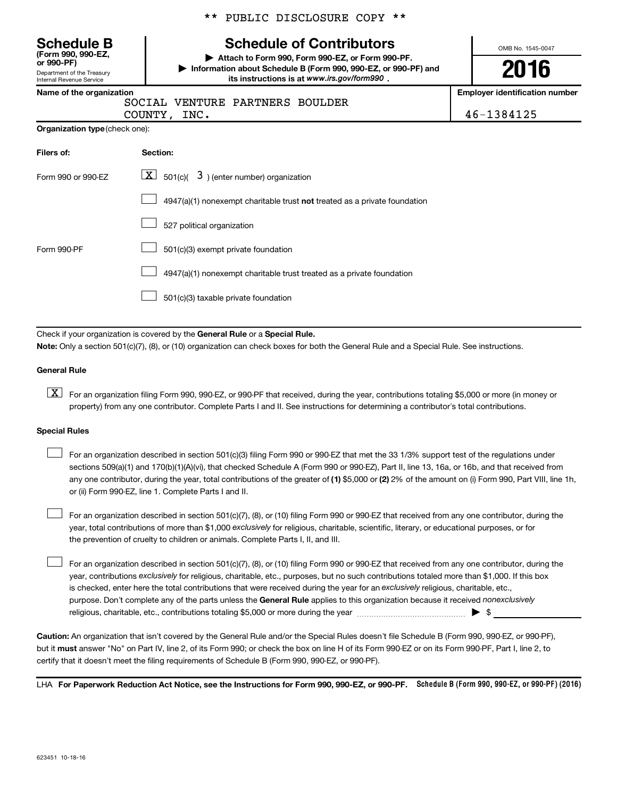OMB No. 1545-0047 Department of the Treasury Internal Revenue Service **(Form 990, 990-EZ, or 990-PF) | Attach to Form 990, Form 990-EZ, or Form 990-PF. | Information about Schedule B (Form 990, 990-EZ, or 990-PF) and** its instructions is at www.irs.gov/form990. **Name of the organization Employer identification number Organization type** (check one): **Filers of: Section:** 4947(a)(1) nonexempt charitable trust not treated as a private foundation Form 990 or 990-EZ  $\overline{\mathbf{X}}$  501(c)(  $\overline{\mathbf{3}}$  ) (enter number) organization 527 political organization Form 990-PF  $\Box$  501(c)(3) exempt private foundation 4947(a)(1) nonexempt charitable trust treated as a private foundation 501(c)(3) taxable private foundation **Schedule B Schedule of Contributors 2016**  $\Box$  $\Box$  $\Box$  $\Box$  $\Box$ SOCIAL VENTURE PARTNERS BOULDER COUNTY, INC. 46-1384125

Check if your organization is covered by the General Rule or a Special Rule. **Note:**  Only a section 501(c)(7), (8), or (10) organization can check boxes for both the General Rule and a Special Rule. See instructions.

#### **General Rule**

**K** For an organization filing Form 990, 990-EZ, or 990-PF that received, during the year, contributions totaling \$5,000 or more (in money or property) from any one contributor. Complete Parts I and II. See instructions for determining a contributor's total contributions.

#### **Special Rules**

 $\Box$ 

any one contributor, during the year, total contributions of the greater of **(1)** \$5,000 or **(2)** 2% of the amount on (i) Form 990, Part VIII, line 1h, For an organization described in section 501(c)(3) filing Form 990 or 990-EZ that met the 33 1/3% support test of the regulations under sections 509(a)(1) and 170(b)(1)(A)(vi), that checked Schedule A (Form 990 or 990-EZ), Part II, line 13, 16a, or 16b, and that received from or (ii) Form 990-EZ, line 1. Complete Parts I and II.  $\Box$ 

year, total contributions of more than \$1,000 *exclusively* for religious, charitable, scientific, literary, or educational purposes, or for For an organization described in section 501(c)(7), (8), or (10) filing Form 990 or 990-EZ that received from any one contributor, during the the prevention of cruelty to children or animals. Complete Parts I, II, and III.  $\Box$ 

purpose. Don't complete any of the parts unless the General Rule applies to this organization because it received nonexclusively year, contributions exclusively for religious, charitable, etc., purposes, but no such contributions totaled more than \$1,000. If this box is checked, enter here the total contributions that were received during the year for an exclusively religious, charitable, etc., For an organization described in section 501(c)(7), (8), or (10) filing Form 990 or 990-EZ that received from any one contributor, during the religious, charitable, etc., contributions totaling \$5,000 or more during the year  $\ldots$  $\ldots$  $\ldots$  $\ldots$  $\ldots$  $\ldots$ 

**Caution:**  An organization that isn't covered by the General Rule and/or the Special Rules doesn't file Schedule B (Form 990, 990-EZ, or 990-PF),  **must** but it answer "No" on Part IV, line 2, of its Form 990; or check the box on line H of its Form 990-EZ or on its Form 990-PF, Part I, line 2, to certify that it doesn't meet the filing requirements of Schedule B (Form 990, 990-EZ, or 990-PF).

LHA For Paperwork Reduction Act Notice, see the Instructions for Form 990, 990-EZ, or 990-PF. Schedule B (Form 990, 990-EZ, or 990-PF) (2016)

\*\* PUBLIC DISCLOSURE COPY \*\*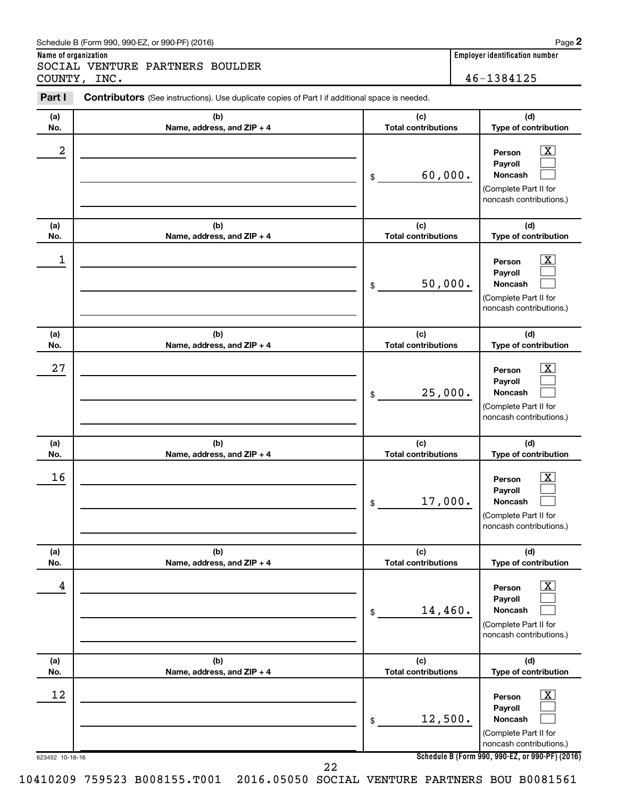|  | Schedule B (Form 990, 990-EZ, or 990-PF) (2016) |  |  | Page |
|--|-------------------------------------------------|--|--|------|
|--|-------------------------------------------------|--|--|------|

**Name of organization Employer identification number** SOCIAL VENTURE PARTNERS BOULDER

|                 | COUNTY, INC.                                                                                          |                                   | 46-1384125                                                                                                       |
|-----------------|-------------------------------------------------------------------------------------------------------|-----------------------------------|------------------------------------------------------------------------------------------------------------------|
| Part I          | <b>Contributors</b> (See instructions). Use duplicate copies of Part I if additional space is needed. |                                   |                                                                                                                  |
| (a)<br>No.      | (b)<br>Name, address, and ZIP + 4                                                                     | (c)<br><b>Total contributions</b> | (d)<br>Type of contribution                                                                                      |
| 2               |                                                                                                       | 60,000.<br>\$                     | <u>x</u><br>Person<br>Payroll<br><b>Noncash</b><br>(Complete Part II for<br>noncash contributions.)              |
| (a)<br>No.      | (b)<br>Name, address, and ZIP + 4                                                                     | (c)<br><b>Total contributions</b> | (d)<br>Type of contribution                                                                                      |
| 1               |                                                                                                       | 50,000.<br>\$                     | $\overline{\text{X}}$<br>Person<br>Payroll<br><b>Noncash</b><br>(Complete Part II for<br>noncash contributions.) |
| (a)<br>No.      | (b)<br>Name, address, and ZIP + 4                                                                     | (c)<br><b>Total contributions</b> | (d)<br>Type of contribution                                                                                      |
| 27              |                                                                                                       | 25,000.<br>\$                     | <u>x</u><br>Person<br>Payroll<br><b>Noncash</b><br>(Complete Part II for<br>noncash contributions.)              |
| (a)<br>No.      | (b)<br>Name, address, and ZIP + 4                                                                     | (c)<br><b>Total contributions</b> | (d)<br>Type of contribution                                                                                      |
| 16              |                                                                                                       | 17,000.<br>\$                     | $\overline{\text{X}}$<br>Person<br>Payroll<br>Noncash<br>(Complete Part II for<br>noncash contributions.)        |
| (a)<br>No.      | (b)<br>Name, address, and ZIP + 4                                                                     | (c)<br><b>Total contributions</b> | (d)<br>Type of contribution                                                                                      |
| 4               |                                                                                                       | 14,460.<br>\$                     | $\overline{\text{X}}$<br>Person<br>Payroll<br>Noncash<br>(Complete Part II for<br>noncash contributions.)        |
| (a)<br>No.      | (b)<br>Name, address, and ZIP + 4                                                                     | (c)<br><b>Total contributions</b> | (d)<br>Type of contribution                                                                                      |
| 12              |                                                                                                       | 12,500.<br>\$                     | $\mathbf{X}$<br>Person<br>Payroll<br>Noncash<br>(Complete Part II for<br>noncash contributions.)                 |
| 623452 10-18-16 |                                                                                                       |                                   | Schedule B (Form 990, 990-EZ, or 990-PF) (201                                                                    |

22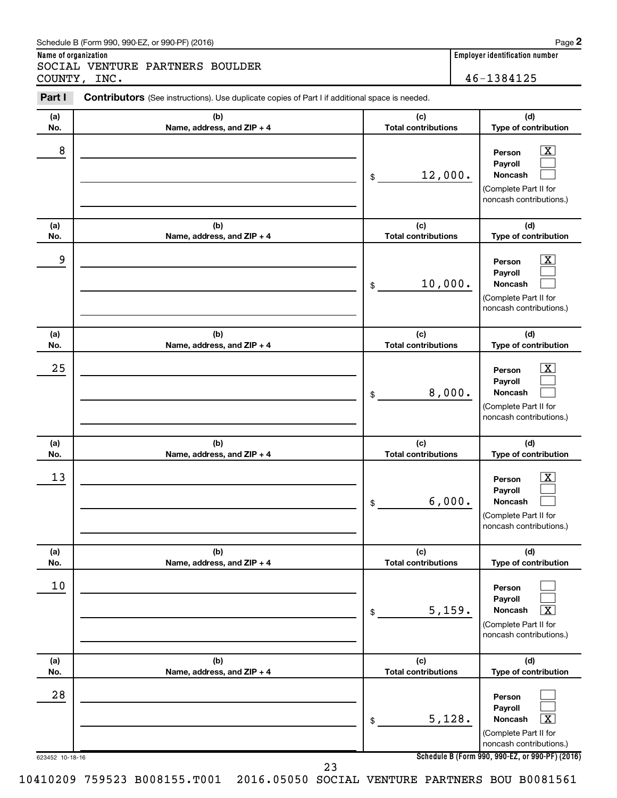|  | Schedule B (Form 990, 990-EZ, or 990-PF) (2016) |  |  | Page |
|--|-------------------------------------------------|--|--|------|
|--|-------------------------------------------------|--|--|------|

**Name of organization Employer identification number** SOCIAL VENTURE PARTNERS BOULDER COUNTY, INC. 46-1384125

| Part I                | <b>Contributors</b> (See instructions). Use duplicate copies of Part I if additional space is needed. |                                   |                                                                                                                                                                |
|-----------------------|-------------------------------------------------------------------------------------------------------|-----------------------------------|----------------------------------------------------------------------------------------------------------------------------------------------------------------|
| (a)<br>No.            | (b)<br>Name, address, and ZIP + 4                                                                     | (c)<br><b>Total contributions</b> | (d)<br>Type of contribution                                                                                                                                    |
| 8                     |                                                                                                       | 12,000.<br>\$                     | $\overline{\mathbf{X}}$<br>Person<br>Payroll<br><b>Noncash</b><br>(Complete Part II for<br>noncash contributions.)                                             |
| (a)<br>No.            | (b)<br>Name, address, and ZIP + 4                                                                     | (c)<br><b>Total contributions</b> | (d)<br>Type of contribution                                                                                                                                    |
| 9                     |                                                                                                       | 10,000.<br>\$                     | $\overline{\mathbf{X}}$<br>Person<br>Payroll<br><b>Noncash</b><br>(Complete Part II for<br>noncash contributions.)                                             |
| (a)<br>No.            | (b)<br>Name, address, and ZIP + 4                                                                     | (c)<br><b>Total contributions</b> | (d)<br>Type of contribution                                                                                                                                    |
| 25                    |                                                                                                       | 8,000.<br>\$                      | $\overline{\mathbf{X}}$<br>Person<br>Payroll<br><b>Noncash</b><br>(Complete Part II for<br>noncash contributions.)                                             |
| (a)<br>No.            | (b)<br>Name, address, and ZIP + 4                                                                     | (c)<br><b>Total contributions</b> | (d)<br>Type of contribution                                                                                                                                    |
| 13                    |                                                                                                       | 6,000.<br>\$                      | $\overline{\mathbf{X}}$<br>Person<br>Payroll<br><b>Noncash</b><br>(Complete Part II for<br>noncash contributions.)                                             |
| (a)<br>No.            | (b)<br>Name, address, and ZIP + 4                                                                     | (c)<br><b>Total contributions</b> | (d)<br>Type of contribution                                                                                                                                    |
| $10$                  |                                                                                                       | 5,159.<br>\$                      | Person<br>Payroll<br>Noncash<br>$\overline{\textbf{x}}$<br>(Complete Part II for<br>noncash contributions.)                                                    |
| (a)<br>No.            | (b)<br>Name, address, and ZIP + 4                                                                     | (c)<br><b>Total contributions</b> | (d)<br>Type of contribution                                                                                                                                    |
| 28<br>623452 10-18-16 |                                                                                                       | 5,128.<br>\$                      | Person<br>Payroll<br>Noncash<br>$\overline{\textbf{x}}$<br>(Complete Part II for<br>noncash contributions.)<br>Schedule B (Form 990, 990-EZ, or 990-PF) (2016) |
|                       | 23                                                                                                    |                                   |                                                                                                                                                                |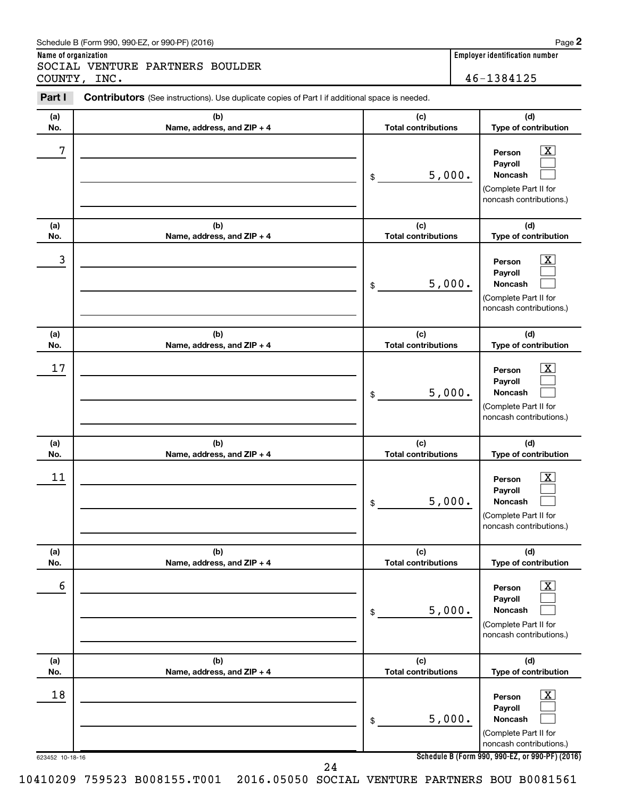|  | Schedule B (Form 990, 990-EZ, or 990-PF) (2016) |  |  | Page |
|--|-------------------------------------------------|--|--|------|
|--|-------------------------------------------------|--|--|------|

**Name of organization Employer identification number** SOCIAL VENTURE PARTNERS BOULDER COUNTY, INC. 46-1384125

| (d)<br>(a)<br>(c)<br>(b)<br><b>Total contributions</b><br>Type of contribution<br>No.<br>Name, address, and ZIP + 4<br>7<br>x<br>Person<br>Payroll<br>5,000.<br>Noncash<br>\$<br>(Complete Part II for<br>noncash contributions.)<br>(a)<br>(b)<br>(c)<br>(d)<br><b>Total contributions</b><br>Type of contribution<br>No.<br>Name, address, and ZIP + 4<br>3<br>х<br>Person<br>Payroll<br>5,000.<br>Noncash<br>\$<br>(Complete Part II for<br>noncash contributions.)<br>(c)<br>(d)<br>(a)<br>(b)<br><b>Total contributions</b><br>Type of contribution<br>No.<br>Name, address, and ZIP + 4<br>17<br>х<br>Person<br>Payroll<br>5,000.<br>Noncash<br>\$<br>(Complete Part II for<br>noncash contributions.)<br>(b)<br>(c)<br>(d)<br>(a)<br><b>Total contributions</b><br>No.<br>Name, address, and ZIP + 4<br>Type of contribution<br>11<br>х<br>Person<br>Payroll<br>5,000.<br>Noncash<br>\$<br>(Complete Part II for<br>noncash contributions.)<br>(b)<br>(c)<br>(d)<br>(a)<br>Name, address, and ZIP + 4<br><b>Total contributions</b><br>Type of contribution<br>No.<br>6<br>$\overline{\text{X}}$<br>Person<br>Payroll<br>5,000.<br>Noncash<br>\$<br>(Complete Part II for<br>noncash contributions.)<br>(b)<br>(c)<br>(d)<br>(a)<br><b>Total contributions</b><br>Type of contribution<br>Name, address, and ZIP + 4<br>No.<br>18<br>$\overline{\text{X}}$<br>Person<br>Payroll<br>5,000.<br>Noncash<br>\$<br>(Complete Part II for<br>noncash contributions.)<br>Schedule B (Form 990, 990-EZ, or 990-PF) (2016)<br>623452 10-18-16 | Part I | Contributors (See instructions). Use duplicate copies of Part I if additional space is needed. |  |
|---------------------------------------------------------------------------------------------------------------------------------------------------------------------------------------------------------------------------------------------------------------------------------------------------------------------------------------------------------------------------------------------------------------------------------------------------------------------------------------------------------------------------------------------------------------------------------------------------------------------------------------------------------------------------------------------------------------------------------------------------------------------------------------------------------------------------------------------------------------------------------------------------------------------------------------------------------------------------------------------------------------------------------------------------------------------------------------------------------------------------------------------------------------------------------------------------------------------------------------------------------------------------------------------------------------------------------------------------------------------------------------------------------------------------------------------------------------------------------------------------------------------------------------------|--------|------------------------------------------------------------------------------------------------|--|
|                                                                                                                                                                                                                                                                                                                                                                                                                                                                                                                                                                                                                                                                                                                                                                                                                                                                                                                                                                                                                                                                                                                                                                                                                                                                                                                                                                                                                                                                                                                                             |        |                                                                                                |  |
|                                                                                                                                                                                                                                                                                                                                                                                                                                                                                                                                                                                                                                                                                                                                                                                                                                                                                                                                                                                                                                                                                                                                                                                                                                                                                                                                                                                                                                                                                                                                             |        |                                                                                                |  |
|                                                                                                                                                                                                                                                                                                                                                                                                                                                                                                                                                                                                                                                                                                                                                                                                                                                                                                                                                                                                                                                                                                                                                                                                                                                                                                                                                                                                                                                                                                                                             |        |                                                                                                |  |
|                                                                                                                                                                                                                                                                                                                                                                                                                                                                                                                                                                                                                                                                                                                                                                                                                                                                                                                                                                                                                                                                                                                                                                                                                                                                                                                                                                                                                                                                                                                                             |        |                                                                                                |  |
|                                                                                                                                                                                                                                                                                                                                                                                                                                                                                                                                                                                                                                                                                                                                                                                                                                                                                                                                                                                                                                                                                                                                                                                                                                                                                                                                                                                                                                                                                                                                             |        |                                                                                                |  |
|                                                                                                                                                                                                                                                                                                                                                                                                                                                                                                                                                                                                                                                                                                                                                                                                                                                                                                                                                                                                                                                                                                                                                                                                                                                                                                                                                                                                                                                                                                                                             |        |                                                                                                |  |
|                                                                                                                                                                                                                                                                                                                                                                                                                                                                                                                                                                                                                                                                                                                                                                                                                                                                                                                                                                                                                                                                                                                                                                                                                                                                                                                                                                                                                                                                                                                                             |        |                                                                                                |  |
|                                                                                                                                                                                                                                                                                                                                                                                                                                                                                                                                                                                                                                                                                                                                                                                                                                                                                                                                                                                                                                                                                                                                                                                                                                                                                                                                                                                                                                                                                                                                             |        |                                                                                                |  |
|                                                                                                                                                                                                                                                                                                                                                                                                                                                                                                                                                                                                                                                                                                                                                                                                                                                                                                                                                                                                                                                                                                                                                                                                                                                                                                                                                                                                                                                                                                                                             |        |                                                                                                |  |
|                                                                                                                                                                                                                                                                                                                                                                                                                                                                                                                                                                                                                                                                                                                                                                                                                                                                                                                                                                                                                                                                                                                                                                                                                                                                                                                                                                                                                                                                                                                                             |        |                                                                                                |  |
|                                                                                                                                                                                                                                                                                                                                                                                                                                                                                                                                                                                                                                                                                                                                                                                                                                                                                                                                                                                                                                                                                                                                                                                                                                                                                                                                                                                                                                                                                                                                             |        |                                                                                                |  |
|                                                                                                                                                                                                                                                                                                                                                                                                                                                                                                                                                                                                                                                                                                                                                                                                                                                                                                                                                                                                                                                                                                                                                                                                                                                                                                                                                                                                                                                                                                                                             |        | 24                                                                                             |  |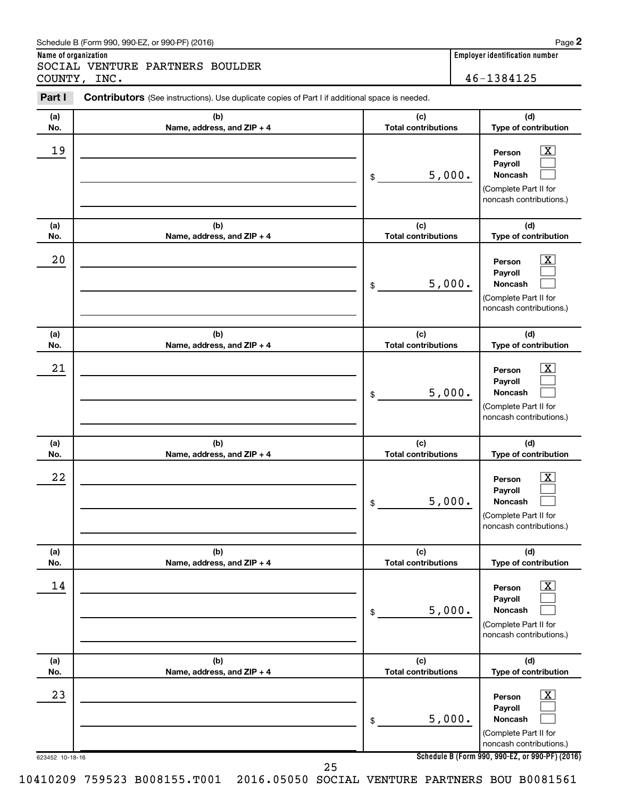|  | Schedule B (Form 990, 990-EZ, or 990-PF) (2016) |  |  | Page |
|--|-------------------------------------------------|--|--|------|
|--|-------------------------------------------------|--|--|------|

**Name of organization Employer identification number** SOCIAL VENTURE PARTNERS BOULDER COUNTY, INC. 46-1384125

623452 10-18-16 **Schedule B (Form 990, 990-EZ, or 990-PF) (2016) (a) No. (b) Name, address, and ZIP + 4 (c) Total contributions (d) Type of contribution Person Payroll Noncash (a) No. (b) Name, address, and ZIP + 4 (c) Total contributions (d) Type of contribution Person Payroll Noncash (a) No. (b) Name, address, and ZIP + 4 (c) Total contributions (d) Type of contribution Person Payroll Noncash (a) No. (b) Name, address, and ZIP + 4 (c) Total contributions (d) Type of contribution Person Payroll Noncash (a) No. (b) Name, address, and ZIP + 4 (c) Total contributions (d) Type of contribution Person Payroll Noncash (a) No. (b) Name, address, and ZIP + 4 (c) Total contributions (d) Type of contribution Person Payroll Noncash Part I** Contributors (See instructions). Use duplicate copies of Part I if additional space is needed. \$ (Complete Part II for noncash contributions.) \$ (Complete Part II for noncash contributions.) \$ (Complete Part II for noncash contributions.) \$ (Complete Part II for noncash contributions.) \$ (Complete Part II for noncash contributions.) \$ (Complete Part II for noncash contributions.)  $\lfloor x \rfloor$  $\Box$  $\Box$  $\overline{\mathbf{X}}$  $\Box$  $\Box$  $\boxed{\textbf{X}}$  $\Box$  $\Box$  $\boxed{\text{X}}$  $\Box$  $\Box$  $\boxed{\text{X}}$  $\Box$  $\Box$  $\boxed{\text{X}}$  $\Box$  $\Box$  $19$  Person  $\overline{\text{X}}$ 5,000.  $20$  Person  $\overline{\text{X}}$ 5,000.  $21$  Person  $\overline{\text{X}}$ 5,000.  $22$  Person  $\overline{\text{X}}$ 5,000.  $\begin{array}{|c|c|c|c|c|}\hline \text{14} & \text{Person} & \text{X} \\\hline \end{array}$ 5,000.  $23$  Person  $\overline{\text{X}}$ 5,000. 25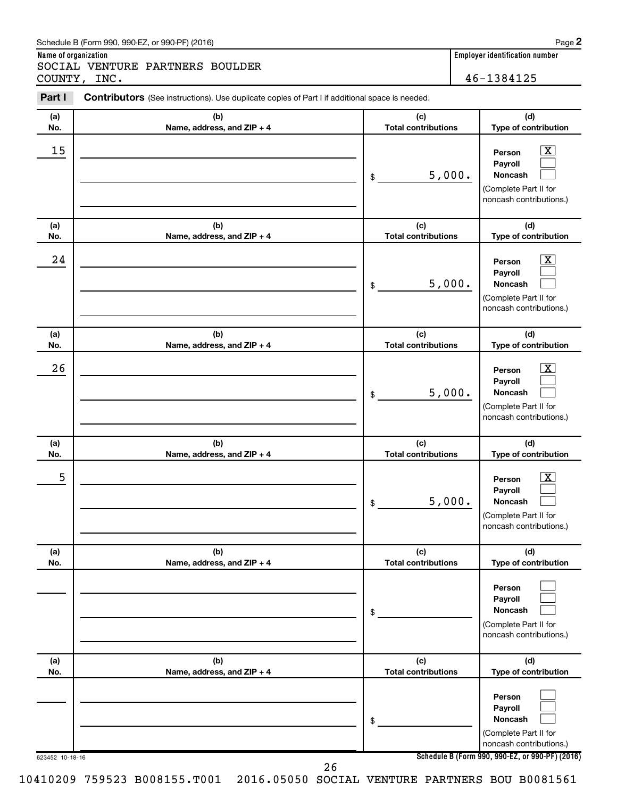|  | Schedule B (Form 990, 990-EZ, or 990-PF) (2016) |  |  | Page |
|--|-------------------------------------------------|--|--|------|
|--|-------------------------------------------------|--|--|------|

**Name of organization Employer identification number** SOCIAL VENTURE PARTNERS BOULDER

| COUNTY,         | INC.                                                                                                  |                                   | 46-1384125                                                                                                                               |
|-----------------|-------------------------------------------------------------------------------------------------------|-----------------------------------|------------------------------------------------------------------------------------------------------------------------------------------|
| Part I          | <b>Contributors</b> (See instructions). Use duplicate copies of Part I if additional space is needed. |                                   |                                                                                                                                          |
| (a)<br>No.      | (b)<br>Name, address, and ZIP + 4                                                                     | (c)<br><b>Total contributions</b> | (d)<br>Type of contribution                                                                                                              |
| 15              |                                                                                                       | 5,000.<br>\$                      | $\mathbf{X}$<br>Person<br>Payroll<br>Noncash<br>(Complete Part II for<br>noncash contributions.)                                         |
| (a)<br>No.      | (b)<br>Name, address, and ZIP + 4                                                                     | (c)<br><b>Total contributions</b> | (d)<br>Type of contribution                                                                                                              |
| 24              |                                                                                                       | 5,000.<br>\$                      | X<br>Person<br>Payroll<br>Noncash<br>(Complete Part II for<br>noncash contributions.)                                                    |
| (a)<br>No.      | (b)<br>Name, address, and ZIP + 4                                                                     | (c)<br><b>Total contributions</b> | (d)<br>Type of contribution                                                                                                              |
| 26              |                                                                                                       | 5,000.<br>\$                      | x<br>Person<br>Payroll<br>Noncash<br>(Complete Part II for<br>noncash contributions.)                                                    |
| (a)<br>No.      | (b)<br>Name, address, and ZIP + 4                                                                     | (c)<br><b>Total contributions</b> | (d)<br>Type of contribution                                                                                                              |
| 5               |                                                                                                       | 5,000.<br>\$                      | x<br>Person<br>Payroll<br>Noncash<br>(Complete Part II for<br>noncash contributions.)                                                    |
| (a)<br>No.      | (b)<br>Name, address, and ZIP + 4                                                                     | (c)<br><b>Total contributions</b> | (d)<br>Type of contribution                                                                                                              |
|                 |                                                                                                       | \$                                | Person<br>Payroll<br><b>Noncash</b><br>(Complete Part II for<br>noncash contributions.)                                                  |
| (a)<br>No.      | (b)<br>Name, address, and ZIP + 4                                                                     | (c)<br><b>Total contributions</b> | (d)<br>Type of contribution                                                                                                              |
| 623452 10-18-16 |                                                                                                       | \$                                | Person<br>Payroll<br><b>Noncash</b><br>(Complete Part II for<br>noncash contributions.)<br>Schedule B (Form 990, 990-EZ, or 990-PF) (201 |

 $\overline{(2016)}$ 

26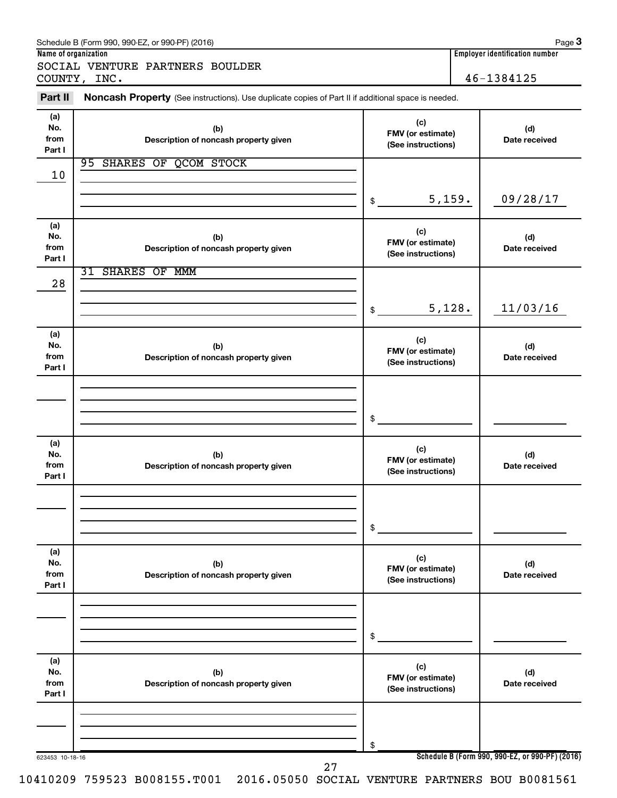| Name of organization         | Schedule B (Form 990, 990-EZ, or 990-PF) (2016)                                                     |                                                |                                         | Page $3$<br><b>Employer identification number</b> |  |
|------------------------------|-----------------------------------------------------------------------------------------------------|------------------------------------------------|-----------------------------------------|---------------------------------------------------|--|
|                              | SOCIAL VENTURE PARTNERS BOULDER<br>COUNTY, INC.                                                     |                                                |                                         | 46-1384125                                        |  |
| Part II                      | Noncash Property (See instructions). Use duplicate copies of Part II if additional space is needed. |                                                |                                         |                                                   |  |
| (a)<br>No.<br>from<br>Part I | (b)<br>Description of noncash property given                                                        | (c)<br>FMV (or estimate)<br>(See instructions) |                                         | (d)<br>Date received                              |  |
| 10                           | 95 SHARES OF QCOM STOCK                                                                             |                                                |                                         |                                                   |  |
|                              |                                                                                                     | \$                                             | 5,159.                                  | 09/28/17                                          |  |
| (a)<br>No.<br>from<br>Part I | (b)<br>Description of noncash property given                                                        | (c)<br>FMV (or estimate)<br>(See instructions) |                                         | (d)<br>Date received                              |  |
| 28                           | <b>31 SHARES OF MMM</b>                                                                             |                                                |                                         |                                                   |  |
|                              |                                                                                                     | \$                                             | 5,128.                                  | 11/03/16                                          |  |
| (a)<br>No.<br>from<br>Part I | (b)<br>Description of noncash property given                                                        | (c)                                            | FMV (or estimate)<br>(See instructions) |                                                   |  |
|                              |                                                                                                     | \$                                             |                                         |                                                   |  |
| (a)<br>No.<br>from<br>Part I | (b)<br>Description of noncash property given                                                        | (c)<br>FMV (or estimate)<br>(See instructions) |                                         | (d)<br>Date received                              |  |
|                              |                                                                                                     | \$                                             |                                         |                                                   |  |
| (a)<br>No.<br>from<br>Part I | (b)<br>Description of noncash property given                                                        | (c)<br>FMV (or estimate)<br>(See instructions) |                                         | (d)<br>Date received                              |  |
|                              |                                                                                                     | \$                                             |                                         |                                                   |  |
| (a)<br>No.<br>from<br>Part I | (b)<br>Description of noncash property given                                                        | (c)<br>FMV (or estimate)<br>(See instructions) |                                         | (d)<br>Date received                              |  |
|                              |                                                                                                     |                                                |                                         |                                                   |  |
| 623453 10-18-16              | 27                                                                                                  | \$                                             |                                         | Schedule B (Form 990, 990-EZ, or 990-PF) (2016)   |  |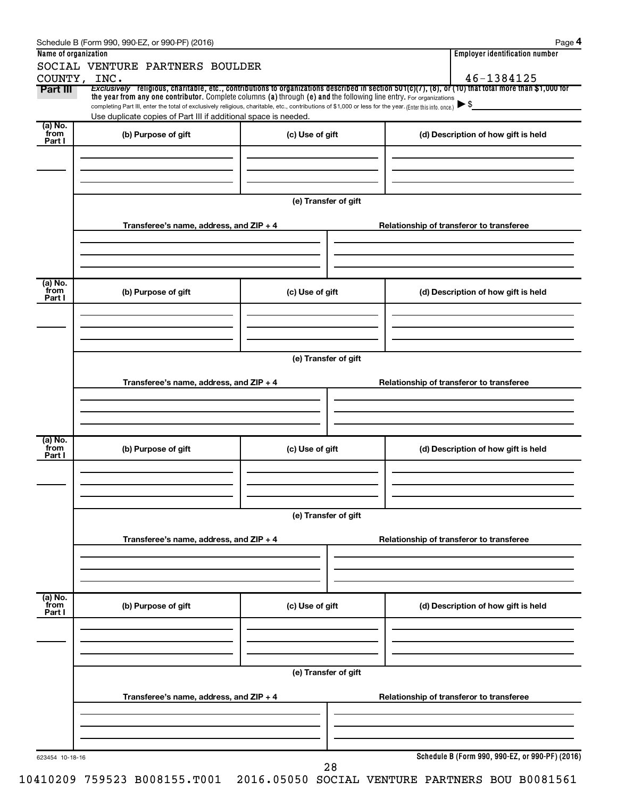|                                        | Schedule B (Form 990, 990-EZ, or 990-PF) (2016)                                                                                                                                                                             |                      |                                          | Page 4                                          |  |  |  |  |  |
|----------------------------------------|-----------------------------------------------------------------------------------------------------------------------------------------------------------------------------------------------------------------------------|----------------------|------------------------------------------|-------------------------------------------------|--|--|--|--|--|
| Name of organization                   |                                                                                                                                                                                                                             |                      |                                          | <b>Employer identification number</b>           |  |  |  |  |  |
|                                        | SOCIAL VENTURE PARTNERS BOULDER                                                                                                                                                                                             |                      |                                          | 46-1384125                                      |  |  |  |  |  |
| Part III                               | COUNTY, INC.<br>Exclusively religious, charitable, etc., contributions to organizations described in section 501(c)(7), (8), or (10) that total more than \$1,000 for                                                       |                      |                                          |                                                 |  |  |  |  |  |
|                                        | the year from any one contributor. Complete columns (a) through (e) and the following line entry. For organizations                                                                                                         |                      |                                          | $\blacktriangleright$ \$                        |  |  |  |  |  |
|                                        | completing Part III, enter the total of exclusively religious, charitable, etc., contributions of \$1,000 or less for the year. (Enter this info. once.)<br>Use duplicate copies of Part III if additional space is needed. |                      |                                          |                                                 |  |  |  |  |  |
| (a) No.<br>from                        |                                                                                                                                                                                                                             |                      |                                          |                                                 |  |  |  |  |  |
| Part I                                 | (b) Purpose of gift                                                                                                                                                                                                         | (c) Use of gift      |                                          | (d) Description of how gift is held             |  |  |  |  |  |
|                                        |                                                                                                                                                                                                                             |                      |                                          |                                                 |  |  |  |  |  |
|                                        |                                                                                                                                                                                                                             |                      |                                          |                                                 |  |  |  |  |  |
|                                        |                                                                                                                                                                                                                             |                      |                                          |                                                 |  |  |  |  |  |
|                                        |                                                                                                                                                                                                                             | (e) Transfer of gift |                                          |                                                 |  |  |  |  |  |
|                                        |                                                                                                                                                                                                                             |                      |                                          |                                                 |  |  |  |  |  |
|                                        | Transferee's name, address, and ZIP + 4                                                                                                                                                                                     |                      | Relationship of transferor to transferee |                                                 |  |  |  |  |  |
|                                        |                                                                                                                                                                                                                             |                      |                                          |                                                 |  |  |  |  |  |
|                                        |                                                                                                                                                                                                                             |                      |                                          |                                                 |  |  |  |  |  |
|                                        |                                                                                                                                                                                                                             |                      |                                          |                                                 |  |  |  |  |  |
|                                        |                                                                                                                                                                                                                             |                      |                                          |                                                 |  |  |  |  |  |
| from                                   | (b) Purpose of gift                                                                                                                                                                                                         | (c) Use of gift      |                                          | (d) Description of how gift is held             |  |  |  |  |  |
|                                        |                                                                                                                                                                                                                             |                      |                                          |                                                 |  |  |  |  |  |
|                                        |                                                                                                                                                                                                                             |                      |                                          |                                                 |  |  |  |  |  |
|                                        |                                                                                                                                                                                                                             |                      |                                          |                                                 |  |  |  |  |  |
|                                        |                                                                                                                                                                                                                             |                      |                                          |                                                 |  |  |  |  |  |
|                                        | (e) Transfer of gift                                                                                                                                                                                                        |                      |                                          |                                                 |  |  |  |  |  |
|                                        | Transferee's name, address, and ZIP + 4                                                                                                                                                                                     |                      |                                          | Relationship of transferor to transferee        |  |  |  |  |  |
|                                        |                                                                                                                                                                                                                             |                      |                                          |                                                 |  |  |  |  |  |
|                                        |                                                                                                                                                                                                                             |                      |                                          |                                                 |  |  |  |  |  |
|                                        |                                                                                                                                                                                                                             |                      |                                          |                                                 |  |  |  |  |  |
|                                        |                                                                                                                                                                                                                             |                      |                                          |                                                 |  |  |  |  |  |
| from                                   | (b) Purpose of gift                                                                                                                                                                                                         | (c) Use of gift      |                                          | (d) Description of how gift is held             |  |  |  |  |  |
|                                        |                                                                                                                                                                                                                             |                      |                                          |                                                 |  |  |  |  |  |
|                                        |                                                                                                                                                                                                                             |                      |                                          |                                                 |  |  |  |  |  |
|                                        |                                                                                                                                                                                                                             |                      |                                          |                                                 |  |  |  |  |  |
|                                        |                                                                                                                                                                                                                             |                      |                                          |                                                 |  |  |  |  |  |
|                                        |                                                                                                                                                                                                                             | (e) Transfer of gift |                                          |                                                 |  |  |  |  |  |
| (a) No.<br>Part I<br>(a) No.<br>Part I | Transferee's name, address, and ZIP + 4                                                                                                                                                                                     |                      |                                          | Relationship of transferor to transferee        |  |  |  |  |  |
|                                        |                                                                                                                                                                                                                             |                      |                                          |                                                 |  |  |  |  |  |
|                                        |                                                                                                                                                                                                                             |                      |                                          |                                                 |  |  |  |  |  |
|                                        |                                                                                                                                                                                                                             |                      |                                          |                                                 |  |  |  |  |  |
|                                        |                                                                                                                                                                                                                             |                      |                                          |                                                 |  |  |  |  |  |
| (a) No.<br>from                        | (b) Purpose of gift                                                                                                                                                                                                         | (c) Use of gift      |                                          | (d) Description of how gift is held             |  |  |  |  |  |
| Part I                                 |                                                                                                                                                                                                                             |                      |                                          |                                                 |  |  |  |  |  |
|                                        |                                                                                                                                                                                                                             |                      |                                          |                                                 |  |  |  |  |  |
|                                        |                                                                                                                                                                                                                             |                      |                                          |                                                 |  |  |  |  |  |
|                                        |                                                                                                                                                                                                                             |                      |                                          |                                                 |  |  |  |  |  |
|                                        |                                                                                                                                                                                                                             | (e) Transfer of gift |                                          |                                                 |  |  |  |  |  |
|                                        |                                                                                                                                                                                                                             |                      |                                          |                                                 |  |  |  |  |  |
|                                        | Transferee's name, address, and ZIP + 4                                                                                                                                                                                     |                      |                                          | Relationship of transferor to transferee        |  |  |  |  |  |
|                                        |                                                                                                                                                                                                                             |                      |                                          |                                                 |  |  |  |  |  |
|                                        |                                                                                                                                                                                                                             |                      |                                          |                                                 |  |  |  |  |  |
|                                        |                                                                                                                                                                                                                             |                      |                                          |                                                 |  |  |  |  |  |
| 623454 10-18-16                        |                                                                                                                                                                                                                             |                      |                                          | Schedule B (Form 990, 990-EZ, or 990-PF) (2016) |  |  |  |  |  |
|                                        |                                                                                                                                                                                                                             | 28                   |                                          |                                                 |  |  |  |  |  |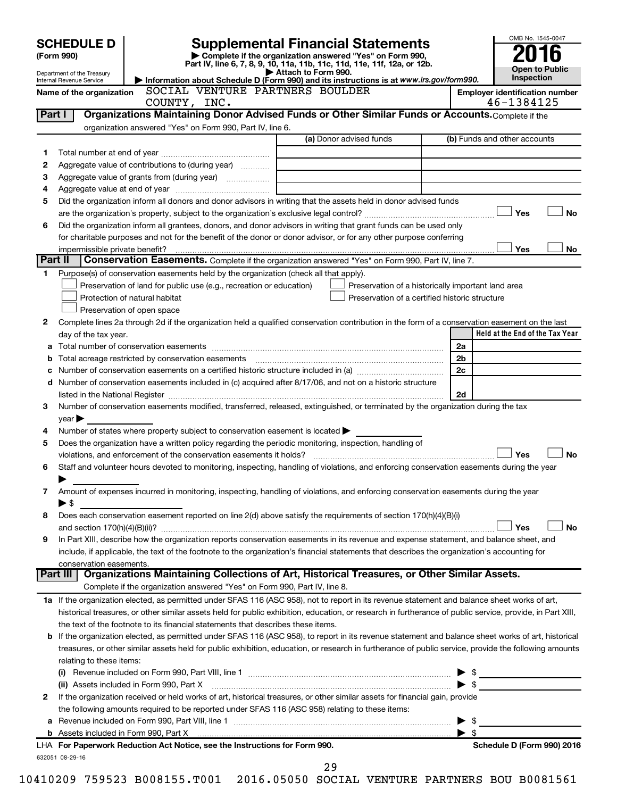|         | OMB No. 1545-0047<br><b>Supplemental Financial Statements</b><br><b>SCHEDULE D</b><br>Complete if the organization answered "Yes" on Form 990,<br>(Form 990)<br>Part IV, line 6, 7, 8, 9, 10, 11a, 11b, 11c, 11d, 11e, 11f, 12a, or 12b.<br><b>Open to Public</b><br>Attach to Form 990.<br>Department of the Treasury<br><b>Inspection</b><br>Information about Schedule D (Form 990) and its instructions is at www.irs.gov/form990. |                                                                                                        |                                                                                                                                                           |                              |                                                     |  |  |  |
|---------|----------------------------------------------------------------------------------------------------------------------------------------------------------------------------------------------------------------------------------------------------------------------------------------------------------------------------------------------------------------------------------------------------------------------------------------|--------------------------------------------------------------------------------------------------------|-----------------------------------------------------------------------------------------------------------------------------------------------------------|------------------------------|-----------------------------------------------------|--|--|--|
|         | Internal Revenue Service                                                                                                                                                                                                                                                                                                                                                                                                               |                                                                                                        |                                                                                                                                                           |                              |                                                     |  |  |  |
|         | Name of the organization                                                                                                                                                                                                                                                                                                                                                                                                               | SOCIAL VENTURE PARTNERS BOULDER                                                                        |                                                                                                                                                           |                              | <b>Employer identification number</b><br>46-1384125 |  |  |  |
|         |                                                                                                                                                                                                                                                                                                                                                                                                                                        | COUNTY, INC.                                                                                           | Organizations Maintaining Donor Advised Funds or Other Similar Funds or Accounts. Complete if the                                                         |                              |                                                     |  |  |  |
| Part I  |                                                                                                                                                                                                                                                                                                                                                                                                                                        |                                                                                                        |                                                                                                                                                           |                              |                                                     |  |  |  |
|         |                                                                                                                                                                                                                                                                                                                                                                                                                                        | organization answered "Yes" on Form 990, Part IV, line 6.                                              |                                                                                                                                                           |                              |                                                     |  |  |  |
|         |                                                                                                                                                                                                                                                                                                                                                                                                                                        |                                                                                                        | (a) Donor advised funds                                                                                                                                   |                              | (b) Funds and other accounts                        |  |  |  |
| 1       |                                                                                                                                                                                                                                                                                                                                                                                                                                        |                                                                                                        |                                                                                                                                                           |                              |                                                     |  |  |  |
| 2       |                                                                                                                                                                                                                                                                                                                                                                                                                                        | Aggregate value of contributions to (during year)                                                      |                                                                                                                                                           |                              |                                                     |  |  |  |
| з       |                                                                                                                                                                                                                                                                                                                                                                                                                                        |                                                                                                        |                                                                                                                                                           |                              |                                                     |  |  |  |
| 4       |                                                                                                                                                                                                                                                                                                                                                                                                                                        |                                                                                                        |                                                                                                                                                           |                              |                                                     |  |  |  |
| 5       |                                                                                                                                                                                                                                                                                                                                                                                                                                        |                                                                                                        | Did the organization inform all donors and donor advisors in writing that the assets held in donor advised funds                                          |                              |                                                     |  |  |  |
|         |                                                                                                                                                                                                                                                                                                                                                                                                                                        |                                                                                                        |                                                                                                                                                           |                              | Yes<br><b>No</b>                                    |  |  |  |
| 6       |                                                                                                                                                                                                                                                                                                                                                                                                                                        |                                                                                                        | Did the organization inform all grantees, donors, and donor advisors in writing that grant funds can be used only                                         |                              |                                                     |  |  |  |
|         |                                                                                                                                                                                                                                                                                                                                                                                                                                        |                                                                                                        | for charitable purposes and not for the benefit of the donor or donor advisor, or for any other purpose conferring                                        |                              |                                                     |  |  |  |
|         | impermissible private benefit?                                                                                                                                                                                                                                                                                                                                                                                                         |                                                                                                        |                                                                                                                                                           |                              | Yes<br>No                                           |  |  |  |
| Part II |                                                                                                                                                                                                                                                                                                                                                                                                                                        |                                                                                                        | Conservation Easements. Complete if the organization answered "Yes" on Form 990, Part IV, line 7.                                                         |                              |                                                     |  |  |  |
| 1       |                                                                                                                                                                                                                                                                                                                                                                                                                                        | Purpose(s) of conservation easements held by the organization (check all that apply).                  |                                                                                                                                                           |                              |                                                     |  |  |  |
|         |                                                                                                                                                                                                                                                                                                                                                                                                                                        | Preservation of land for public use (e.g., recreation or education)                                    | Preservation of a historically important land area                                                                                                        |                              |                                                     |  |  |  |
|         |                                                                                                                                                                                                                                                                                                                                                                                                                                        | Protection of natural habitat                                                                          | Preservation of a certified historic structure                                                                                                            |                              |                                                     |  |  |  |
|         |                                                                                                                                                                                                                                                                                                                                                                                                                                        | Preservation of open space                                                                             |                                                                                                                                                           |                              |                                                     |  |  |  |
| 2       |                                                                                                                                                                                                                                                                                                                                                                                                                                        |                                                                                                        | Complete lines 2a through 2d if the organization held a qualified conservation contribution in the form of a conservation easement on the last            |                              |                                                     |  |  |  |
|         | day of the tax year.                                                                                                                                                                                                                                                                                                                                                                                                                   |                                                                                                        |                                                                                                                                                           |                              | Held at the End of the Tax Year                     |  |  |  |
|         |                                                                                                                                                                                                                                                                                                                                                                                                                                        |                                                                                                        |                                                                                                                                                           | 2a                           |                                                     |  |  |  |
| b       |                                                                                                                                                                                                                                                                                                                                                                                                                                        |                                                                                                        |                                                                                                                                                           | 2b                           |                                                     |  |  |  |
| с       |                                                                                                                                                                                                                                                                                                                                                                                                                                        |                                                                                                        |                                                                                                                                                           | 2c                           |                                                     |  |  |  |
| d       |                                                                                                                                                                                                                                                                                                                                                                                                                                        |                                                                                                        | Number of conservation easements included in (c) acquired after 8/17/06, and not on a historic structure                                                  |                              |                                                     |  |  |  |
|         |                                                                                                                                                                                                                                                                                                                                                                                                                                        |                                                                                                        |                                                                                                                                                           | 2d                           |                                                     |  |  |  |
| 3       |                                                                                                                                                                                                                                                                                                                                                                                                                                        |                                                                                                        | Number of conservation easements modified, transferred, released, extinguished, or terminated by the organization during the tax                          |                              |                                                     |  |  |  |
|         | $year \blacktriangleright$                                                                                                                                                                                                                                                                                                                                                                                                             |                                                                                                        |                                                                                                                                                           |                              |                                                     |  |  |  |
| 4       |                                                                                                                                                                                                                                                                                                                                                                                                                                        | Number of states where property subject to conservation easement is located $\blacktriangleright$      |                                                                                                                                                           |                              |                                                     |  |  |  |
| 5       |                                                                                                                                                                                                                                                                                                                                                                                                                                        | Does the organization have a written policy regarding the periodic monitoring, inspection, handling of |                                                                                                                                                           |                              |                                                     |  |  |  |
|         |                                                                                                                                                                                                                                                                                                                                                                                                                                        |                                                                                                        |                                                                                                                                                           |                              | Yes<br><b>No</b>                                    |  |  |  |
|         |                                                                                                                                                                                                                                                                                                                                                                                                                                        |                                                                                                        | Staff and volunteer hours devoted to monitoring, inspecting, handling of violations, and enforcing conservation easements during the year                 |                              |                                                     |  |  |  |
| 6       |                                                                                                                                                                                                                                                                                                                                                                                                                                        |                                                                                                        |                                                                                                                                                           |                              |                                                     |  |  |  |
|         |                                                                                                                                                                                                                                                                                                                                                                                                                                        |                                                                                                        |                                                                                                                                                           |                              |                                                     |  |  |  |
| 7       |                                                                                                                                                                                                                                                                                                                                                                                                                                        |                                                                                                        | Amount of expenses incurred in monitoring, inspecting, handling of violations, and enforcing conservation easements during the year                       |                              |                                                     |  |  |  |
|         | $\blacktriangleright$ \$                                                                                                                                                                                                                                                                                                                                                                                                               |                                                                                                        |                                                                                                                                                           |                              |                                                     |  |  |  |
| 8       |                                                                                                                                                                                                                                                                                                                                                                                                                                        |                                                                                                        | Does each conservation easement reported on line 2(d) above satisfy the requirements of section 170(h)(4)(B)(i)                                           |                              |                                                     |  |  |  |
|         |                                                                                                                                                                                                                                                                                                                                                                                                                                        |                                                                                                        |                                                                                                                                                           |                              | No<br>Yes                                           |  |  |  |
| 9       |                                                                                                                                                                                                                                                                                                                                                                                                                                        |                                                                                                        | In Part XIII, describe how the organization reports conservation easements in its revenue and expense statement, and balance sheet, and                   |                              |                                                     |  |  |  |
|         |                                                                                                                                                                                                                                                                                                                                                                                                                                        |                                                                                                        | include, if applicable, the text of the footnote to the organization's financial statements that describes the organization's accounting for              |                              |                                                     |  |  |  |
|         | conservation easements.                                                                                                                                                                                                                                                                                                                                                                                                                |                                                                                                        |                                                                                                                                                           |                              |                                                     |  |  |  |
|         |                                                                                                                                                                                                                                                                                                                                                                                                                                        |                                                                                                        | Part III   Organizations Maintaining Collections of Art, Historical Treasures, or Other Similar Assets.                                                   |                              |                                                     |  |  |  |
|         |                                                                                                                                                                                                                                                                                                                                                                                                                                        | Complete if the organization answered "Yes" on Form 990, Part IV, line 8.                              |                                                                                                                                                           |                              |                                                     |  |  |  |
|         |                                                                                                                                                                                                                                                                                                                                                                                                                                        |                                                                                                        | 1a If the organization elected, as permitted under SFAS 116 (ASC 958), not to report in its revenue statement and balance sheet works of art,             |                              |                                                     |  |  |  |
|         |                                                                                                                                                                                                                                                                                                                                                                                                                                        |                                                                                                        | historical treasures, or other similar assets held for public exhibition, education, or research in furtherance of public service, provide, in Part XIII, |                              |                                                     |  |  |  |
|         |                                                                                                                                                                                                                                                                                                                                                                                                                                        | the text of the footnote to its financial statements that describes these items.                       |                                                                                                                                                           |                              |                                                     |  |  |  |
| b       |                                                                                                                                                                                                                                                                                                                                                                                                                                        |                                                                                                        | If the organization elected, as permitted under SFAS 116 (ASC 958), to report in its revenue statement and balance sheet works of art, historical         |                              |                                                     |  |  |  |
|         |                                                                                                                                                                                                                                                                                                                                                                                                                                        |                                                                                                        | treasures, or other similar assets held for public exhibition, education, or research in furtherance of public service, provide the following amounts     |                              |                                                     |  |  |  |
|         | relating to these items:                                                                                                                                                                                                                                                                                                                                                                                                               |                                                                                                        |                                                                                                                                                           |                              |                                                     |  |  |  |
|         |                                                                                                                                                                                                                                                                                                                                                                                                                                        |                                                                                                        |                                                                                                                                                           |                              | $\frac{1}{2}$                                       |  |  |  |
|         |                                                                                                                                                                                                                                                                                                                                                                                                                                        | (ii) Assets included in Form 990, Part X                                                               |                                                                                                                                                           | \$                           | <u> 1980 - Jan Barbara Barat, politik politik (</u> |  |  |  |
| 2       |                                                                                                                                                                                                                                                                                                                                                                                                                                        |                                                                                                        | If the organization received or held works of art, historical treasures, or other similar assets for financial gain, provide                              |                              |                                                     |  |  |  |
|         |                                                                                                                                                                                                                                                                                                                                                                                                                                        | the following amounts required to be reported under SFAS 116 (ASC 958) relating to these items:        |                                                                                                                                                           |                              |                                                     |  |  |  |
|         |                                                                                                                                                                                                                                                                                                                                                                                                                                        |                                                                                                        |                                                                                                                                                           | - \$                         |                                                     |  |  |  |
|         |                                                                                                                                                                                                                                                                                                                                                                                                                                        |                                                                                                        |                                                                                                                                                           | -\$<br>$\blacktriangleright$ |                                                     |  |  |  |
|         |                                                                                                                                                                                                                                                                                                                                                                                                                                        | LHA For Paperwork Reduction Act Notice, see the Instructions for Form 990.                             |                                                                                                                                                           |                              | Schedule D (Form 990) 2016                          |  |  |  |
|         | 632051 08-29-16                                                                                                                                                                                                                                                                                                                                                                                                                        |                                                                                                        |                                                                                                                                                           |                              |                                                     |  |  |  |
|         |                                                                                                                                                                                                                                                                                                                                                                                                                                        |                                                                                                        | 29                                                                                                                                                        |                              |                                                     |  |  |  |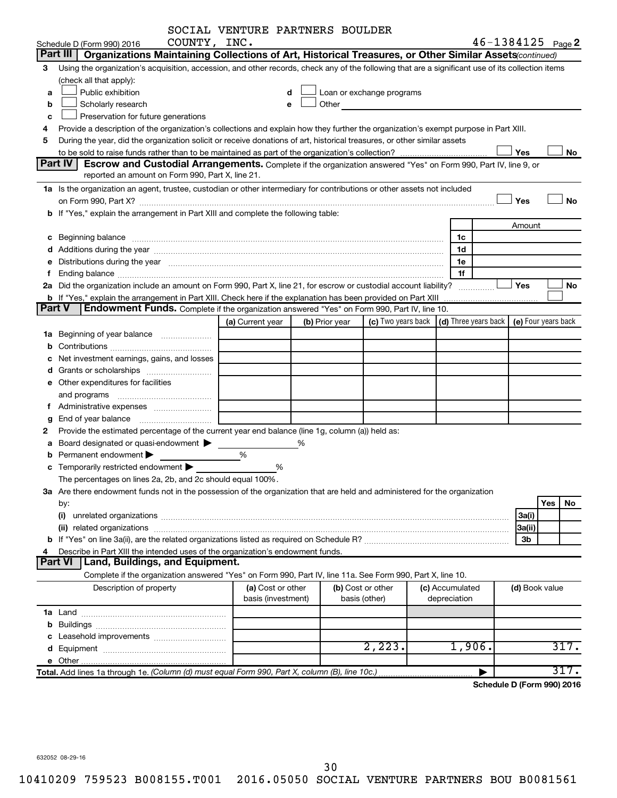|        |                                                                                                                                                                                                                                | SOCIAL VENTURE PARTNERS BOULDER         |   |                |                                                                                                                                                                                                                               |                                                                             |                       |           |
|--------|--------------------------------------------------------------------------------------------------------------------------------------------------------------------------------------------------------------------------------|-----------------------------------------|---|----------------|-------------------------------------------------------------------------------------------------------------------------------------------------------------------------------------------------------------------------------|-----------------------------------------------------------------------------|-----------------------|-----------|
|        | COUNTY, INC.<br>Schedule D (Form 990) 2016                                                                                                                                                                                     |                                         |   |                |                                                                                                                                                                                                                               |                                                                             | $46 - 1384125$ Page 2 |           |
|        | Organizations Maintaining Collections of Art, Historical Treasures, or Other Similar Assets (continued)<br>Part III                                                                                                            |                                         |   |                |                                                                                                                                                                                                                               |                                                                             |                       |           |
| З      | Using the organization's acquisition, accession, and other records, check any of the following that are a significant use of its collection items                                                                              |                                         |   |                |                                                                                                                                                                                                                               |                                                                             |                       |           |
|        | (check all that apply):                                                                                                                                                                                                        |                                         |   |                |                                                                                                                                                                                                                               |                                                                             |                       |           |
| a      | Public exhibition                                                                                                                                                                                                              |                                         |   |                | Loan or exchange programs                                                                                                                                                                                                     |                                                                             |                       |           |
| b      | Scholarly research                                                                                                                                                                                                             |                                         |   |                | Other and the contract of the contract of the contract of the contract of the contract of the contract of the contract of the contract of the contract of the contract of the contract of the contract of the contract of the |                                                                             |                       |           |
| c      | Preservation for future generations                                                                                                                                                                                            |                                         |   |                |                                                                                                                                                                                                                               |                                                                             |                       |           |
| 4      | Provide a description of the organization's collections and explain how they further the organization's exempt purpose in Part XIII.                                                                                           |                                         |   |                |                                                                                                                                                                                                                               |                                                                             |                       |           |
| 5      | During the year, did the organization solicit or receive donations of art, historical treasures, or other similar assets                                                                                                       |                                         |   |                |                                                                                                                                                                                                                               |                                                                             |                       |           |
|        |                                                                                                                                                                                                                                |                                         |   |                |                                                                                                                                                                                                                               |                                                                             | Yes                   | No        |
|        | <b>Part IV</b><br>Escrow and Custodial Arrangements. Complete if the organization answered "Yes" on Form 990, Part IV, line 9, or                                                                                              |                                         |   |                |                                                                                                                                                                                                                               |                                                                             |                       |           |
|        | reported an amount on Form 990, Part X, line 21.                                                                                                                                                                               |                                         |   |                |                                                                                                                                                                                                                               |                                                                             |                       |           |
|        | 1a Is the organization an agent, trustee, custodian or other intermediary for contributions or other assets not included                                                                                                       |                                         |   |                |                                                                                                                                                                                                                               |                                                                             |                       |           |
|        |                                                                                                                                                                                                                                |                                         |   |                |                                                                                                                                                                                                                               |                                                                             | Yes                   | No        |
|        | b If "Yes," explain the arrangement in Part XIII and complete the following table:                                                                                                                                             |                                         |   |                |                                                                                                                                                                                                                               |                                                                             |                       |           |
|        |                                                                                                                                                                                                                                |                                         |   |                |                                                                                                                                                                                                                               |                                                                             | Amount                |           |
|        |                                                                                                                                                                                                                                |                                         |   |                |                                                                                                                                                                                                                               | 1c                                                                          |                       |           |
|        |                                                                                                                                                                                                                                |                                         |   |                |                                                                                                                                                                                                                               | 1d                                                                          |                       |           |
|        | e Distributions during the year manufactured and contain an account of the year manufactured and the year manufactured and the year manufactured and the year manufactured and the year manufactured and the year manufactured |                                         |   |                |                                                                                                                                                                                                                               | 1е                                                                          |                       |           |
|        |                                                                                                                                                                                                                                |                                         |   |                |                                                                                                                                                                                                                               | 1f                                                                          |                       |           |
|        | 2a Did the organization include an amount on Form 990, Part X, line 21, for escrow or custodial account liability?                                                                                                             |                                         |   |                |                                                                                                                                                                                                                               |                                                                             | Yes                   | No        |
| Part V | Endowment Funds. Complete if the organization answered "Yes" on Form 990, Part IV, line 10.                                                                                                                                    |                                         |   |                |                                                                                                                                                                                                                               |                                                                             |                       |           |
|        |                                                                                                                                                                                                                                |                                         |   |                |                                                                                                                                                                                                                               | (c) Two years back $\vert$ (d) Three years back $\vert$ (e) Four years back |                       |           |
|        |                                                                                                                                                                                                                                | (a) Current year                        |   | (b) Prior year |                                                                                                                                                                                                                               |                                                                             |                       |           |
|        | <b>1a</b> Beginning of year balance                                                                                                                                                                                            |                                         |   |                |                                                                                                                                                                                                                               |                                                                             |                       |           |
|        |                                                                                                                                                                                                                                |                                         |   |                |                                                                                                                                                                                                                               |                                                                             |                       |           |
|        | Net investment earnings, gains, and losses                                                                                                                                                                                     |                                         |   |                |                                                                                                                                                                                                                               |                                                                             |                       |           |
|        |                                                                                                                                                                                                                                |                                         |   |                |                                                                                                                                                                                                                               |                                                                             |                       |           |
|        | e Other expenditures for facilities                                                                                                                                                                                            |                                         |   |                |                                                                                                                                                                                                                               |                                                                             |                       |           |
|        | and programs                                                                                                                                                                                                                   |                                         |   |                |                                                                                                                                                                                                                               |                                                                             |                       |           |
|        |                                                                                                                                                                                                                                |                                         |   |                |                                                                                                                                                                                                                               |                                                                             |                       |           |
| g      | Provide the estimated percentage of the current year end balance (line 1g, column (a)) held as:                                                                                                                                |                                         |   |                |                                                                                                                                                                                                                               |                                                                             |                       |           |
| а      | Board designated or quasi-endowment                                                                                                                                                                                            |                                         | % |                |                                                                                                                                                                                                                               |                                                                             |                       |           |
|        | Permanent endowment                                                                                                                                                                                                            | %                                       |   |                |                                                                                                                                                                                                                               |                                                                             |                       |           |
|        | <b>c</b> Temporarily restricted endowment $\blacktriangleright$                                                                                                                                                                |                                         | % |                |                                                                                                                                                                                                                               |                                                                             |                       |           |
|        | The percentages on lines 2a, 2b, and 2c should equal 100%.                                                                                                                                                                     |                                         |   |                |                                                                                                                                                                                                                               |                                                                             |                       |           |
|        | 3a Are there endowment funds not in the possession of the organization that are held and administered for the organization                                                                                                     |                                         |   |                |                                                                                                                                                                                                                               |                                                                             |                       |           |
|        | by:                                                                                                                                                                                                                            |                                         |   |                |                                                                                                                                                                                                                               |                                                                             |                       | Yes<br>No |
|        | (i)                                                                                                                                                                                                                            |                                         |   |                |                                                                                                                                                                                                                               |                                                                             | 3a(i)                 |           |
|        |                                                                                                                                                                                                                                |                                         |   |                |                                                                                                                                                                                                                               |                                                                             | 3a(ii)                |           |
|        |                                                                                                                                                                                                                                |                                         |   |                |                                                                                                                                                                                                                               |                                                                             | 3b                    |           |
|        | Describe in Part XIII the intended uses of the organization's endowment funds.                                                                                                                                                 |                                         |   |                |                                                                                                                                                                                                                               |                                                                             |                       |           |
|        | <b>Land, Buildings, and Equipment.</b><br><b>Part VI</b>                                                                                                                                                                       |                                         |   |                |                                                                                                                                                                                                                               |                                                                             |                       |           |
|        | Complete if the organization answered "Yes" on Form 990, Part IV, line 11a. See Form 990, Part X, line 10.                                                                                                                     |                                         |   |                |                                                                                                                                                                                                                               |                                                                             |                       |           |
|        | Description of property                                                                                                                                                                                                        | (a) Cost or other<br>basis (investment) |   |                | (b) Cost or other<br>basis (other)                                                                                                                                                                                            | (c) Accumulated<br>depreciation                                             | (d) Book value        |           |
|        |                                                                                                                                                                                                                                |                                         |   |                |                                                                                                                                                                                                                               |                                                                             |                       |           |
|        |                                                                                                                                                                                                                                |                                         |   |                |                                                                                                                                                                                                                               |                                                                             |                       |           |
|        |                                                                                                                                                                                                                                |                                         |   |                |                                                                                                                                                                                                                               |                                                                             |                       |           |
|        |                                                                                                                                                                                                                                |                                         |   |                | 2,223.                                                                                                                                                                                                                        | 1,906.                                                                      |                       | 317.      |
|        |                                                                                                                                                                                                                                |                                         |   |                |                                                                                                                                                                                                                               |                                                                             |                       |           |
|        | Total. Add lines 1a through 1e. (Column (d) must equal Form 990, Part X, column (B), line 10c.)                                                                                                                                |                                         |   |                |                                                                                                                                                                                                                               |                                                                             |                       | 317.      |
|        |                                                                                                                                                                                                                                |                                         |   |                |                                                                                                                                                                                                                               |                                                                             |                       |           |

**Schedule D (Form 990) 2016**

632052 08-29-16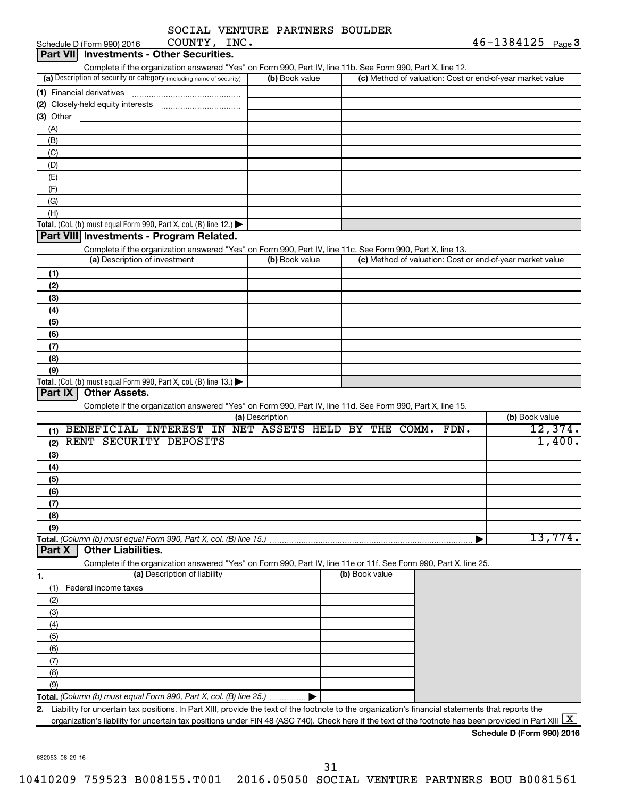|  | SOCIAL VENTURE PARTNERS BOULDER |  |
|--|---------------------------------|--|
|  |                                 |  |

|                | Schedule D (Form 990) 2016    | COUNTY, INC.                                                                                                                                                                                                                                                                                                  |                 |                |                                                           | $46 - 1384125$ Page 3      |
|----------------|-------------------------------|---------------------------------------------------------------------------------------------------------------------------------------------------------------------------------------------------------------------------------------------------------------------------------------------------------------|-----------------|----------------|-----------------------------------------------------------|----------------------------|
|                |                               | Part VII Investments - Other Securities.                                                                                                                                                                                                                                                                      |                 |                |                                                           |                            |
|                |                               | Complete if the organization answered "Yes" on Form 990, Part IV, line 11b. See Form 990, Part X, line 12.                                                                                                                                                                                                    |                 |                |                                                           |                            |
|                |                               | (a) Description of security or category (including name of security)                                                                                                                                                                                                                                          | (b) Book value  |                | (c) Method of valuation: Cost or end-of-year market value |                            |
|                |                               |                                                                                                                                                                                                                                                                                                               |                 |                |                                                           |                            |
| $(3)$ Other    |                               |                                                                                                                                                                                                                                                                                                               |                 |                |                                                           |                            |
| (A)            |                               |                                                                                                                                                                                                                                                                                                               |                 |                |                                                           |                            |
| (B)            |                               |                                                                                                                                                                                                                                                                                                               |                 |                |                                                           |                            |
| (C)            |                               |                                                                                                                                                                                                                                                                                                               |                 |                |                                                           |                            |
| (D)            |                               |                                                                                                                                                                                                                                                                                                               |                 |                |                                                           |                            |
| (E)            |                               |                                                                                                                                                                                                                                                                                                               |                 |                |                                                           |                            |
| (F)            |                               |                                                                                                                                                                                                                                                                                                               |                 |                |                                                           |                            |
| (G)            |                               |                                                                                                                                                                                                                                                                                                               |                 |                |                                                           |                            |
| (H)            |                               |                                                                                                                                                                                                                                                                                                               |                 |                |                                                           |                            |
|                |                               | Total. (Col. (b) must equal Form 990, Part X, col. (B) line 12.)                                                                                                                                                                                                                                              |                 |                |                                                           |                            |
|                |                               | Part VIII Investments - Program Related.                                                                                                                                                                                                                                                                      |                 |                |                                                           |                            |
|                | (a) Description of investment | Complete if the organization answered "Yes" on Form 990, Part IV, line 11c. See Form 990, Part X, line 13.                                                                                                                                                                                                    | (b) Book value  |                | (c) Method of valuation: Cost or end-of-year market value |                            |
|                |                               |                                                                                                                                                                                                                                                                                                               |                 |                |                                                           |                            |
| (1)            |                               |                                                                                                                                                                                                                                                                                                               |                 |                |                                                           |                            |
| (2)<br>(3)     |                               |                                                                                                                                                                                                                                                                                                               |                 |                |                                                           |                            |
| (4)            |                               |                                                                                                                                                                                                                                                                                                               |                 |                |                                                           |                            |
| (5)            |                               |                                                                                                                                                                                                                                                                                                               |                 |                |                                                           |                            |
| (6)            |                               |                                                                                                                                                                                                                                                                                                               |                 |                |                                                           |                            |
| (7)            |                               |                                                                                                                                                                                                                                                                                                               |                 |                |                                                           |                            |
| (8)            |                               |                                                                                                                                                                                                                                                                                                               |                 |                |                                                           |                            |
| (9)            |                               |                                                                                                                                                                                                                                                                                                               |                 |                |                                                           |                            |
|                |                               | Total. (Col. (b) must equal Form 990, Part X, col. (B) line 13.)                                                                                                                                                                                                                                              |                 |                |                                                           |                            |
| <b>Part IX</b> | <b>Other Assets.</b>          |                                                                                                                                                                                                                                                                                                               |                 |                |                                                           |                            |
|                |                               | Complete if the organization answered "Yes" on Form 990, Part IV, line 11d. See Form 990, Part X, line 15.                                                                                                                                                                                                    | (a) Description |                |                                                           | (b) Book value             |
| (1)            |                               | BENEFICIAL INTEREST IN NET ASSETS HELD BY THE COMM. FDN.                                                                                                                                                                                                                                                      |                 |                |                                                           | 12,374.                    |
| (2)            | RENT SECURITY DEPOSITS        |                                                                                                                                                                                                                                                                                                               |                 |                |                                                           | 1,400.                     |
| (3)            |                               |                                                                                                                                                                                                                                                                                                               |                 |                |                                                           |                            |
| (4)            |                               |                                                                                                                                                                                                                                                                                                               |                 |                |                                                           |                            |
| (5)            |                               |                                                                                                                                                                                                                                                                                                               |                 |                |                                                           |                            |
| (6)            |                               |                                                                                                                                                                                                                                                                                                               |                 |                |                                                           |                            |
| (7)            |                               |                                                                                                                                                                                                                                                                                                               |                 |                |                                                           |                            |
| (8)            |                               |                                                                                                                                                                                                                                                                                                               |                 |                |                                                           |                            |
| (9)            |                               |                                                                                                                                                                                                                                                                                                               |                 |                |                                                           |                            |
|                |                               | Total. (Column (b) must equal Form 990, Part X, col. (B) line 15.)                                                                                                                                                                                                                                            |                 |                |                                                           | 13,774.                    |
| Part X         | <b>Other Liabilities.</b>     | Complete if the organization answered "Yes" on Form 990, Part IV, line 11e or 11f. See Form 990, Part X, line 25.                                                                                                                                                                                             |                 |                |                                                           |                            |
|                |                               | (a) Description of liability                                                                                                                                                                                                                                                                                  |                 | (b) Book value |                                                           |                            |
| 1.<br>(1)      | Federal income taxes          |                                                                                                                                                                                                                                                                                                               |                 |                |                                                           |                            |
| (2)            |                               |                                                                                                                                                                                                                                                                                                               |                 |                |                                                           |                            |
| (3)            |                               |                                                                                                                                                                                                                                                                                                               |                 |                |                                                           |                            |
| (4)            |                               |                                                                                                                                                                                                                                                                                                               |                 |                |                                                           |                            |
| (5)            |                               |                                                                                                                                                                                                                                                                                                               |                 |                |                                                           |                            |
| (6)            |                               |                                                                                                                                                                                                                                                                                                               |                 |                |                                                           |                            |
| (7)            |                               |                                                                                                                                                                                                                                                                                                               |                 |                |                                                           |                            |
| (8)            |                               |                                                                                                                                                                                                                                                                                                               |                 |                |                                                           |                            |
| (9)            |                               |                                                                                                                                                                                                                                                                                                               |                 |                |                                                           |                            |
|                |                               | Total. (Column (b) must equal Form 990, Part X, col. (B) line 25.)                                                                                                                                                                                                                                            |                 |                |                                                           |                            |
| 2.             |                               | Liability for uncertain tax positions. In Part XIII, provide the text of the footnote to the organization's financial statements that reports the<br>organization's liability for uncertain tax positions under FIN 48 (ASC 740). Check here if the text of the footnote has been provided in Part XIII $ X $ |                 |                |                                                           |                            |
|                |                               |                                                                                                                                                                                                                                                                                                               |                 |                |                                                           | Schedule D (Form 990) 2016 |
|                |                               |                                                                                                                                                                                                                                                                                                               |                 |                |                                                           |                            |

31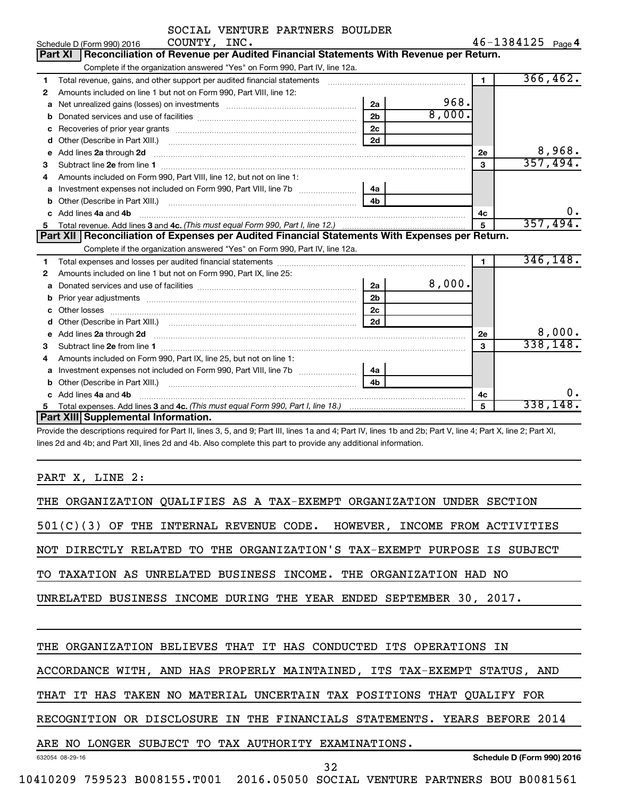|              | SOCIAL VENTURE PARTNERS BOULDER                                                                                                                                                                                                      |                |        |                |                   |           |
|--------------|--------------------------------------------------------------------------------------------------------------------------------------------------------------------------------------------------------------------------------------|----------------|--------|----------------|-------------------|-----------|
|              | COUNTY, INC.<br>Schedule D (Form 990) 2016                                                                                                                                                                                           |                |        |                | 46-1384125 Page 4 |           |
|              | Reconciliation of Revenue per Audited Financial Statements With Revenue per Return.<br>Part XI                                                                                                                                       |                |        |                |                   |           |
|              | Complete if the organization answered "Yes" on Form 990, Part IV, line 12a.                                                                                                                                                          |                |        |                |                   |           |
| 1            | Total revenue, gains, and other support per audited financial statements [111][11] matter controller matter controller matter controller matter matter matter matter matter matter matter matter matter matter matter matter m       |                |        | $\blacksquare$ |                   | 366, 462. |
| $\mathbf{2}$ | Amounts included on line 1 but not on Form 990, Part VIII, line 12:                                                                                                                                                                  |                |        |                |                   |           |
| a            |                                                                                                                                                                                                                                      | 2a             | 968.   |                |                   |           |
|              |                                                                                                                                                                                                                                      | 2 <sub>b</sub> | 8,000. |                |                   |           |
| с            |                                                                                                                                                                                                                                      | 2 <sub>c</sub> |        |                |                   |           |
| d            |                                                                                                                                                                                                                                      | 2d             |        |                |                   |           |
| е            | Add lines 2a through 2d                                                                                                                                                                                                              |                |        | 2е             |                   | 8,968.    |
| 3            | Subtract line 2e from line 1                                                                                                                                                                                                         |                |        | 3              |                   | 357,494.  |
| 4            | Amounts included on Form 990, Part VIII, line 12, but not on line 1:                                                                                                                                                                 |                |        |                |                   |           |
| a            | Investment expenses not included on Form 990, Part VIII, line 7b [11, 11, 11, 11, 11]                                                                                                                                                | 4a             |        |                |                   |           |
| b            |                                                                                                                                                                                                                                      | 4h             |        |                |                   |           |
|              | Add lines 4a and 4b                                                                                                                                                                                                                  |                |        | 4c             |                   | 0.        |
| 5            |                                                                                                                                                                                                                                      |                |        | 5              |                   | 357,494.  |
|              | Part XII   Reconciliation of Expenses per Audited Financial Statements With Expenses per Return.                                                                                                                                     |                |        |                |                   |           |
|              | Complete if the organization answered "Yes" on Form 990, Part IV, line 12a.                                                                                                                                                          |                |        |                |                   |           |
| 1            |                                                                                                                                                                                                                                      |                |        | $\mathbf{1}$   |                   | 346, 148. |
| 2            | Amounts included on line 1 but not on Form 990, Part IX, line 25:                                                                                                                                                                    |                |        |                |                   |           |
| a            |                                                                                                                                                                                                                                      | 2a             | 8,000. |                |                   |           |
|              |                                                                                                                                                                                                                                      | 2 <sub>b</sub> |        |                |                   |           |
|              |                                                                                                                                                                                                                                      | 2c             |        |                |                   |           |
| d            | Other (Describe in Part XIII.) (COLORGIAL CONSERVATION CONTROL)                                                                                                                                                                      | 2d             |        |                |                   | 8,000.    |
| e            | Add lines 2a through 2d <b>continuum continuum contract and all the contract of the contract of the contract of the contract of the contract of the contract of the contract of the contract of the contract of the contract of </b> |                |        | <b>2e</b>      |                   | 338,148.  |
| 3            |                                                                                                                                                                                                                                      |                |        | 3              |                   |           |
| 4            | Amounts included on Form 990, Part IX, line 25, but not on line 1:                                                                                                                                                                   |                |        |                |                   |           |
| a            | Investment expenses not included on Form 990, Part VIII, line 7b [[[[[[[[[[[[[[[[[[[[[[[]]]]]]]]                                                                                                                                     | 4a             |        |                |                   |           |
|              |                                                                                                                                                                                                                                      | 4 <sub>b</sub> |        |                |                   | υ.        |
|              | Add lines 4a and 4b                                                                                                                                                                                                                  |                |        | 4c             |                   | 338,148.  |
| 5            |                                                                                                                                                                                                                                      |                |        | 5              |                   |           |
|              | Part XIII Supplemental Information.                                                                                                                                                                                                  |                |        |                |                   |           |

Provide the descriptions required for Part II, lines 3, 5, and 9; Part III, lines 1a and 4; Part IV, lines 1b and 2b; Part V, line 4; Part X, line 2; Part XI, lines 2d and 4b; and Part XII, lines 2d and 4b. Also complete this part to provide any additional information.

PART X, LINE 2:

| THE ORGANIZATION QUALIFIES AS A TAX-EXEMPT ORGANIZATION UNDER SECTION     |
|---------------------------------------------------------------------------|
| $501(C)(3)$ OF THE INTERNAL REVENUE CODE. HOWEVER, INCOME FROM ACTIVITIES |
| NOT DIRECTLY RELATED TO THE ORGANIZATION'S TAX-EXEMPT PURPOSE IS SUBJECT  |
| TO TAXATION AS UNRELATED BUSINESS INCOME. THE ORGANIZATION HAD NO         |
| UNRELATED BUSINESS INCOME DURING THE YEAR ENDED SEPTEMBER 30, 2017.       |
|                                                                           |
| THE ORGANIZATION BELIEVES THAT IT HAS CONDUCTED ITS OPERATIONS IN         |
| ACCORDANCE WITH, AND HAS PROPERLY MAINTAINED, ITS TAX-EXEMPT STATUS, AND  |
| THAT IT HAS TAKEN NO MATERIAL UNCERTAIN TAX POSITIONS THAT QUALIFY FOR    |
| RECOGNITION OR DISCLOSURE IN THE FINANCIALS STATEMENTS. YEARS BEFORE 2014 |
| ARE NO LONGER SUBJECT TO TAX AUTHORITY EXAMINATIONS.                      |
| Schedule D (Form 990) 2016<br>632054 08-29-16<br>32                       |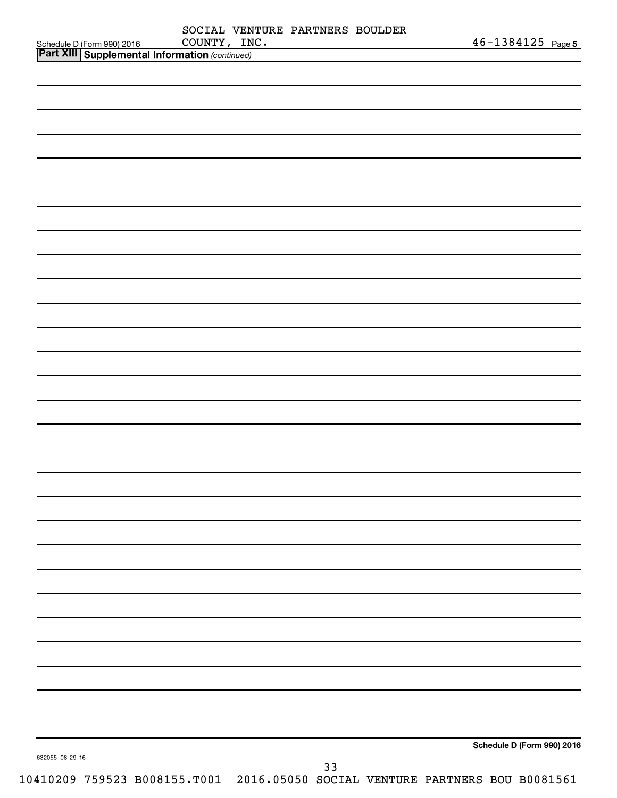| Schedule D (Form 990) 2016                                                   | COUNTY, INC. | SOCIAL VENTURE PARTNERS BOULDER |    |  | $46 - 1384125$ Page 5      |  |
|------------------------------------------------------------------------------|--------------|---------------------------------|----|--|----------------------------|--|
| <b>Part XIII Supplemental Information (continued)</b>                        |              |                                 |    |  |                            |  |
|                                                                              |              |                                 |    |  |                            |  |
|                                                                              |              |                                 |    |  |                            |  |
|                                                                              |              |                                 |    |  |                            |  |
|                                                                              |              |                                 |    |  |                            |  |
|                                                                              |              |                                 |    |  |                            |  |
|                                                                              |              |                                 |    |  |                            |  |
|                                                                              |              |                                 |    |  |                            |  |
|                                                                              |              |                                 |    |  |                            |  |
|                                                                              |              |                                 |    |  |                            |  |
|                                                                              |              |                                 |    |  |                            |  |
|                                                                              |              |                                 |    |  |                            |  |
|                                                                              |              |                                 |    |  |                            |  |
|                                                                              |              |                                 |    |  |                            |  |
|                                                                              |              |                                 |    |  |                            |  |
|                                                                              |              |                                 |    |  |                            |  |
|                                                                              |              |                                 |    |  |                            |  |
|                                                                              |              |                                 |    |  |                            |  |
|                                                                              |              |                                 |    |  |                            |  |
|                                                                              |              |                                 |    |  |                            |  |
|                                                                              |              |                                 |    |  |                            |  |
|                                                                              |              |                                 |    |  |                            |  |
|                                                                              |              |                                 |    |  |                            |  |
|                                                                              |              |                                 |    |  |                            |  |
|                                                                              |              |                                 |    |  |                            |  |
|                                                                              |              |                                 |    |  |                            |  |
|                                                                              |              |                                 |    |  |                            |  |
|                                                                              |              |                                 |    |  |                            |  |
|                                                                              |              |                                 |    |  |                            |  |
|                                                                              |              |                                 |    |  |                            |  |
|                                                                              |              |                                 |    |  |                            |  |
|                                                                              |              |                                 |    |  |                            |  |
|                                                                              |              |                                 |    |  |                            |  |
|                                                                              |              |                                 |    |  |                            |  |
|                                                                              |              |                                 |    |  |                            |  |
|                                                                              |              |                                 |    |  |                            |  |
|                                                                              |              |                                 |    |  |                            |  |
|                                                                              |              |                                 |    |  |                            |  |
|                                                                              |              |                                 |    |  |                            |  |
|                                                                              |              |                                 |    |  |                            |  |
|                                                                              |              |                                 |    |  |                            |  |
|                                                                              |              |                                 |    |  |                            |  |
|                                                                              |              |                                 |    |  |                            |  |
|                                                                              |              |                                 |    |  | Schedule D (Form 990) 2016 |  |
| 632055 08-29-16                                                              |              |                                 |    |  |                            |  |
| 10410209 759523 B008155.T001 2016.05050 SOCIAL VENTURE PARTNERS BOU B0081561 |              |                                 | 33 |  |                            |  |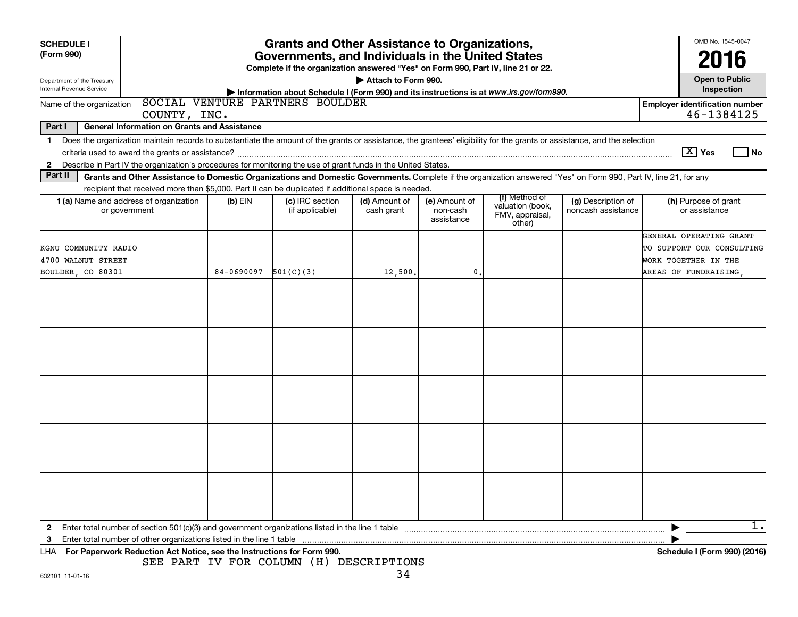| <b>SCHEDULE I</b>          | <b>Grants and Other Assistance to Organizations,</b>                                                                                                                                                                                                                                               |            |                                                                                                                                       |                     |               |  |                                       |                                                     |      |
|----------------------------|----------------------------------------------------------------------------------------------------------------------------------------------------------------------------------------------------------------------------------------------------------------------------------------------------|------------|---------------------------------------------------------------------------------------------------------------------------------------|---------------------|---------------|--|---------------------------------------|-----------------------------------------------------|------|
| (Form 990)                 |                                                                                                                                                                                                                                                                                                    |            | Governments, and Individuals in the United States<br>Complete if the organization answered "Yes" on Form 990, Part IV, line 21 or 22. |                     |               |  |                                       | 2016                                                |      |
| Department of the Treasury |                                                                                                                                                                                                                                                                                                    |            |                                                                                                                                       | Attach to Form 990. |               |  |                                       | <b>Open to Public</b>                               |      |
| Internal Revenue Service   |                                                                                                                                                                                                                                                                                                    |            | Information about Schedule I (Form 990) and its instructions is at www.irs.gov/form990.                                               |                     |               |  |                                       | Inspection                                          |      |
| Name of the organization   | COUNTY, INC.                                                                                                                                                                                                                                                                                       |            | SOCIAL VENTURE PARTNERS BOULDER                                                                                                       |                     |               |  |                                       | <b>Employer identification number</b><br>46-1384125 |      |
| Part I                     | <b>General Information on Grants and Assistance</b>                                                                                                                                                                                                                                                |            |                                                                                                                                       |                     |               |  |                                       |                                                     |      |
| 1.                         | Does the organization maintain records to substantiate the amount of the grants or assistance, the grantees' eligibility for the grants or assistance, and the selection                                                                                                                           |            |                                                                                                                                       |                     |               |  |                                       |                                                     |      |
|                            |                                                                                                                                                                                                                                                                                                    |            |                                                                                                                                       |                     |               |  |                                       | $\boxed{\text{X}}$ Yes                              | l No |
| $\mathbf{2}$               | Describe in Part IV the organization's procedures for monitoring the use of grant funds in the United States.                                                                                                                                                                                      |            |                                                                                                                                       |                     |               |  |                                       |                                                     |      |
| Part II                    | Grants and Other Assistance to Domestic Organizations and Domestic Governments. Complete if the organization answered "Yes" on Form 990, Part IV, line 21, for any                                                                                                                                 |            |                                                                                                                                       |                     |               |  |                                       |                                                     |      |
|                            | recipient that received more than \$5,000. Part II can be duplicated if additional space is needed.                                                                                                                                                                                                |            |                                                                                                                                       |                     |               |  |                                       |                                                     |      |
|                            | (f) Method of<br>1 (a) Name and address of organization<br>$(b)$ EIN<br>(c) IRC section<br>(d) Amount of<br>(e) Amount of<br>(g) Description of<br>valuation (book,<br>noncash assistance<br>or government<br>(if applicable)<br>cash grant<br>non-cash<br>FMV, appraisal,<br>assistance<br>other) |            |                                                                                                                                       |                     |               |  | (h) Purpose of grant<br>or assistance |                                                     |      |
|                            |                                                                                                                                                                                                                                                                                                    |            |                                                                                                                                       |                     |               |  |                                       | GENERAL OPERATING GRANT                             |      |
| KGNU COMMUNITY RADIO       |                                                                                                                                                                                                                                                                                                    |            |                                                                                                                                       |                     |               |  |                                       | TO SUPPORT OUR CONSULTING                           |      |
| 4700 WALNUT STREET         |                                                                                                                                                                                                                                                                                                    |            |                                                                                                                                       |                     |               |  |                                       | WORK TOGETHER IN THE                                |      |
| BOULDER, CO 80301          |                                                                                                                                                                                                                                                                                                    | 84-0690097 | 501(C)(3)                                                                                                                             | 12,500.             | $\mathbf 0$ . |  |                                       | AREAS OF FUNDRAISING                                |      |
|                            |                                                                                                                                                                                                                                                                                                    |            |                                                                                                                                       |                     |               |  |                                       |                                                     |      |
|                            |                                                                                                                                                                                                                                                                                                    |            |                                                                                                                                       |                     |               |  |                                       |                                                     |      |
|                            |                                                                                                                                                                                                                                                                                                    |            |                                                                                                                                       |                     |               |  |                                       |                                                     |      |
|                            |                                                                                                                                                                                                                                                                                                    |            |                                                                                                                                       |                     |               |  |                                       |                                                     |      |
|                            |                                                                                                                                                                                                                                                                                                    |            |                                                                                                                                       |                     |               |  |                                       |                                                     |      |
|                            |                                                                                                                                                                                                                                                                                                    |            |                                                                                                                                       |                     |               |  |                                       |                                                     |      |
|                            |                                                                                                                                                                                                                                                                                                    |            |                                                                                                                                       |                     |               |  |                                       |                                                     |      |
|                            |                                                                                                                                                                                                                                                                                                    |            |                                                                                                                                       |                     |               |  |                                       |                                                     |      |
|                            |                                                                                                                                                                                                                                                                                                    |            |                                                                                                                                       |                     |               |  |                                       |                                                     |      |
|                            |                                                                                                                                                                                                                                                                                                    |            |                                                                                                                                       |                     |               |  |                                       |                                                     |      |
|                            |                                                                                                                                                                                                                                                                                                    |            |                                                                                                                                       |                     |               |  |                                       |                                                     |      |
|                            |                                                                                                                                                                                                                                                                                                    |            |                                                                                                                                       |                     |               |  |                                       |                                                     |      |
|                            |                                                                                                                                                                                                                                                                                                    |            |                                                                                                                                       |                     |               |  |                                       |                                                     |      |
|                            |                                                                                                                                                                                                                                                                                                    |            |                                                                                                                                       |                     |               |  |                                       |                                                     |      |
|                            |                                                                                                                                                                                                                                                                                                    |            |                                                                                                                                       |                     |               |  |                                       |                                                     |      |
|                            |                                                                                                                                                                                                                                                                                                    |            |                                                                                                                                       |                     |               |  |                                       |                                                     |      |
|                            |                                                                                                                                                                                                                                                                                                    |            |                                                                                                                                       |                     |               |  |                                       |                                                     |      |
|                            |                                                                                                                                                                                                                                                                                                    |            |                                                                                                                                       |                     |               |  |                                       |                                                     |      |
| 2                          |                                                                                                                                                                                                                                                                                                    |            |                                                                                                                                       |                     |               |  |                                       |                                                     |      |
| 3                          |                                                                                                                                                                                                                                                                                                    |            |                                                                                                                                       |                     |               |  |                                       |                                                     |      |
| LHA                        | For Paperwork Reduction Act Notice, see the Instructions for Form 990.                                                                                                                                                                                                                             |            | SEE PART IV FOR COLUMN (H) DESCRIPTIONS                                                                                               |                     |               |  |                                       | Schedule I (Form 990) (2016)                        |      |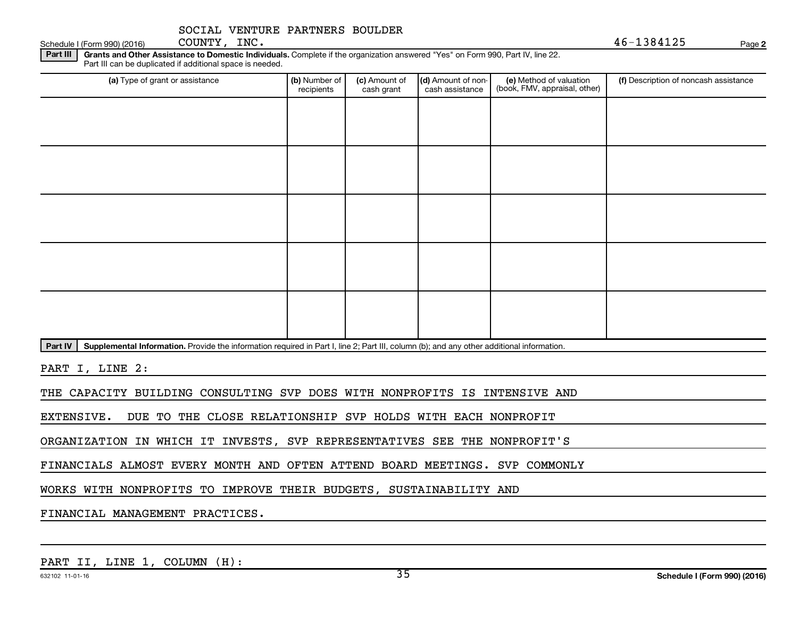Schedule I (Form 990) (2016) COUNTY, INC.  $46-1384125$ 

COUNTY, INC.

**2**

Part III | Grants and Other Assistance to Domestic Individuals. Complete if the organization answered "Yes" on Form 990, Part IV, line 22. Part III can be duplicated if additional space is needed.

| (a) Type of grant or assistance | (b) Number of                                                                                                                             | (c) Amount of | (d) Amount of non- |                                                          | (f) Description of noncash assistance |  |  |  |  |  |  |
|---------------------------------|-------------------------------------------------------------------------------------------------------------------------------------------|---------------|--------------------|----------------------------------------------------------|---------------------------------------|--|--|--|--|--|--|
|                                 | recipients                                                                                                                                | cash grant    | cash assistance    | (e) Method of valuation<br>(book, FMV, appraisal, other) |                                       |  |  |  |  |  |  |
|                                 |                                                                                                                                           |               |                    |                                                          |                                       |  |  |  |  |  |  |
|                                 |                                                                                                                                           |               |                    |                                                          |                                       |  |  |  |  |  |  |
|                                 |                                                                                                                                           |               |                    |                                                          |                                       |  |  |  |  |  |  |
|                                 |                                                                                                                                           |               |                    |                                                          |                                       |  |  |  |  |  |  |
|                                 |                                                                                                                                           |               |                    |                                                          |                                       |  |  |  |  |  |  |
|                                 |                                                                                                                                           |               |                    |                                                          |                                       |  |  |  |  |  |  |
|                                 |                                                                                                                                           |               |                    |                                                          |                                       |  |  |  |  |  |  |
|                                 |                                                                                                                                           |               |                    |                                                          |                                       |  |  |  |  |  |  |
|                                 |                                                                                                                                           |               |                    |                                                          |                                       |  |  |  |  |  |  |
|                                 |                                                                                                                                           |               |                    |                                                          |                                       |  |  |  |  |  |  |
|                                 |                                                                                                                                           |               |                    |                                                          |                                       |  |  |  |  |  |  |
|                                 |                                                                                                                                           |               |                    |                                                          |                                       |  |  |  |  |  |  |
|                                 |                                                                                                                                           |               |                    |                                                          |                                       |  |  |  |  |  |  |
|                                 |                                                                                                                                           |               |                    |                                                          |                                       |  |  |  |  |  |  |
|                                 |                                                                                                                                           |               |                    |                                                          |                                       |  |  |  |  |  |  |
|                                 |                                                                                                                                           |               |                    |                                                          |                                       |  |  |  |  |  |  |
|                                 |                                                                                                                                           |               |                    |                                                          |                                       |  |  |  |  |  |  |
|                                 |                                                                                                                                           |               |                    |                                                          |                                       |  |  |  |  |  |  |
| Part IV                         | Supplemental Information. Provide the information required in Part I, line 2; Part III, column (b); and any other additional information. |               |                    |                                                          |                                       |  |  |  |  |  |  |

PART I, LINE 2:

THE CAPACITY BUILDING CONSULTING SVP DOES WITH NONPROFITS IS INTENSIVE AND

EXTENSIVE. DUE TO THE CLOSE RELATIONSHIP SVP HOLDS WITH EACH NONPROFIT

ORGANIZATION IN WHICH IT INVESTS, SVP REPRESENTATIVES SEE THE NONPROFIT'S

FINANCIALS ALMOST EVERY MONTH AND OFTEN ATTEND BOARD MEETINGS. SVP COMMONLY

WORKS WITH NONPROFITS TO IMPROVE THEIR BUDGETS, SUSTAINABILITY AND

FINANCIAL MANAGEMENT PRACTICES.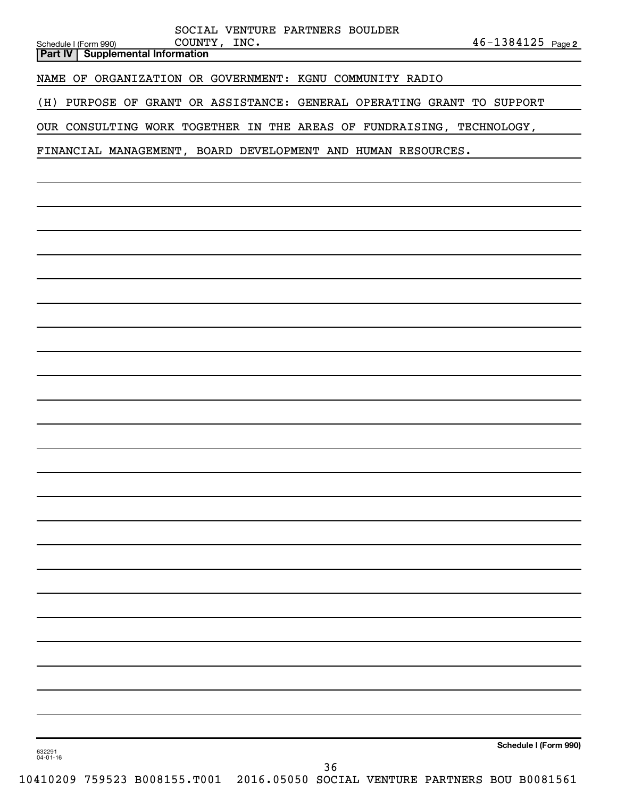|                          |                                                    | SOCIAL VENTURE PARTNERS BOULDER                                              |    |  |                       |  |
|--------------------------|----------------------------------------------------|------------------------------------------------------------------------------|----|--|-----------------------|--|
| Schedule I (Form 990)    | COUNTY, INC.<br>Part IV   Supplemental Information |                                                                              |    |  | $46 - 1384125$ Page 2 |  |
|                          |                                                    |                                                                              |    |  |                       |  |
|                          |                                                    | NAME OF ORGANIZATION OR GOVERNMENT: KGNU COMMUNITY RADIO                     |    |  |                       |  |
| (H)                      |                                                    | PURPOSE OF GRANT OR ASSISTANCE: GENERAL OPERATING GRANT TO SUPPORT           |    |  |                       |  |
|                          |                                                    | OUR CONSULTING WORK TOGETHER IN THE AREAS OF FUNDRAISING, TECHNOLOGY,        |    |  |                       |  |
|                          |                                                    | FINANCIAL MANAGEMENT, BOARD DEVELOPMENT AND HUMAN RESOURCES.                 |    |  |                       |  |
|                          |                                                    |                                                                              |    |  |                       |  |
|                          |                                                    |                                                                              |    |  |                       |  |
|                          |                                                    |                                                                              |    |  |                       |  |
|                          |                                                    |                                                                              |    |  |                       |  |
|                          |                                                    |                                                                              |    |  |                       |  |
|                          |                                                    |                                                                              |    |  |                       |  |
|                          |                                                    |                                                                              |    |  |                       |  |
|                          |                                                    |                                                                              |    |  |                       |  |
|                          |                                                    |                                                                              |    |  |                       |  |
|                          |                                                    |                                                                              |    |  |                       |  |
|                          |                                                    |                                                                              |    |  |                       |  |
|                          |                                                    |                                                                              |    |  |                       |  |
|                          |                                                    |                                                                              |    |  |                       |  |
|                          |                                                    |                                                                              |    |  |                       |  |
|                          |                                                    |                                                                              |    |  |                       |  |
|                          |                                                    |                                                                              |    |  |                       |  |
|                          |                                                    |                                                                              |    |  |                       |  |
|                          |                                                    |                                                                              |    |  |                       |  |
|                          |                                                    |                                                                              |    |  |                       |  |
|                          |                                                    |                                                                              |    |  |                       |  |
|                          |                                                    |                                                                              |    |  |                       |  |
|                          |                                                    |                                                                              |    |  |                       |  |
|                          |                                                    |                                                                              |    |  |                       |  |
|                          |                                                    |                                                                              |    |  |                       |  |
|                          |                                                    |                                                                              |    |  |                       |  |
|                          |                                                    |                                                                              |    |  |                       |  |
|                          |                                                    |                                                                              |    |  |                       |  |
|                          |                                                    |                                                                              |    |  |                       |  |
|                          |                                                    |                                                                              |    |  |                       |  |
|                          |                                                    |                                                                              |    |  |                       |  |
| 632291<br>$04 - 01 - 16$ |                                                    |                                                                              |    |  | Schedule I (Form 990) |  |
|                          |                                                    | 10410209 759523 B008155.T001 2016.05050 SOCIAL VENTURE PARTNERS BOU B0081561 | 36 |  |                       |  |
|                          |                                                    |                                                                              |    |  |                       |  |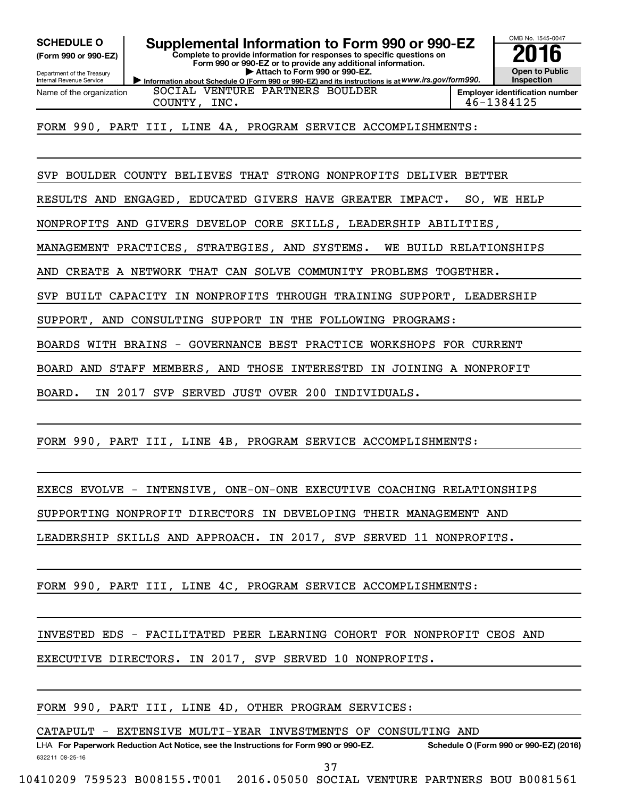**(Form 990 or 990-EZ)**

Department of the Treasury Internal Revenue Service

Name of the organization

**Complete to provide information for responses to specific questions on SCHEDULE O Supplemental Information to Form 990 or 990-EZ 2016**

**Information about Schedule O (Form 990 or 990-EZ) and its instructions is at WWW.irs.gov/form990. Form 990 or 990-EZ or to provide any additional information. | Attach to Form 990 or 990-EZ.**

OMB No. 1545-0047 **Open to Public Inspection Employer identification number**

SOCIAL VENTURE PARTNERS BOULDER COUNTY, INC. 46-1384125

FORM 990, PART III, LINE 4A, PROGRAM SERVICE ACCOMPLISHMENTS:

SVP BOULDER COUNTY BELIEVES THAT STRONG NONPROFITS DELIVER BETTER

RESULTS AND ENGAGED, EDUCATED GIVERS HAVE GREATER IMPACT. SO, WE HELP

NONPROFITS AND GIVERS DEVELOP CORE SKILLS, LEADERSHIP ABILITIES,

MANAGEMENT PRACTICES, STRATEGIES, AND SYSTEMS. WE BUILD RELATIONSHIPS

AND CREATE A NETWORK THAT CAN SOLVE COMMUNITY PROBLEMS TOGETHER.

SVP BUILT CAPACITY IN NONPROFITS THROUGH TRAINING SUPPORT, LEADERSHIP

SUPPORT, AND CONSULTING SUPPORT IN THE FOLLOWING PROGRAMS:

 BOARDS WITH BRAINS - GOVERNANCE BEST PRACTICE WORKSHOPS FOR CURRENT

BOARD AND STAFF MEMBERS, AND THOSE INTERESTED IN JOINING A NONPROFIT

BOARD. IN 2017 SVP SERVED JUST OVER 200 INDIVIDUALS.

FORM 990, PART III, LINE 4B, PROGRAM SERVICE ACCOMPLISHMENTS:

EXECS EVOLVE - INTENSIVE, ONE-ON-ONE EXECUTIVE COACHING RELATIONSHIPS

SUPPORTING NONPROFIT DIRECTORS IN DEVELOPING THEIR MANAGEMENT AND

LEADERSHIP SKILLS AND APPROACH. IN 2017, SVP SERVED 11 NONPROFITS.

FORM 990, PART III, LINE 4C, PROGRAM SERVICE ACCOMPLISHMENTS:

INVESTED EDS - FACILITATED PEER LEARNING COHORT FOR NONPROFIT CEOS AND

EXECUTIVE DIRECTORS. IN 2017, SVP SERVED 10 NONPROFITS.

FORM 990, PART III, LINE 4D, OTHER PROGRAM SERVICES:

CATAPULT - EXTENSIVE MULTI-YEAR INVESTMENTS OF CONSULTING AND

632211 08-25-16 LHA For Paperwork Reduction Act Notice, see the Instructions for Form 990 or 990-EZ. Schedule O (Form 990 or 990-EZ) (2016)

37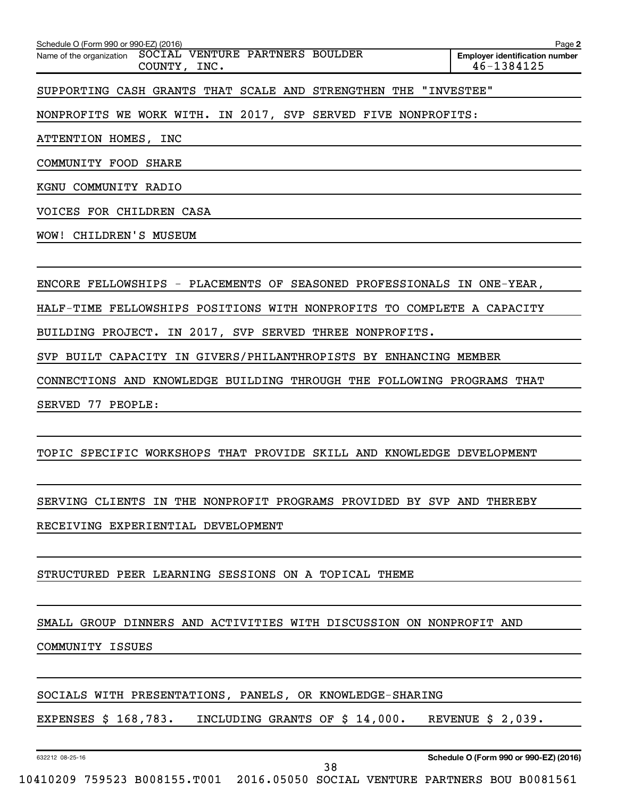| Schedule O (Form 990 or 990-EZ) (2016)                                      | Page 2                                              |
|-----------------------------------------------------------------------------|-----------------------------------------------------|
| SOCIAL VENTURE PARTNERS BOULDER<br>Name of the organization<br>COUNTY, INC. | <b>Employer identification number</b><br>46-1384125 |
| STRENGTHEN<br>SUPPORTING CASH GRANTS THAT SCALE AND<br>THE                  | "INVESTEE"                                          |
| NONPROFITS WE WORK WITH. IN 2017, SVP SERVED FIVE NONPROFITS:               |                                                     |
| ATTENTION HOMES, INC                                                        |                                                     |
| COMMUNITY<br>FOOD<br><b>SHARE</b>                                           |                                                     |
| COMMUNITY RADIO<br>KGNU                                                     |                                                     |
| VOICES FOR CHILDREN CASA                                                    |                                                     |
| CHILDREN'S MUSEUM<br>WOW!                                                   |                                                     |
|                                                                             |                                                     |
| SEASONED PROFESSIONALS IN ONE-YEAR,<br>ENCORE FELLOWSHIPS - PLACEMENTS OF   |                                                     |
| HALF-TIME FELLOWSHIPS POSITIONS WITH NONPROFITS TO COMPLETE A CAPACITY      |                                                     |

BUILDING PROJECT. IN 2017, SVP SERVED THREE NONPROFITS.

SVP BUILT CAPACITY IN GIVERS/PHILANTHROPISTS BY ENHANCING MEMBER

CONNECTIONS AND KNOWLEDGE BUILDING THROUGH THE FOLLOWING PROGRAMS THAT

SERVED 77 PEOPLE:

#### TOPIC SPECIFIC WORKSHOPS THAT PROVIDE SKILL AND KNOWLEDGE DEVELOPMENT

 SERVING CLIENTS IN THE NONPROFIT PROGRAMS PROVIDED BY SVP AND THEREBY RECEIVING EXPERIENTIAL DEVELOPMENT

#### STRUCTURED PEER LEARNING SESSIONS ON A TOPICAL THEME

#### SMALL GROUP DINNERS AND ACTIVITIES WITH DISCUSSION ON NONPROFIT AND

COMMUNITY ISSUES

#### SOCIALS WITH PRESENTATIONS, PANELS, OR KNOWLEDGE-SHARING

EXPENSES \$ 168,783. INCLUDING GRANTS OF \$ 14,000. REVENUE \$ 2,039.

632212 08-25-16

38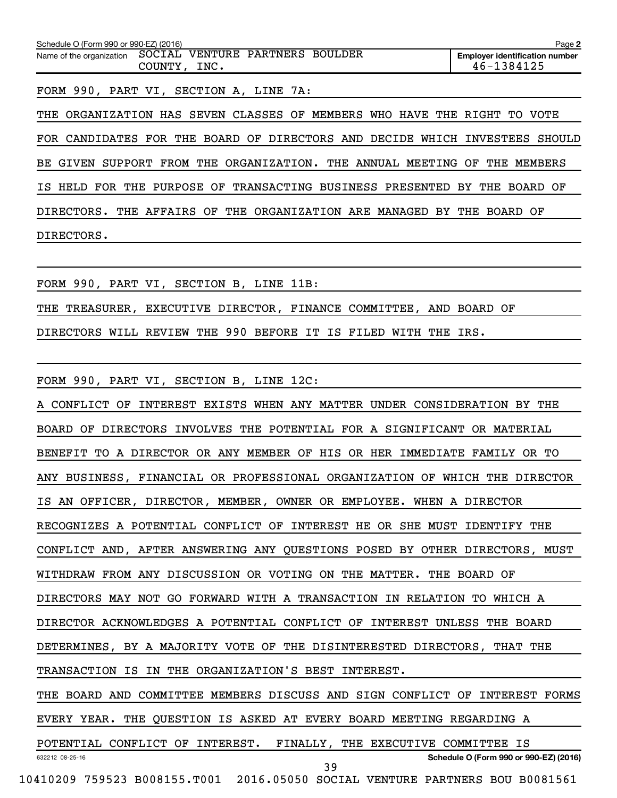| Schedule O (Form 990 or 990-EZ) (2016)                   |              |  | Page 2                                              |
|----------------------------------------------------------|--------------|--|-----------------------------------------------------|
| Name of the organization SOCIAL VENTURE PARTNERS BOULDER | COUNTY, INC. |  | <b>Employer identification number</b><br>46-1384125 |
|                                                          |              |  |                                                     |

FORM 990, PART VI, SECTION A, LINE 7A:

THE ORGANIZATION HAS SEVEN CLASSES OF MEMBERS WHO HAVE THE RIGHT TO VOTE FOR CANDIDATES FOR THE BOARD OF DIRECTORS AND DECIDE WHICH INVESTEES SHOULD BE GIVEN SUPPORT FROM THE ORGANIZATION. THE ANNUAL MEETING OF THE MEMBERS IS HELD FOR THE PURPOSE OF TRANSACTING BUSINESS PRESENTED BY THE BOARD OF DIRECTORS. THE AFFAIRS OF THE ORGANIZATION ARE MANAGED BY THE BOARD OF DIRECTORS.

FORM 990, PART VI, SECTION B, LINE 11B: THE TREASURER, EXECUTIVE DIRECTOR, FINANCE COMMITTEE, AND BOARD OF DIRECTORS WILL REVIEW THE 990 BEFORE IT IS FILED WITH THE IRS.

FORM 990, PART VI, SECTION B, LINE 12C:

632212 08-25-16 **Schedule O (Form 990 or 990-EZ) (2016)** A CONFLICT OF INTEREST EXISTS WHEN ANY MATTER UNDER CONSIDERATION BY THE BOARD OF DIRECTORS INVOLVES THE POTENTIAL FOR A SIGNIFICANT OR MATERIAL BENEFIT TO A DIRECTOR OR ANY MEMBER OF HIS OR HER IMMEDIATE FAMILY OR TO ANY BUSINESS, FINANCIAL OR PROFESSIONAL ORGANIZATION OF WHICH THE DIRECTOR IS AN OFFICER, DIRECTOR, MEMBER, OWNER OR EMPLOYEE. WHEN A DIRECTOR RECOGNIZES A POTENTIAL CONFLICT OF INTEREST HE OR SHE MUST IDENTIFY THE CONFLICT AND, AFTER ANSWERING ANY QUESTIONS POSED BY OTHER DIRECTORS, MUST WITHDRAW FROM ANY DISCUSSION OR VOTING ON THE MATTER. THE BOARD OF DIRECTORS MAY NOT GO FORWARD WITH A TRANSACTION IN RELATION TO WHICH A DIRECTOR ACKNOWLEDGES A POTENTIAL CONFLICT OF INTEREST UNLESS THE BOARD DETERMINES, BY A MAJORITY VOTE OF THE DISINTERESTED DIRECTORS, THAT THE TRANSACTION IS IN THE ORGANIZATION'S BEST INTEREST. THE BOARD AND COMMITTEE MEMBERS DISCUSS AND SIGN CONFLICT OF INTEREST FORMS EVERY YEAR. THE QUESTION IS ASKED AT EVERY BOARD MEETING REGARDING A POTENTIAL CONFLICT OF INTEREST. FINALLY, THE EXECUTIVE COMMITTEE IS 39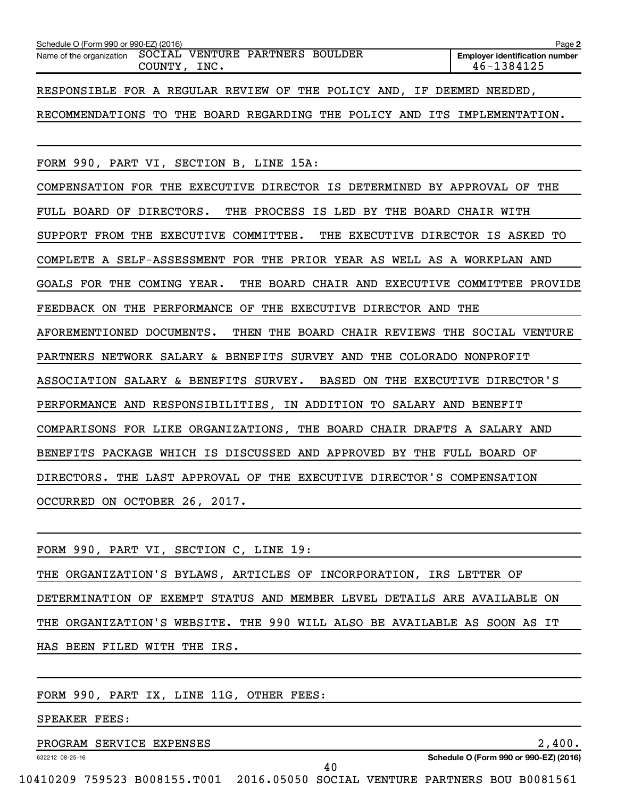| Schedule O (Form 990 or 990-EZ) (2016)                                        | Page 2                                              |
|-------------------------------------------------------------------------------|-----------------------------------------------------|
| SOCIAL VENTURE PARTNERS BOULDER<br>Name of the organization<br>COUNTY, INC.   | <b>Employer identification number</b><br>46-1384125 |
| RESPONSIBLE FOR A REGULAR REVIEW OF THE POLICY AND, IF DEEMED NEEDED,         |                                                     |
| RECOMMENDATIONS TO THE BOARD REGARDING THE POLICY AND ITS IMPLEMENTATION.     |                                                     |
| FORM 990, PART VI, SECTION B, LINE 15A:                                       |                                                     |
| COMPENSATION FOR THE EXECUTIVE DIRECTOR IS DETERMINED BY APPROVAL OF THE      |                                                     |
| THE PROCESS IS LED BY THE BOARD CHAIR WITH<br>FULL BOARD OF DIRECTORS.        |                                                     |
| SUPPORT FROM THE EXECUTIVE COMMITTEE.<br>THE EXECUTIVE DIRECTOR IS ASKED TO   |                                                     |
| COMPLETE A SELF-ASSESSMENT FOR THE PRIOR YEAR AS WELL AS A WORKPLAN AND       |                                                     |
| GOALS FOR THE COMING YEAR.<br>THE BOARD CHAIR AND EXECUTIVE COMMITTEE PROVIDE |                                                     |
| FEEDBACK ON THE PERFORMANCE OF THE EXECUTIVE DIRECTOR AND THE                 |                                                     |
| AFOREMENTIONED DOCUMENTS.<br>THEN THE BOARD CHAIR REVIEWS THE SOCIAL VENTURE  |                                                     |
| PARTNERS NETWORK SALARY & BENEFITS SURVEY AND THE COLORADO NONPROFIT          |                                                     |
| ASSOCIATION SALARY & BENEFITS SURVEY. BASED ON THE EXECUTIVE DIRECTOR'S       |                                                     |
| PERFORMANCE AND RESPONSIBILITIES, IN ADDITION TO SALARY AND BENEFIT           |                                                     |
| COMPARISONS FOR LIKE ORGANIZATIONS, THE BOARD CHAIR DRAFTS A SALARY AND       |                                                     |
| BENEFITS PACKAGE WHICH IS DISCUSSED AND APPROVED BY THE FULL BOARD OF         |                                                     |
| DIRECTORS. THE LAST APPROVAL OF THE EXECUTIVE DIRECTOR'S COMPENSATION         |                                                     |
| OCCURRED ON OCTOBER 26, 2017.                                                 |                                                     |

|  |  |                              | FORM 990, PART VI, SECTION C, LINE 19: |                                                                          |  |  |  |
|--|--|------------------------------|----------------------------------------|--------------------------------------------------------------------------|--|--|--|
|  |  |                              |                                        | THE ORGANIZATION'S BYLAWS, ARTICLES OF INCORPORATION, IRS LETTER OF      |  |  |  |
|  |  |                              |                                        | DETERMINATION OF EXEMPT STATUS AND MEMBER LEVEL DETAILS ARE AVAILABLE ON |  |  |  |
|  |  |                              |                                        | THE ORGANIZATION'S WEBSITE. THE 990 WILL ALSO BE AVAILABLE AS SOON AS IT |  |  |  |
|  |  | HAS BEEN FILED WITH THE IRS. |                                        |                                                                          |  |  |  |
|  |  |                              |                                        |                                                                          |  |  |  |

## FORM 990, PART IX, LINE 11G, OTHER FEES:

SPEAKER FEES:

# PROGRAM SERVICE EXPENSES 2,400.

632212 08-25-16

**Schedule O (Form 990 or 990-EZ) (2016)**